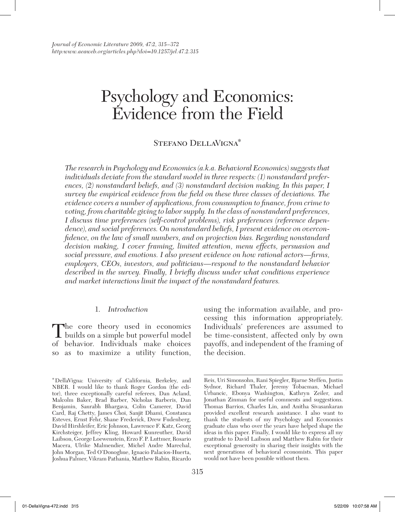# Psychology and Economics: Evidence from the Field

### Stefano DellaVigna\*

*The research in Psychology and Economics (a.k.a. Behavioral Economics) suggests that individuals deviate from the standard model in three respects: (1) nonstandard preferences, (2) nonstandard beliefs, and (3) nonstandard decision making. In this paper, I survey the empirical evidence from the field on these three classes of deviations. The evidence covers a number of applications, from consumption to finance, from crime to voting, from charitable giving to labor supply. In the class of nonstandard preferences, I discuss time preferences (self-control problems), risk preferences (reference dependence), and social preferences. On nonstandard beliefs, I present evidence on overconfidence, on the law of small numbers, and on projection bias. Regarding nonstandard decision making, I cover framing, limited attention, menu effects, persuasion and social pressure, and emotions. I also present evidence on how rational actors—firms, employers, CEOs, investors, and politicians—respond to the nonstandard behavior described in the survey. Finally, I briefly discuss under what conditions experience and market interactions limit the impact of the nonstandard features.*

#### 1. *Introduction*

The core theory used in economics builds on a simple but powerful model of behavior. Individuals make choices so as to maximize a utility function,

using the information available, and processing this information appropriately. Individuals' preferences are assumed to be time-consistent, affected only by own payoffs, and independent of the framing of the decision.

<sup>\*</sup>DellaVigna: University of California, Berkeley, and NBER. I would like to thank Roger Gordon (the editor), three exceptionally careful referees, Dan Acland, Malcolm Baker, Brad Barber, Nicholas Barberis, Dan Benjamin, Saurabh Bhargava, Colin Camerer, David Card, Raj Chetty, James Choi, Sanjit Dhami, Constanca Esteves, Ernst Fehr, Shane Frederick, Drew Fudenberg, David Hirshleifer, Eric Johnson, Lawrence F. Katz, Georg Kirchsteiger, Jeffrey Kling, Howard Kunreuther, David Laibson, George Loewenstein, Erzo F. P. Luttmer, Rosario Macera, Ulrike Malmendier, Michel Andre Marechal, John Morgan, Ted O'Donoghue, Ignacio Palacios-Huerta, Joshua Palmer, Vikram Pathania, Matthew Rabin, Ricardo

Reis, Uri Simonsohn, Rani Spiegler, Bjarne Steffen, Justin Sydnor, Richard Thaler, Jeremy Tobacman, Michael Urbancic, Ebonya Washington, Kathryn Zeiler, and Jonathan Zinman for useful comments and suggestions. Thomas Barrios, Charles Lin, and Anitha Sivasankaran provided excellent research assistance. I also want to thank the students of my Psychology and Economics graduate class who over the years have helped shape the ideas in this paper. Finally, I would like to express all my gratitude to David Laibson and Matthew Rabin for their exceptional generosity in sharing their insights with the next generations of behavioral economists. This paper would not have been possible without them.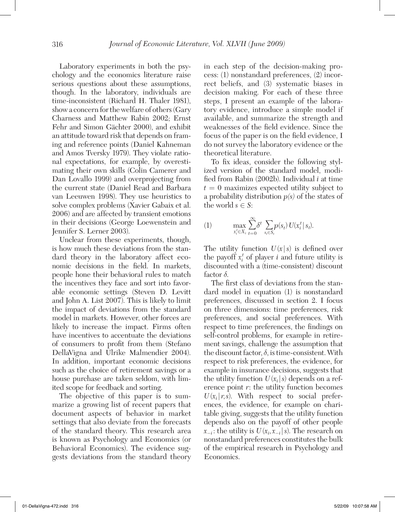Laboratory experiments in both the psychology and the economics literature raise serious questions about these assumptions, though. In the laboratory, individuals are time-inconsistent (Richard H. Thaler 1981), show a concern for the welfare of others (Gary Charness and Matthew Rabin 2002; Ernst Fehr and Simon Gächter 2000), and exhibit an attitude toward risk that depends on framing and reference points (Daniel Kahneman and Amos Tversky 1979). They violate rational expectations, for example, by overestimating their own skills (Colin Camerer and Dan Lovallo 1999) and overprojecting from the current state (Daniel Read and Barbara van Leeuwen 1998). They use heuristics to solve complex problems (Xavier Gabaix et al. 2006) and are affected by transient emotions in their decisions (George Loewenstein and Jennifer S. Lerner 2003).

Unclear from these experiments, though, is how much these deviations from the standard theory in the laboratory affect economic decisions in the field. In markets, people hone their behavioral rules to match the incentives they face and sort into favorable economic settings (Steven D. Levitt and John A. List 2007). This is likely to limit the impact of deviations from the standard model in markets. However, other forces are likely to increase the impact. Firms often have incentives to accentuate the deviations of consumers to profit from them (Stefano DellaVigna and Ulrike Malmendier 2004). In addition, important economic decisions such as the choice of retirement savings or a house purchase are taken seldom, with limited scope for feedback and sorting.

The objective of this paper is to summarize a growing list of recent papers that document aspects of behavior in market settings that also deviate from the forecasts of the standard theory. This research area is known as Psychology and Economics (or Behavioral Economics). The evidence suggests deviations from the standard theory in each step of the decision-making process: (1) nonstandard preferences, (2) incorrect beliefs, and (3) systematic biases in decision making. For each of these three steps, I present an example of the laboratory evidence, introduce a simple model if available, and summarize the strength and weaknesses of the field evidence. Since the focus of the paper is on the field evidence, I do not survey the laboratory evidence or the theoretical literature.

To fix ideas, consider the following stylized version of the standard model, modified from Rabin (2002b). Individual *i* at time  $t = 0$  maximizes expected utility subject to a probability distribution *p(s)* of the states of the world  $s \in S$ :

(1) 
$$
\max_{x_t^t \in X_i} \sum_{t=0}^{\infty} \delta^t \sum_{s_t \in S_t} p(s_t) U(x_t^t | s_t).
$$

The utility function  $U(x|s)$  is defined over the payoff  $x_i^t$  of player *i* and future utility is discounted with a (time-consistent) discount factor  $\delta$ .

The first class of deviations from the standard model in equation (1) is nonstandard preferences, discussed in section 2. I focus on three dimensions: time preferences, risk preferences, and social preferences. With respect to time preferences, the findings on self-control problems, for example in retirement savings, challenge the assumption that the discount factor,  $\delta$ , is time-consistent. With respect to risk preferences, the evidence, for example in insurance decisions, suggests that the utility function  $U(x_i|s)$  depends on a reference point *r*: the utility function becomes  $U(x_i | r, s)$ . With respect to social preferences, the evidence, for example on charitable giving, suggests that the utility function depends also on the payoff of other people  $x_{-i}$ : the utility is  $U(x_i, x_{-i} | s)$ . The research on nonstandard preferences constitutes the bulk of the empirical research in Psychology and Economics.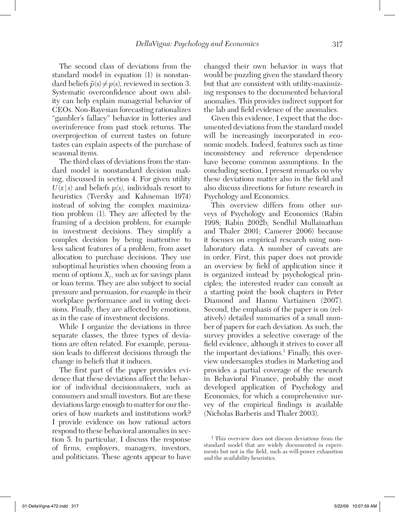The second class of deviations from the standard model in equation (1) is nonstandard beliefs  $\tilde{p}(s) \neq p(s)$ , reviewed in section 3. Systematic overconfidence about own ability can help explain managerial behavior of CEOs. Non-Bayesian forecasting rationalizes "gambler's fallacy" behavior in lotteries and overinference from past stock returns. The overprojection of current tastes on future tastes can explain aspects of the purchase of seasonal items.

The third class of deviations from the standard model is nonstandard decision making, discussed in section 4. For given utility  $U(x|s)$  and beliefs  $p(s)$ , individuals resort to heuristics (Tversky and Kahneman 1974) instead of solving the complex maximization problem (1). They are affected by the framing of a decision problem, for example in investment decisions. They simplify a complex decision by being inattentive to less salient features of a problem, from asset allocation to purchase decisions. They use suboptimal heuristics when choosing from a menu of options  $X_i$ , such as for savings plans or loan terms. They are also subject to social pressure and persuasion, for example in their workplace performance and in voting decisions. Finally, they are affected by emotions, as in the case of investment decisions.

While I organize the deviations in three separate classes, the three types of deviations are often related. For example, persuasion leads to different decisions through the change in beliefs that it induces.

The first part of the paper provides evidence that these deviations affect the behavior of individual decisionmakers, such as consumers and small investors. But are these deviations large enough to matter for our theories of how markets and institutions work? I provide evidence on how rational actors respond to these behavioral anomalies in section 5. In particular, I discuss the response of firms, employers, managers, investors, and politicians. These agents appear to have

changed their own behavior in ways that would be puzzling given the standard theory but that are consistent with utility-maximizing responses to the documented behavioral anomalies. This provides indirect support for the lab and field evidence of the anomalies.

Given this evidence, I expect that the documented deviations from the standard model will be increasingly incorporated in economic models. Indeed, features such as time inconsistency and reference dependence have become common assumptions. In the concluding section, I present remarks on why these deviations matter also in the field and also discuss directions for future research in Psychology and Economics.

This overview differs from other surveys of Psychology and Economics (Rabin 1998; Rabin 2002b; Sendhil Mullainathan and Thaler 2001; Camerer 2006) because it focuses on empirical research using nonlaboratory data. A number of caveats are in order. First, this paper does not provide an overview by field of application since it is organized instead by psychological principles; the interested reader can consult as a starting point the book chapters in Peter Diamond and Hannu Vartiainen (2007). Second, the emphasis of the paper is on (relatively) detailed summaries of a small number of papers for each deviation. As such, the survey provides a selective coverage of the field evidence, although it strives to cover all the important deviations.<sup>1</sup> Finally, this overview undersamples studies in Marketing and provides a partial coverage of the research in Behavioral Finance, probably the most developed application of Psychology and Economics, for which a comprehensive survey of the empirical findings is available (Nicholas Barberis and Thaler 2003).

<sup>1</sup> This overview does not discuss deviations from the standard model that are widely documented in experiments but not in the field, such as will-power exhaustion and the availability heuristics.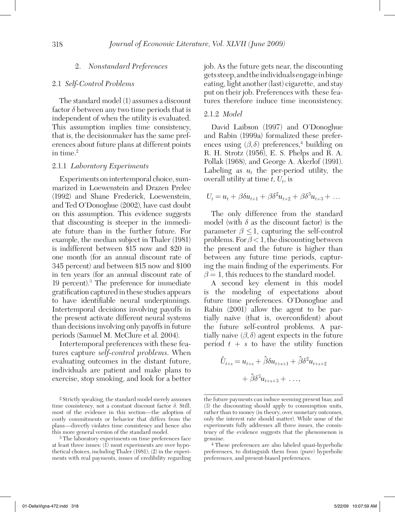#### 2. *Nonstandard Preferences*

#### 2.1 *Self-Control Problems*

The standard model (1) assumes a discount factor  $\delta$  between any two time periods that is independent of when the utility is evaluated. This assumption implies time consistency, that is, the decisionmaker has the same preferences about future plans at different points in time.<sup>2</sup>

#### 2.1.1 *Laboratory Experiments*

Experiments on intertemporal choice, summarized in Loewenstein and Drazen Prelec (1992) and Shane Frederick, Loewenstein, and Ted O'Donoghue (2002), have cast doubt on this assumption. This evidence suggests that discounting is steeper in the immediate future than in the further future. For example, the median subject in Thaler (1981) is indifferent between \$15 now and \$20 in one month (for an annual discount rate of 345 percent) and between \$15 now and \$100 in ten years (for an annual discount rate of 19 percent).3 The preference for immediate gratification captured in these studies appears to have identifiable neural underpinnings. Intertemporal decisions involving payoffs in the present activate different neural systems than decisions involving only payoffs in future periods (Samuel M. McClure et al. 2004).

Intertemporal preferences with these features capture *self-control problems*. When evaluating outcomes in the distant future, individuals are patient and make plans to exercise, stop smoking, and look for a better

2 Strictly speaking, the standard model merely assumes time consistency, not a constant discount factor δ. Still, most of the evidence in this section—the adoption of costly commitments or behavior that differs from the plans—directly violates time consistency and hence also this more general version of the standard model.

3 The laboratory experiments on time preferences face at least three issues:  $(I)$  most experiments are over hypothetical choices, including Thaler (1981); (2) in the experiments with real payments, issues of credibility regarding job. As the future gets near, the discounting gets steep, and the individuals engage in binge eating, light another (last) cigarette, and stay put on their job. Preferences with these features therefore induce time inconsistency.

#### 2.1.2 *Model*

David Laibson (1997) and O'Donoghue and Rabin (1999a) formalized these preferences using  $(\beta, \delta)$  preferences,<sup>4</sup> building on R. H. Strotz (1956), E. S. Phelps and R. A. Pollak (1968), and George A. Akerlof (1991). Labeling as  $u_t$  the per-period utility, the overall utility at time *t*, *Ut*, is

$$
U_t = u_t + \beta \delta u_{t+1} + \beta \delta^2 u_{t+2} + \beta \delta^3 u_{t+3} + \dots
$$

The only difference from the standard model (with  $\delta$  as the discount factor) is the parameter  $\beta \leq 1$ , capturing the self-control problems. For  $\beta < 1$ , the discounting between the present and the future is higher than between any future time periods, capturing the main finding of the experiments. For  $\beta = 1$ , this reduces to the standard model.

A second key element in this model is the modeling of expectations about future time preferences. O'Donoghue and Rabin (2001) allow the agent to be partially naive (that is, overconfident) about the future self-control problems. A partially naive  $(\beta, \delta)$  agent expects in the future period  $t + s$  to have the utility function

$$
\hat{U}_{t+s} = u_{t+s} + \hat{\beta}\delta u_{t+s+1} + \hat{\beta}\delta^2 u_{t+s+2}
$$

$$
+ \hat{\beta}\delta^3 u_{t+s+3} + \dots,
$$

the future payments can induce seeming present bias; and (3) the discounting should apply to consumption units, rather than to money (in theory, over monetary outcomes, only the interest rate should matter). While none of the experiments fully addresses all three issues, the consistency of the evidence suggests that the phenomenon is genuine.

<sup>4</sup> These preferences are also labeled quasi-hyperbolic preferences, to distinguish them from (pure) hyperbolic preferences, and present-biased preferences.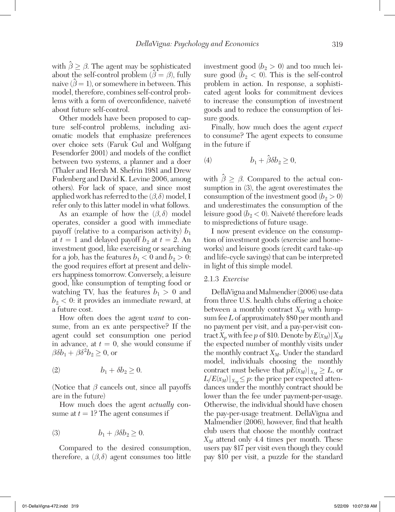with  $\hat{\beta} \geq \beta$ . The agent may be sophisticated where  $\sum_{i=1}^{n} \beta_i$ . The algent may be separated about the self-control problem  $(\hat{\beta} = \beta)$ , fully about the sen control problem  $(\beta - \beta)$ , tany<br>naive  $(\beta = 1)$ , or somewhere in between. This model, therefore, combines self-control problems with a form of overconfidence, naiveté about future self-control.

Other models have been proposed to capture self-control problems, including axiomatic models that emphasize preferences over choice sets (Faruk Gul and Wolfgang Pesendorfer 2001) and models of the conflict between two systems, a planner and a doer (Thaler and Hersh M. Shefrin 1981 and Drew Fudenberg and David K. Levine 2006, among others). For lack of space, and since most applied work has referred to the  $(\beta, \delta)$  model, I refer only to this latter model in what follows.

As an example of how the  $(\beta, \delta)$  model operates, consider a good with immediate payoff (relative to a comparison activity)  $b_1$ at  $t = 1$  and delayed payoff  $b_2$  at  $t = 2$ . An investment good, like exercising or searching for a job, has the features  $b_1 < 0$  and  $b_2 > 0$ : the good requires effort at present and delivers happiness tomorrow. Conversely, a leisure good, like consumption of tempting food or watching TV, has the features  $b_1 > 0$  and  $b_2 < 0$ : it provides an immediate reward, at a future cost.

How often does the agent *want* to consume, from an ex ante perspective? If the agent could set consumption one period in advance, at  $t = 0$ , she would consume if  $\beta \delta b_1 + \beta \delta^2 b_2 \geq 0$ , or

$$
(2) \t b_1 + \delta b_2 \ge 0.
$$

(Notice that  $\beta$  cancels out, since all payoffs are in the future)

How much does the agent *actually* consume at  $t = 1$ ? The agent consumes if

$$
(3) \t b_1 + \beta \delta b_2 \ge 0.
$$

Compared to the desired consumption, therefore, a  $(\beta, \delta)$  agent consumes too little

investment good  $(b_2 > 0)$  and too much leisure good  $(b_2 < 0)$ . This is the self-control problem in action. In response, a sophisticated agent looks for commitment devices to increase the consumption of investment goods and to reduce the consumption of leisure goods.

Finally, how much does the agent *expect*  to consume? The agent expects to consume in the future if

$$
(4) \hspace{3.1em} b_1+\hat{\beta}\delta b_2\geq 0,\\
$$

with  $\hat{\beta} \geq \beta$ . Compared to the actual consumption in (3), the agent overestimates the consumption of the investment good  $(b_2 > 0)$ and underestimates the consumption of the leisure good ( $b<sub>2</sub> < 0$ ). Naiveté therefore leads to mispredictions of future usage.

I now present evidence on the consumption of investment goods (exercise and homeworks) and leisure goods (credit card take-up and life-cycle savings) that can be interpreted in light of this simple model.

#### 2.1.3 *Exercise*

DellaVigna and Malmendier (2006) use data from three U.S. health clubs offering a choice between a monthly contract  $X_M$  with lumpsum fee *L* of approximately \$80 per month and no payment per visit, and a pay-per-visit contract  $X_p$  with fee p of \$10. Denote by  $E(x_M) | X_M$ the expected number of monthly visits under the monthly contract  $X_M$ . Under the standard model, individuals choosing the monthly contract must believe that  $pE(x_M)|_{X_M} \geq L$ , or  $L/E(x_M)|_{X_M} \leq p$ : the price per expected attendances under the monthly contract should be lower than the fee under payment-per-usage. Otherwise, the individual should have chosen the pay-per-usage treatment. DellaVigna and Malmendier (2006), however, find that health club users that choose the monthly contract  $X_M$  attend only 4.4 times per month. These users pay \$17 per visit even though they could pay \$10 per visit, a puzzle for the standard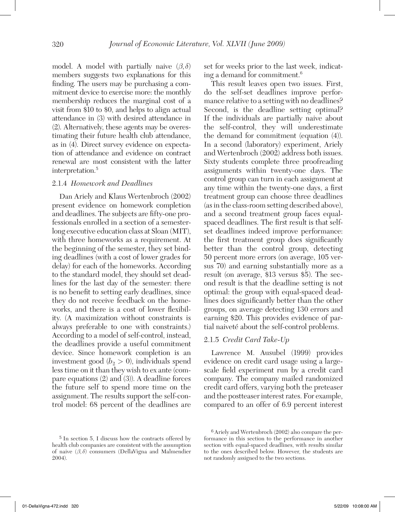model. A model with partially naive  $(\beta, \delta)$ members suggests two explanations for this finding. The users may be purchasing a commitment device to exercise more: the monthly membership reduces the marginal cost of a visit from \$10 to \$0, and helps to align actual attendance in (3) with desired attendance in (2). Alternatively, these agents may be overestimating their future health club attendance, as in (4). Direct survey evidence on expectation of attendance and evidence on contract renewal are most consistent with the latter interpretation.5

#### 2.1.4 *Homework and Deadlines*

Dan Ariely and Klaus Wertenbroch (2002) present evidence on homework completion and deadlines. The subjects are fifty-one professionals enrolled in a section of a semesterlong executive education class at Sloan (MIT), with three homeworks as a requirement. At the beginning of the semester, they set binding deadlines (with a cost of lower grades for delay) for each of the homeworks. According to the standard model, they should set deadlines for the last day of the semester: there is no benefit to setting early deadlines, since they do not receive feedback on the homeworks, and there is a cost of lower flexibility. (A maximization without constraints is always preferable to one with constraints.) According to a model of self-control, instead, the deadlines provide a useful commitment device. Since homework completion is an investment good  $(b_2 > 0)$ , individuals spend less time on it than they wish to ex ante (compare equations (2) and (3)). A deadline forces the future self to spend more time on the assignment. The results support the self-control model: 68 percent of the deadlines are

set for weeks prior to the last week, indicating a demand for commitment.6

This result leaves open two issues. First, do the self-set deadlines improve performance relative to a setting with no deadlines? Second, is the deadline setting optimal? If the individuals are partially naive about the self-control, they will underestimate the demand for commitment (equation (4)). In a second (laboratory) experiment, Ariely and Wertenbroch (2002) address both issues. Sixty students complete three proofreading assignments within twenty-one days. The control group can turn in each assignment at any time within the twenty-one days, a first treatment group can choose three deadlines (as in the class-room setting described above), and a second treatment group faces equalspaced deadlines. The first result is that selfset deadlines indeed improve performance: the first treatment group does significantly better than the control group, detecting 50 percent more errors (on average, 105 versus 70) and earning substantially more as a result (on average, \$13 versus \$5). The second result is that the deadline setting is not optimal: the group with equal-spaced deadlines does significantly better than the other groups, on average detecting 130 errors and earning \$20. This provides evidence of partial naiveté about the self-control problems.

#### 2.1.5 *Credit Card Take-Up*

Lawrence M. Ausubel (1999) provides evidence on credit card usage using a largescale field experiment run by a credit card company. The company mailed randomized credit card offers, varying both the preteaser and the postteaser interest rates. For example, compared to an offer of 6.9 percent interest

<sup>5</sup> In section 5, I discuss how the contracts offered by health club companies are consistent with the assumption of naive  $(\beta, \delta)$  consumers (DellaVigna and Malmendier 2004).

<sup>6</sup> Ariely and Wertenbroch (2002) also compare the performance in this section to the performance in another section with equal-spaced deadlines, with results similar to the ones described below. However, the students are not randomly assigned to the two sections.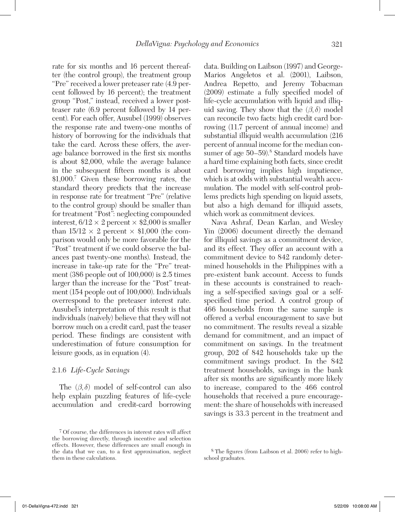rate for six months and 16 percent thereafter (the control group), the treatment group "Pre" received a lower preteaser rate (4.9 percent followed by 16 percent); the treatment group "Post," instead, received a lower postteaser rate (6.9 percent followed by 14 percent). For each offer, Ausubel (1999) observes the response rate and tweny-one months of history of borrowing for the individuals that take the card. Across these offers, the average balance borrowed in the first six months is about \$2,000, while the average balance in the subsequent fifteen months is about \$1,000.7 Given these borrowing rates, the standard theory predicts that the increase in response rate for treatment "Pre" (relative to the control group) should be smaller than for treatment "Post": neglecting compounded interest,  $6/12 \times 2$  percent  $\times$  \$2,000 is smaller than  $15/12 \times 2$  percent  $\times$  \$1,000 (the comparison would only be more favorable for the "Post" treatment if we could observe the balances past twenty-one months). Instead, the increase in take-up rate for the "Pre" treatment (386 people out of 100,000) is 2.5 times larger than the increase for the "Post" treatment (154 people out of 100,000). Individuals overrespond to the preteaser interest rate. Ausubel's interpretation of this result is that individuals (naively) believe that they will not borrow much on a credit card, past the teaser period. These findings are consistent with underestimation of future consumption for leisure goods, as in equation (4).

#### 2.1.6 *Life-Cycle Savings*

The  $(\beta, \delta)$  model of self-control can also help explain puzzling features of life-cycle accumulation and credit-card borrowing

data. Building on Laibson (1997) and George-Marios Angeletos et al. (2001), Laibson, Andrea Repetto, and Jeremy Tobacman (2009) estimate a fully specified model of life-cycle accumulation with liquid and illiquid saving. They show that the  $(\beta, \delta)$  model can reconcile two facts: high credit card borrowing (11.7 percent of annual income) and substantial illiquid wealth accumulation (216 percent of annual income for the median consumer of age 50–59).<sup>8</sup> Standard models have a hard time explaining both facts, since credit card borrowing implies high impatience, which is at odds with substantial wealth accumulation. The model with self-control problems predicts high spending on liquid assets, but also a high demand for illiquid assets, which work as commitment devices.

Nava Ashraf, Dean Karlan, and Wesley Yin (2006) document directly the demand for illiquid savings as a commitment device, and its effect. They offer an account with a commitment device to 842 randomly determined households in the Philippines with a pre-existent bank account. Access to funds in these accounts is constrained to reaching a self-specified savings goal or a selfspecified time period. A control group of 466 households from the same sample is offered a verbal encouragement to save but no commitment. The results reveal a sizable demand for commitment, and an impact of commitment on savings. In the treatment group, 202 of 842 households take up the commitment savings product. In the 842 treatment households, savings in the bank after six months are significantly more likely to increase, compared to the 466 control households that received a pure encouragement: the share of households with increased savings is 33.3 percent in the treatment and

<sup>7</sup> Of course, the differences in interest rates will affect the borrowing directly, through incentive and selection effects. However, these differences are small enough in the data that we can, to a first approximation, neglect them in these calculations.

<sup>8</sup> The figures (from Laibson et al. 2006) refer to highschool graduates.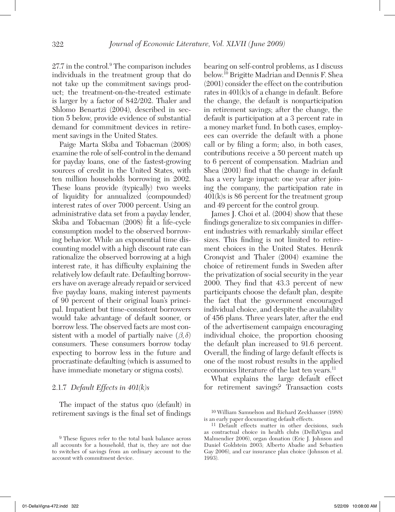27.7 in the control.<sup>9</sup> The comparison includes individuals in the treatment group that do not take up the commitment savings product; the treatment-on-the-treated estimate is larger by a factor of 842/202. Thaler and Shlomo Benartzi (2004), described in section 5 below, provide evidence of substantial demand for commitment devices in retirement savings in the United States.

Paige Marta Skiba and Tobacman (2008) examine the role of self-control in the demand for payday loans, one of the fastest-growing sources of credit in the United States, with ten million households borrowing in 2002. These loans provide (typically) two weeks of liquidity for annualized (compounded) interest rates of over 7000 percent. Using an administrative data set from a payday lender, Skiba and Tobacman (2008) fit a life-cycle consumption model to the observed borrowing behavior. While an exponential time discounting model with a high discount rate can rationalize the observed borrowing at a high interest rate, it has difficulty explaining the relatively low default rate. Defaulting borrowers have on average already repaid or serviced five payday loans, making interest payments of 90 percent of their original loan's principal. Impatient but time-consistent borrowers would take advantage of default sooner, or borrow less. The observed facts are most consistent with a model of partially naive  $(\beta, \delta)$ consumers. These consumers borrow today expecting to borrow less in the future and procrastinate defaulting (which is assumed to have immediate monetary or stigma costs).

#### 2.1.7 *Default Effects in 401(k)s*

The impact of the status quo (default) in retirement savings is the final set of findings

bearing on self-control problems, as I discuss below.10 Brigitte Madrian and Dennis F. Shea (2001) consider the effect on the contribution rates in 401(k)s of a change in default. Before the change, the default is nonparticipation in retirement savings; after the change, the default is participation at a 3 percent rate in a money market fund. In both cases, employees can override the default with a phone call or by filing a form; also, in both cases, contributions receive a 50 percent match up to 6 percent of compensation. Madrian and Shea (2001) find that the change in default has a very large impact: one year after joining the company, the participation rate in 401(k)s is 86 percent for the treatment group and 49 percent for the control group.

James J. Choi et al. (2004) show that these findings generalize to six companies in different industries with remarkably similar effect sizes. This finding is not limited to retirement choices in the United States. Henrik Cronqvist and Thaler (2004) examine the choice of retirement funds in Sweden after the privatization of social security in the year 2000. They find that 43.3 percent of new participants choose the default plan, despite the fact that the government encouraged individual choice, and despite the availability of 456 plans. Three years later, after the end of the advertisement campaign encouraging individual choice, the proportion choosing the default plan increased to 91.6 percent. Overall, the finding of large default effects is one of the most robust results in the applied economics literature of the last ten years.<sup>11</sup>

What explains the large default effect for retirement savings? Transaction costs

<sup>9</sup> These figures refer to the total bank balance across all accounts for a household, that is, they are not due to switches of savings from an ordinary account to the account with commitment device.

<sup>10</sup> William Samuelson and Richard Zeckhauser (1988) is an early paper documenting default effects.

<sup>11</sup> Default effects matter in other decisions, such as contractual choice in health clubs (DellaVigna and Malmendier 2006), organ donation (Eric J. Johnson and Daniel Goldstein 2003; Alberto Abadie and Sebastien Gay 2006), and car insurance plan choice (Johnson et al. 1993).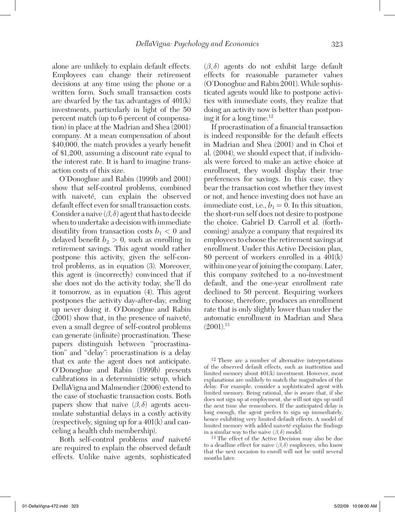alone are unlikely to explain default effects. Employees can change their retirement decisions at any time using the phone or a written form. Such small transaction costs are dwarfed by the tax advantages of 401(k) investments, particularly in light of the 50 percent match (up to 6 percent of compensation) in place at the Madrian and Shea (2001) company. At a mean compensation of about \$40,000, the match provides a yearly benefit of \$1,200, assuming a discount rate equal to the interest rate. It is hard to imagine transaction costs of this size.

O'Donoghue and Rabin (1999b and 2001) show that self-control problems, combined with naiveté, can explain the observed default effect even for small transaction costs. Consider a naive  $(\beta, \delta)$  agent that has to decide when to undertake a decision with immediate disutility from transaction costs  $b_1 < 0$  and delayed benefit  $b_2 > 0$ , such as enrolling in retirement savings. This agent would rather postpone this activity, given the self-control problems, as in equation (3). Moreover, this agent is (incorrectly) convinced that if she does not do the activity today, she'll do it tomorrow, as in equation (4). This agent postpones the activity day-after-day, ending up never doing it. O'Donoghue and Rabin (2001) show that, in the presence of naiveté, even a small degree of self-control problems can generate (infinite) procrastination. These papers distinguish between "procrastination" and "delay": procrastination is a delay that ex ante the agent does not anticipate. O'Donoghue and Rabin (1999b) presents calibrations in a deterministic setup, which DellaVigna and Malmendier (2006) extend to the case of stochastic transaction costs. Both papers show that naive  $(\beta, \delta)$  agents accumulate substantial delays in a costly activity (respectively, signing up for a 401(k) and canceling a health club membership).

Both self-control problems *and* naiveté are required to explain the observed default effects. Unlike naive agents, sophisticated (β, δ) agents do not exhibit large default effects for reasonable parameter values (O'Donoghue and Rabin 2001). While sophisticated agents would like to postpone activities with immediate costs, they realize that doing an activity now is better than postponing it for a long time. $12$ 

If procrastination of a financial transaction is indeed responsible for the default effects in Madrian and Shea (2001) and in Choi et al. (2004), we should expect that, if individuals were forced to make an active choice at enrollment, they would display their true preferences for savings. In this case, they bear the transaction cost whether they invest or not, and hence investing does not have an immediate cost, i.e.,  $b_1 = 0$ . In this situation, the short-run self does not desire to postpone the choice. Gabriel D. Carroll et al. (forthcoming) analyze a company that required its employees to choose the retirement savings at enrollment. Under this Active Decision plan, 80 percent of workers enrolled in a 401(k) within one year of joining the company. Later, this company switched to a no-investment default, and the one-year enrollment rate declined to 50 percent. Requiring workers to choose, therefore, produces an enrollment rate that is only slightly lower than under the automatic enrollment in Madrian and Shea  $(2001).$ <sup>13</sup>

12 There are a number of alternative interpretations of the observed default effects, such as inattention and limited memory about 401(k) investment. However, most explanations are unlikely to match the magnitudes of the delay. For example, consider a sophisticated agent with limited memory. Being rational, she is aware that, if she does not sign up at employment, she will not sign up until the next time she remembers. If the anticipated delay is long enough, the agent prefers to sign up immediately, hence exhibiting very limited default effects. A model of limited memory with added naiveté explains the findings in a similar way to the naive  $(β, δ)$  model.<br><sup>13</sup> The effect of the Active Decision may also be due

to a deadline effect for naive  $(\beta, \delta)$  employees, who know that the next occasion to enroll will not be until several months later.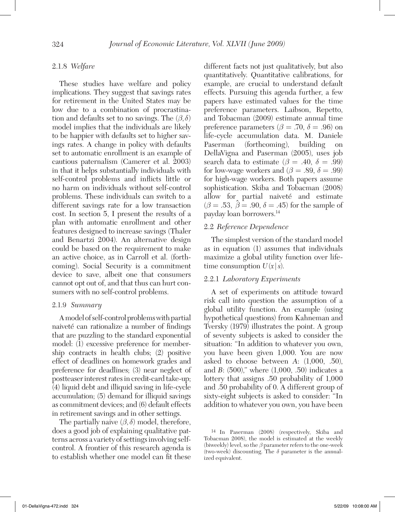#### 2.1.8 *Welfare*

These studies have welfare and policy implications. They suggest that savings rates for retirement in the United States may be low due to a combination of procrastination and defaults set to no savings. The  $(\beta, \delta)$ model implies that the individuals are likely to be happier with defaults set to higher savings rates. A change in policy with defaults set to automatic enrollment is an example of cautious paternalism (Camerer et al. 2003) in that it helps substantially individuals with self-control problems and inflicts little or no harm on individuals without self-control problems. These individuals can switch to a different savings rate for a low transaction cost. In section 5, I present the results of a plan with automatic enrollment and other features designed to increase savings (Thaler and Benartzi 2004). An alternative design could be based on the requirement to make an active choice, as in Carroll et al. (forthcoming). Social Security is a commitment device to save, albeit one that consumers cannot opt out of, and that thus can hurt consumers with no self-control problems.

#### 2.1.9 *Summary*

A model of self-control problems with partial naiveté can rationalize a number of findings that are puzzling to the standard exponential model: (1) excessive preference for membership contracts in health clubs; (2) positive effect of deadlines on homework grades and preference for deadlines; (3) near neglect of postteaser interest rates in credit-card take-up; (4) liquid debt and illiquid saving in life-cycle accumulation; (5) demand for illiquid savings as commitment devices; and (6) default effects in retirement savings and in other settings.

The partially naive  $(\beta, \delta)$  model, therefore, does a good job of explaining qualitative patterns across a variety of settings involving selfcontrol. A frontier of this research agenda is to establish whether one model can fit these different facts not just qualitatively, but also quantitatively. Quantitative calibrations, for example, are crucial to understand default effects. Pursuing this agenda further, a few papers have estimated values for the time preference parameters. Laibson, Repetto, and Tobacman (2009) estimate annual time preference parameters ( $\beta = .70$ ,  $\delta = .96$ ) on life-cycle accumulation data. M. Daniele Paserman (forthcoming), building on DellaVigna and Paserman (2005), uses job search data to estimate ( $\beta = .40, \delta = .99$ ) for low-wage workers and ( $\beta = .89$ ,  $\delta = .99$ ) for high-wage workers. Both papers assume sophistication. Skiba and Tobacman (2008) allow for partial naiveté and estimate  $(\beta = .53, \hat{\beta} = .90, \delta = .45)$  for the sample of payday loan borrowers.14

#### 2.2 *Reference Dependence*

The simplest version of the standard model as in equation (1) assumes that individuals maximize a global utility function over lifetime consumption  $U(x|s)$ .

#### 2.2.1 *Laboratory Experiments*

A set of experiments on attitude toward risk call into question the assumption of a global utility function. An example (using hypothetical questions) from Kahneman and Tversky (1979) illustrates the point. A group of seventy subjects is asked to consider the situation: "In addition to whatever you own, you have been given 1,000. You are now asked to choose between *A*: (1,000, .50), and *B*: (500)," where (1,000, .50) indicates a lottery that assigns .50 probability of 1,000 and .50 probability of 0. A different group of sixty-eight subjects is asked to consider: "In addition to whatever you own, you have been

<sup>14</sup> In Paserman (2008) (respectively, Skiba and Tobacman 2008), the model is estimated at the weekly (biweekly) level, so the  $\beta$  parameter refers to the one-week (two-week) discounting. The  $\delta$  parameter is the annualized equivalent.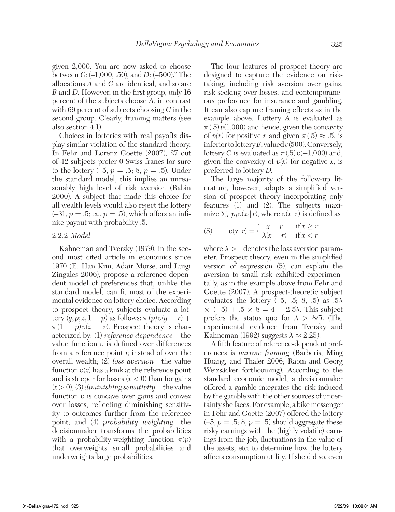given 2,000. You are now asked to choose between *C*: (–1,000, .50), and *D*: (–500)." The allocations *A* and *C* are identical, and so are *B* and *D*. However, in the first group, only 16 percent of the subjects choose *A*, in contrast with 69 percent of subjects choosing *C* in the second group. Clearly, framing matters (see also section 4.1).

Choices in lotteries with real payoffs display similar violation of the standard theory. In Fehr and Lorenz Goette (2007), 27 out of 42 subjects prefer 0 Swiss francs for sure to the lottery  $(-5, p = .5; 8, p = .5)$ . Under the standard model, this implies an unreasonably high level of risk aversion (Rabin 2000). A subject that made this choice for all wealth levels would also reject the lottery  $(-31, p = .5; \infty, p = .5)$ , which offers an infinite payout with probability .5.

#### 2.2.2 *Model*

Kahneman and Tversky (1979), in the second most cited article in economics since 1970 (E. Han Kim, Adair Morse, and Luigi Zingales 2006), propose a reference-dependent model of preferences that, unlike the standard model, can fit most of the experimental evidence on lottery choice. According to prospect theory, subjects evaluate a lottery  $(y, p; z, 1-p)$  as follows:  $\pi(p)v(y-r)$  +  $\pi(1-p)v(z-r)$ . Prospect theory is characterized by: (1) *reference dependence—*the value function *v* is defined over differences from a reference point *r*, instead of over the overall wealth; (2) *loss aversion—*the value function  $v(x)$  has a kink at the reference point and is steeper for losses  $(x < 0)$  than for gains (*x* > 0); (3) *diminishing sensitivity—*the value function  $v$  is concave over gains and convex over losses, reflecting diminishing sensitivity to outcomes further from the reference point; and (4) *probability weighting—*the decisionmaker transforms the probabilities with a probability-weighting function  $\pi(p)$ that overweights small probabilities and underweights large probabilities.

The four features of prospect theory are designed to capture the evidence on risktaking, including risk aversion over gains, risk-seeking over losses, and contemporaneous preference for insurance and gambling. It can also capture framing effects as in the example above. Lottery *A* is evaluated as  $\pi(.5) \nu(1,000)$  and hence, given the concavity of  $v(x)$  for positive *x* and given  $\pi(.5) \approx .5$ , is inferior to lottery *B*, valued *v*(500). Conversely, lottery *C* is evaluated as  $\pi(.5)v(-1,000)$  and, given the convexity of  $v(x)$  for negative *x*, is preferred to lottery *D*.

The large majority of the follow-up literature, however, adopts a simplified version of prospect theory incorporating only features (1) and (2). The subjects maximize  $\sum_i p_i v(x_i | r)$ , where  $v(x | r)$  is defined as

(5) 
$$
v(x|r) = \begin{cases} x - r & \text{if } x \ge r \\ \lambda(x - r) & \text{if } x < r \end{cases}
$$

where  $\lambda > 1$  denotes the loss aversion parameter. Prospect theory, even in the simplified version of expression (5), can explain the aversion to small risk exhibited experimentally, as in the example above from Fehr and Goette (2007). A prospect-theoretic subject evaluates the lottery  $(-5, 0.5, 8, 0.5)$  as  $0.5\lambda$  $\times$  (-5) + .5  $\times$  8 = 4 – 2.5 $\lambda$ . This subject prefers the status quo for  $\lambda > 8/5$ . (The experimental evidence from Tversky and Kahneman (1992) suggests  $\lambda \approx 2.25$ ).

A fifth feature of reference-dependent preferences is *narrow framing* (Barberis, Ming Huang, and Thaler 2006; Rabin and Georg Weizsäcker forthcoming). According to the standard economic model, a decisionmaker offered a gamble integrates the risk induced by the gamble with the other sources of uncertainty she faces. For example, a bike messenger in Fehr and Goette (2007) offered the lottery  $(-5, p = .5; 8, p = .5)$  should aggregate these risky earnings with the (highly volatile) earnings from the job, fluctuations in the value of the assets, etc. to determine how the lottery affects consumption utility. If she did so, even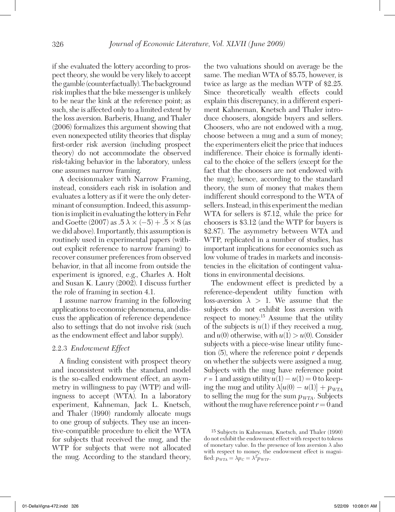if she evaluated the lottery according to prospect theory, she would be very likely to accept the gamble (counterfactually). The background risk implies that the bike messenger is unlikely to be near the kink at the reference point; as such, she is affected only to a limited extent by the loss aversion. Barberis, Huang, and Thaler (2006) formalizes this argument showing that even nonexpected utility theories that display first-order risk aversion (including prospect theory) do not accommodate the observed risk-taking behavior in the laboratory, unless one assumes narrow framing.

A decisionmaker with Narrow Framing, instead, considers each risk in isolation and evaluates a lottery as if it were the only determinant of consumption. Indeed, this assumption is implicit in evaluating the lottery in Fehr and Goette (2007) as  $.5 \lambda \times (-5) + .5 \times 8$  (as we did above). Importantly, this assumption is routinely used in experimental papers (without explicit reference to narrow framing) to recover consumer preferences from observed behavior, in that all income from outside the experiment is ignored, e.g., Charles A. Holt and Susan K. Laury (2002). I discuss further the role of framing in section 4.1.

I assume narrow framing in the following applications to economic phenomena, and discuss the application of reference dependence also to settings that do not involve risk (such as the endowment effect and labor supply).

#### 2.2.3 *Endowment Effect*

A finding consistent with prospect theory and inconsistent with the standard model is the so-called endowment effect, an asymmetry in willingness to pay (WTP) and willingness to accept (WTA). In a laboratory experiment, Kahneman, Jack L. Knetsch, and Thaler (1990) randomly allocate mugs to one group of subjects. They use an incentive-compatible procedure to elicit the WTA for subjects that received the mug, and the WTP for subjects that were not allocated the mug. According to the standard theory,

the two valuations should on average be the same. The median WTA of \$5.75, however, is twice as large as the median WTP of \$2.25. Since theoretically wealth effects could explain this discrepancy, in a different experiment Kahneman, Knetsch and Thaler introduce choosers, alongside buyers and sellers. Choosers, who are not endowed with a mug, choose between a mug and a sum of money; the experimenters elicit the price that induces indifference. Their choice is formally identical to the choice of the sellers (except for the fact that the choosers are not endowed with the mug); hence, according to the standard theory, the sum of money that makes them indifferent should correspond to the WTA of sellers. Instead, in this experiment the median WTA for sellers is \$7.12, while the price for choosers is \$3.12 (and the WTP for buyers is \$2.87). The asymmetry between WTA and WTP, replicated in a number of studies, has important implications for economics such as low volume of trades in markets and inconsistencies in the elicitation of contingent valuations in environmental decisions.

The endowment effect is predicted by a reference-dependent utility function with loss-aversion  $\lambda > 1$ . We assume that the subjects do not exhibit loss aversion with respect to money.<sup>15</sup> Assume that the utility of the subjects is  $u(1)$  if they received a mug, and  $u(0)$  otherwise, with  $u(1) > u(0)$ . Consider subjects with a piece-wise linear utility function (5), where the reference point *r* depends on whether the subjects were assigned a mug. Subjects with the mug have reference point  $r = 1$  and assign utility  $u(1) - u(1) = 0$  to keeping the mug and utility  $\lambda[u(0) - u(1)] + p_{WTA}$ to selling the mug for the sum  $p_{WTA}$ . Subjects without the mug have reference point  $r = 0$  and

<sup>15</sup> Subjects in Kahneman, Knetsch, and Thaler (1990) do not exhibit the endowment effect with respect to tokens of monetary value. In the presence of loss aversion  $\lambda$  also with respect to money, the endowment effect is magnified:  $p_{\text{WTA}} = \lambda p_C = \lambda^2 p_{\text{WTP}}$ .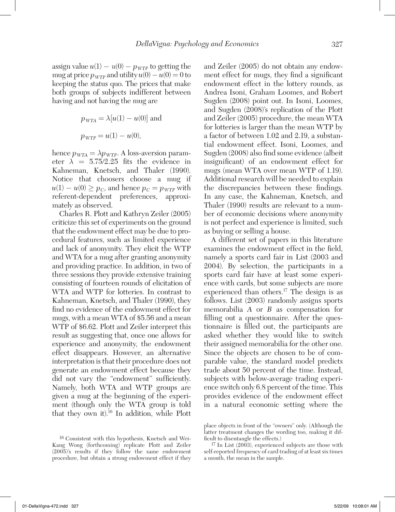assign value  $u(1) - u(0) - p_{WTP}$  to getting the mug at price  $p_{WTP}$  and utility  $u(0) - u(0) = 0$  to keeping the status quo. The prices that make both groups of subjects indifferent between having and not having the mug are

$$
p_{\text{WTA}} = \lambda[u(1) - u(0)]
$$
 and  
 $p_{\text{WTP}} = u(1) - u(0)$ ,

hence  $p_{WTA} = \lambda p_{WTP}$ . A loss-aversion parameter  $\lambda = 5.75/2.25$  fits the evidence in Kahneman, Knetsch, and Thaler (1990). Notice that choosers choose a mug if  $u(1) - u(0) \ge p_C$ , and hence  $p_C = p_{WTP}$  with referent-dependent preferences, approximately as observed.

Charles R. Plott and Kathryn Zeiler (2005) criticize this set of experiments on the ground that the endowment effect may be due to procedural features, such as limited experience and lack of anonymity. They elicit the WTP and WTA for a mug after granting anonymity and providing practice. In addition, in two of three sessions they provide extensive training consisting of fourteen rounds of elicitation of WTA and WTP for lotteries. In contrast to Kahneman, Knetsch, and Thaler (1990), they find no evidence of the endowment effect for mugs, with a mean WTA of \$5.56 and a mean WTP of \$6.62. Plott and Zeiler interpret this result as suggesting that, once one allows for experience and anonymity, the endowment effect disappears. However, an alternative interpretation is that their procedure does not generate an endowment effect because they did not vary the "endowment" sufficiently. Namely, both WTA and WTP groups are given a mug at the beginning of the experiment (though only the WTA group is told that they own it).16 In addition, while Plott

and Zeiler (2005) do not obtain any endowment effect for mugs, they find a significant endowment effect in the lottery rounds, as Andrea Isoni, Graham Loomes, and Robert Sugden (2008) point out. In Isoni, Loomes, and Sugden (2008)'s replication of the Plott and Zeiler (2005) procedure, the mean WTA for lotteries is larger than the mean WTP by a factor of between 1.02 and 2.19, a substantial endowment effect. Isoni, Loomes, and Sugden (2008) also find some evidence (albeit insignificant) of an endowment effect for mugs (mean WTA over mean WTP of 1.19). Additional research will be needed to explain the discrepancies between these findings. In any case, the Kahneman, Knetsch, and Thaler (1990) results are relevant to a number of economic decisions where anonymity is not perfect and experience is limited, such as buying or selling a house.

A different set of papers in this literature examines the endowment effect in the field, namely a sports card fair in List (2003 and 2004). By selection, the participants in a sports card fair have at least some experience with cards, but some subjects are more experienced than others.<sup>17</sup> The design is as follows. List (2003) randomly assigns sports memorabilia *A* or *B* as compensation for filling out a questionnaire. After the questionnaire is filled out, the participants are asked whether they would like to switch their assigned memorabilia for the other one. Since the objects are chosen to be of comparable value, the standard model predicts trade about 50 percent of the time. Instead, subjects with below-average trading experience switch only 6.8 percent of the time. This provides evidence of the endowment effect in a natural economic setting where the

<sup>16</sup> Consistent with this hypothesis, Knetsch and Wei-Kang Wong (forthcoming) replicate Plott and Zeiler (2005)'s results if they follow the same endowment procedure, but obtain a strong endowment effect if they

place objects in front of the "owners" only. (Although the latter treatment changes the wording too, making it difficult to disentangle the effects.)

<sup>17</sup> In List (2003), experienced subjects are those with self-reported frequency of card trading of at least six times a month, the mean in the sample.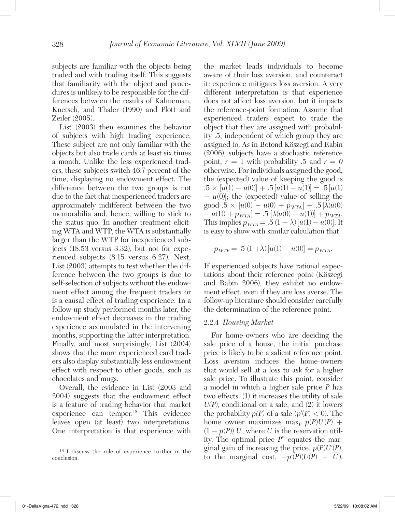subjects are familiar with the objects being traded and with trading itself. This suggests that familiarity with the object and procedures is unlikely to be responsible for the differences between the results of Kahneman, Knetsch, and Thaler (1990) and Plott and Zeiler (2005).

List (2003) then examines the behavior of subjects with high trading experience. These subject are not only familiar with the objects but also trade cards at least six times a month. Unlike the less experienced traders, these subjects switch 46.7 percent of the time, displaying no endowment effect. The difference between the two groups is not due to the fact that inexperienced traders are approximately indifferent between the two memorabilia and, hence, willing to stick to the status quo. In another treatment eliciting WTA and WTP, the WTA is substantially larger than the WTP for inexperienced subjects (18.53 versus 3.32), but not for experienced subjects (8.15 versus 6.27). Next, List (2003) attempts to test whether the difference between the two groups is due to self-selection of subjects without the endowment effect among the frequent traders or is a causal effect of trading experience. In a follow-up study performed months later, the endowment effect decreases in the trading experience accumulated in the intervening months, supporting the latter interpretation. Finally, and most surprisingly, List (2004) shows that the more experienced card traders also display substantially less endowment effect with respect to other goods, such as chocolates and mugs.

Overall, the evidence in List (2003 and 2004) suggests that the endowment effect is a feature of trading behavior that market experience can temper.<sup>18</sup> This evidence leaves open (at least) two interpretations. One interpretation is that experience with

the market leads individuals to become aware of their loss aversion, and counteract it: experience mitigates loss aversion. A very different interpretation is that experience does not affect loss aversion, but it impacts the reference-point formation. Assume that experienced traders expect to trade the object that they are assigned with probability .5, independent of which group they are assigned to. As in Botond Köszegi and Rabin (2006), subjects have a stochastic reference point,  $r = 1$  with probability .5 and  $r = 0$ otherwise. For individuals assigned the good, the (expected) value of keeping the good is  $.5 \times [u(1) - u(0)] + .5[u(1) - u(1)] = .5[u(1)]$ − *u*(0)]; the (expected) value of selling the  $\text{good } .5 \times [u(0) - u(0) + p_{WTA}] + .5[\lambda(u(0)$  $-v(1) + p_{WTA}$  = .5  $[\lambda(u(0) - u(1))] + p_{WTA}$ . This implies  $p_{WTA} = .5 (1 + \lambda) [u(1) - u(0)].$  It is easy to show with similar calculation that

$$
p_{\text{WTP}} = .5 (1 + \lambda) [u(1) - u(0)] = p_{\text{WTA}}.
$$

If experienced subjects have rational expectations about their reference point (Köszegi and Rabin 2006), they exhibit no endowment effect, even if they are loss averse. The follow-up literature should consider carefully the determination of the reference point.

#### 2.2.4 *Housing Market*

For home-owners who are deciding the sale price of a house, the initial purchase price is likely to be a salient reference point. Loss aversion induces the home-owners that would sell at a loss to ask for a higher sale price. To illustrate this point, consider a model in which a higher sale price *P* has two effects: (1) it increases the utility of sale  $U(P)$ , conditional on a sale, and  $(2)$  it lowers the probability  $p(P)$  of a sale  $(p'(P) < 0)$ . The home owner maximizes max<sub>*P*</sub>  $p(P)U(P)$  + (1 –  $p(P)$ )  $\overline{U}$ , where  $\overline{U}$  is the reservation utility. The optimal price *P*\* equates the marginal gain of increasing the price,  $p(P)U'(P)$ , to the marginal cost,  $-p'(P)(U(P) - \overline{U})$ .

<sup>18</sup> I discuss the role of experience further in the conclusion.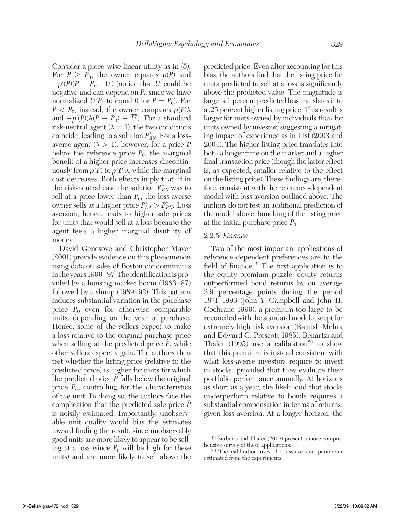Consider a piece-wise linear utility as in (5). For  $P \ge P_0$ , the owner equates  $p(P)$  and  $-p'(P)(P - P_0 - \overline{U})$  (notice that  $\overline{U}$  could be negative and can depend on  $P_0$  since we have normalized  $U(P)$  to equal 0 for  $P = P_0$ ). For  $P < P_0$ , instead, the owner compares  $p(P)\lambda$ and  $-p'(P)(\lambda(P - P_0) - \overline{U})$ . For a standard risk-neutral agent  $(\lambda = 1)$ , the two conditions coincide, leading to a solution  $P_{RN}^*$ . For a lossaverse agent  $(\lambda > 1)$ , however, for a price *P* below the reference price  $P_0$ , the marginal benefit of a higher price increases discontinuously from  $p(P)$  to  $p(P)\lambda$ , while the marginal cost decreases. Both effects imply that, if in the risk-neutral case the solution  $P_{RN}^*$  was to sell at a price lower than  $P_0$ , the loss-averse owner sells at a higher price  $P_{LA}^* > P_{RN}^*$ . Loss aversion, hence, leads to higher sale prices for units that would sell at a loss because the agent feels a higher marginal disutility of money.

David Genesove and Christopher Mayer (2001) provide evidence on this phenomenon using data on sales of Boston condominiums in the years 1990–97. The identification is provided by a housing market boom (1983–87) followed by a slump (1989–92). This pattern induces substantial variation in the purchase price  $P_0$  even for otherwise comparable units, depending on the year of purchase. Hence, some of the sellers expect to make a loss relative to the original purchase price when selling at the predicted price  $\hat{P}$ , while other sellers expect a gain. The authors then test whether the listing price (relative to the predicted price) is higher for units for which  $\frac{1}{2}$  for the predicted price  $\hat{P}$  falls below the original price  $P_0$ , controlling for the characteristics of the unit. In doing so, the authors face the complication that the predicted sale price  $\hat{P}$ is noisily estimated. Importantly, unobservable unit quality would bias the estimates toward finding the result, since unobservably good units are more likely to appear to be selling at a loss (since  $P_0$  will be high for these units) and are more likely to sell above the

predicted price. Even after accounting for this bias, the authors find that the listing price for units predicted to sell at a loss is significantly above the predicted value. The magnitude is large: a 1 percent predicted loss translates into a .25 percent higher listing price. This result is larger for units owned by individuals than for units owned by investor, suggesting a mitigating impact of experience as in List (2003 and 2004). The higher listing price translates into both a longer time on the market and a higher final transaction price (though the latter effect is, as expected, smaller relative to the effect on the listing price). These findings are, therefore, consistent with the reference-dependent model with loss aversion outlined above. The authors do not test an additional prediction of the model above, bunching of the listing price at the initial purchase price  $P_0$ .

#### 2.2.5 *Finance*

Two of the most important applications of reference-dependent preferences are to the field of finance.19 The first application is to the equity premium puzzle: equity returns outperformed bond returns by on average 3.9 percentage points during the period 1871–1993 (John Y. Campbell and John H. Cochrane 1999), a premium too large to be reconciled with the standard model, except for extremely high risk aversion (Rajnish Mehra and Edward C. Prescott 1985). Benartzi and Thaler  $(1995)$  use a calibration<sup>20</sup> to show that this premium is instead consistent with what loss-averse investors require to invest in stocks, provided that they evaluate their portfolio performance annually. At horizons as short as a year, the likelihood that stocks underperform relative to bonds requires a substantial compensation in terms of returns, given loss aversion. At a longer horizon, the

<sup>19</sup> Barberis and Thaler (2003) present a more comprehensive survey of these applications.

<sup>20</sup> The calibration uses the loss-aversion parameter estimated from the experiments.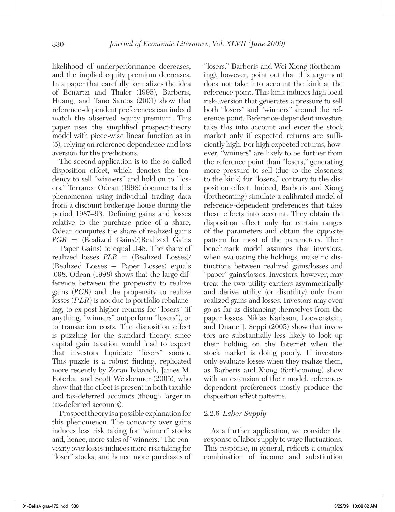likelihood of underperformance decreases, and the implied equity premium decreases. In a paper that carefully formalizes the idea of Benartzi and Thaler (1995), Barberis, Huang, and Tano Santos (2001) show that reference-dependent preferences can indeed match the observed equity premium. This paper uses the simplified prospect-theory model with piece-wise linear function as in (5), relying on reference dependence and loss aversion for the predictions.

The second application is to the so-called disposition effect, which denotes the tendency to sell "winners" and hold on to "losers." Terrance Odean (1998) documents this phenomenon using individual trading data from a discount brokerage house during the period 1987–93. Defining gains and losses relative to the purchase price of a share, Odean computes the share of realized gains *PGR* = (Realized Gains)/(Realized Gains + Paper Gains) to equal .148. The share of realized losses *PLR* = (Realized Losses)/ (Realized Losses + Paper Losses) equals .098. Odean (1998) shows that the large difference between the propensity to realize gains (*PGR*) and the propensity to realize losses (*PLR*) is not due to portfolio rebalancing, to ex post higher returns for "losers" (if anything, "winners" outperform "losers"), or to transaction costs. The disposition effect is puzzling for the standard theory, since capital gain taxation would lead to expect that investors liquidate "losers" sooner. This puzzle is a robust finding, replicated more recently by Zoran Ivkovich, James M. Poterba, and Scott Weisbenner (2005), who show that the effect is present in both taxable and tax-deferred accounts (though larger in tax-deferred accounts).

Prospect theory is a possible explanation for this phenomenon. The concavity over gains induces less risk taking for "winner" stocks and, hence, more sales of "winners." The convexity over losses induces more risk taking for "loser" stocks, and hence more purchases of "losers." Barberis and Wei Xiong (forthcoming), however, point out that this argument does not take into account the kink at the reference point. This kink induces high local risk-aversion that generates a pressure to sell both "losers" and "winners" around the reference point. Reference-dependent investors take this into account and enter the stock market only if expected returns are sufficiently high. For high expected returns, however, "winners" are likely to be further from the reference point than "losers," generating more pressure to sell (due to the closeness to the kink) for "losers," contrary to the disposition effect. Indeed, Barberis and Xiong (forthcoming) simulate a calibrated model of reference-dependent preferences that takes these effects into account. They obtain the disposition effect only for certain ranges of the parameters and obtain the opposite pattern for most of the parameters. Their benchmark model assumes that investors, when evaluating the holdings, make no distinctions between realized gains/losses and "paper" gains/losses. Investors, however, may treat the two utility carriers asymmetrically and derive utility (or disutility) only from realized gains and losses. Investors may even go as far as distancing themselves from the paper losses. Niklas Karlsson, Loewenstein, and Duane J. Seppi (2005) show that investors are substantially less likely to look up their holding on the Internet when the stock market is doing poorly. If investors only evaluate losses when they realize them, as Barberis and Xiong (forthcoming) show with an extension of their model, referencedependent preferences mostly produce the disposition effect patterns.

#### 2.2.6 *Labor Supply*

As a further application, we consider the response of labor supply to wage fluctuations. This response, in general, reflects a complex combination of income and substitution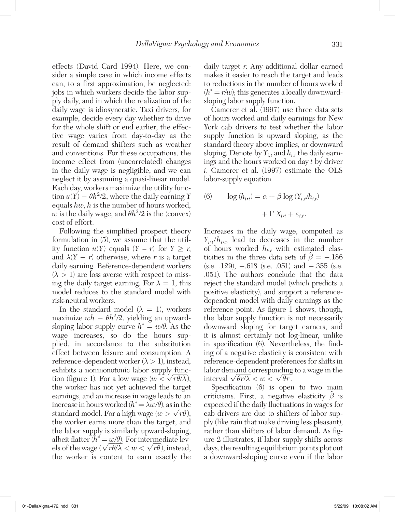effects (David Card 1994). Here, we consider a simple case in which income effects can, to a first approximation, be neglected: jobs in which workers decide the labor supply daily, and in which the realization of the daily wage is idiosyncratic. Taxi drivers, for example, decide every day whether to drive for the whole shift or end earlier; the effective wage varies from day-to-day as the result of demand shifters such as weather and conventions. For these occupations, the income effect from (uncorrelated) changes in the daily wage is negligible, and we can neglect it by assuming a quasi-linear model. Each day, workers maximize the utility function  $u(Y) - \theta h^2/2$ , where the daily earning *Y* equals *hw*, *h* is the number of hours worked,  $w$  is the daily wage, and  $\theta h^2/2$  is the (convex) cost of effort.

Following the simplified prospect theory formulation in (5), we assume that the utility function  $u(Y)$  equals  $(Y - r)$  for  $Y \geq r$ , and  $\lambda(Y - r)$  otherwise, where r is a target daily earning. Reference-dependent workers  $(\lambda > 1)$  are loss averse with respect to missing the daily target earning. For  $\lambda = 1$ , this model reduces to the standard model with risk-neutral workers.

In the standard model  $(\lambda = 1)$ , workers maximize  $wh - \theta h^2/2$ , yielding an upwardsloping labor supply curve  $h^* = w/\theta$ . As the wage increases, so do the hours supplied, in accordance to the substitution effect between leisure and consumption. A reference-dependent worker  $(\lambda > 1)$ , instead, exhibits a nonmonotonic labor supply  $\frac{\text{func}}{\sqrt{2}}$ tion (figure 1). For a low wage  $(w < \sqrt{r\theta/\lambda})$ , the worker has not yet achieved the target earnings, and an increase in wage leads to an increase in hours worked  $(h^* = \lambda w/\theta)$ , as in the standard model. For a high wage  $(w > \sqrt{r\theta})$ , the worker earns more than the target, and the labor supply is similarly upward-sloping, albeit flatter  $(h^* = w/\theta)$ . For intermediate levels of the wage ( $\sqrt{r\theta/\lambda} < w < \sqrt{r\theta}$ ), instead, the worker is content to earn exactly the

daily target *r*. Any additional dollar earned makes it easier to reach the target and leads to reductions in the number of hours worked  $(h^* = r/w)$ ; this generates a locally downwardsloping labor supply function.

Camerer et al. (1997) use three data sets of hours worked and daily earnings for New York cab drivers to test whether the labor supply function is upward sloping, as the standard theory above implies, or downward sloping. Denote by  $Y_{i,t}$  and  $h_{i,t}$  the daily earnings and the hours worked on day *t* by driver *i*. Camerer et al. (1997) estimate the OLS labor-supply equation

(6) 
$$
\log (h_{i\cdot t}) = \alpha + \beta \log (Y_{i,t}/h_{i,t}) + \Gamma X_{i\cdot t} + \varepsilon_{i,t}.
$$

Increases in the daily wage, computed as  $Y_{i,t}/h_{i,t}$ , lead to decreases in the number of hours worked *hi* ,*t* with estimated elasticities in the three data sets of  $\hat{\beta} = -.186$ (s.e. .129), −.618 (s.e. .051) and −.355 (s.e. .051). The authors conclude that the data reject the standard model (which predicts a positive elasticity), and support a referencedependent model with daily earnings as the reference point. As figure 1 shows, though, the labor supply function is not necessarily downward sloping for target earners, and it is almost certainly not log-linear, unlike in specification (6). Nevertheless, the finding of a negative elasticity is consistent with reference-dependent preferences for shifts in labor demand corresponding to a wage in the interval  $\sqrt{\theta r/\lambda} < w < \sqrt{\theta r}$ .

Specification (6) is open to two main criticisms. First, a negative elasticity  $\hat{\beta}$  is expected if the daily fluctuations in wages for cab drivers are due to shifters of labor supply (like rain that make driving less pleasant), rather than shifters of labor demand. As figure 2 illustrates, if labor supply shifts across days, the resulting equilibrium points plot out a downward-sloping curve even if the labor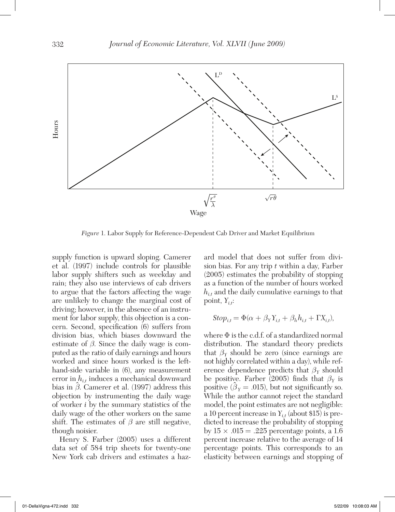

*Figure* 1. Labor Supply for Reference-Dependent Cab Driver and Market Equilibrium

supply function is upward sloping. Camerer et al. (1997) include controls for plausible labor supply shifters such as weekday and rain; they also use interviews of cab drivers to argue that the factors affecting the wage are unlikely to change the marginal cost of driving; however, in the absence of an instrument for labor supply, this objection is a concern. Second, specification (6) suffers from division bias, which biases downward the estimate of  $\beta$ . Since the daily wage is computed as the ratio of daily earnings and hours worked and since hours worked is the lefthand-side variable in (6), any measurement error in  $h_{it}$  induces a mechanical downward bias in  $\hat{\beta}$ . Camerer et al. (1997) address this objection by instrumenting the daily wage of worker *i* by the summary statistics of the daily wage of the other workers on the same shift. The estimates of  $\beta$  are still negative, though noisier.

Henry S. Farber (2005) uses a different data set of 584 trip sheets for twenty-one New York cab drivers and estimates a haz-

ard model that does not suffer from division bias. For any trip *t* within a day, Farber (2005) estimates the probability of stopping as a function of the number of hours worked *hi*,*t* and the daily cumulative earnings to that point, *Yi*,*<sup>t</sup>* :

$$
Stop_{i,t} = \Phi(\alpha + \beta_Y Y_{i,t} + \beta_h h_{i,t} + \Gamma X_{i,t}),
$$

where Φ is the c.d.f. of a standardized normal distribution. The standard theory predicts that  $\beta_Y$  should be zero (since earnings are not highly correlated within a day), while reference dependence predicts that  $\beta_Y$  should be positive. Farber (2005) finds that  $\beta_Y$  is positive ( $\hat{\beta}_Y = .015$ ), but not significantly so. While the author cannot reject the standard model, the point estimates are not negligible: a 10 percent increase in  $Y_{it}$  (about \$15) is predicted to increase the probability of stopping by  $15 \times .015 = .225$  percentage points, a 1.6 percent increase relative to the average of 14 percentage points. This corresponds to an elasticity between earnings and stopping of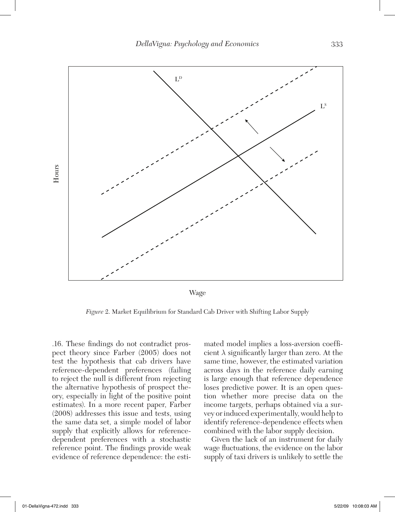

Wage

*Figure* 2. Market Equilibrium for Standard Cab Driver with Shifting Labor Supply

.16. These findings do not contradict prospect theory since Farber (2005) does not test the hypothesis that cab drivers have reference-dependent preferences (failing to reject the null is different from rejecting the alternative hypothesis of prospect theory, especially in light of the positive point estimates). In a more recent paper, Farber (2008) addresses this issue and tests, using the same data set, a simple model of labor supply that explicitly allows for referencedependent preferences with a stochastic reference point. The findings provide weak evidence of reference dependence: the esti-

mated model implies a loss-aversion coefficient  $\lambda$  significantly larger than zero. At the same time, however, the estimated variation across days in the reference daily earning is large enough that reference dependence loses predictive power. It is an open question whether more precise data on the income targets, perhaps obtained via a survey or induced experimentally, would help to identify reference-dependence effects when combined with the labor supply decision.

Given the lack of an instrument for daily wage fluctuations, the evidence on the labor supply of taxi drivers is unlikely to settle the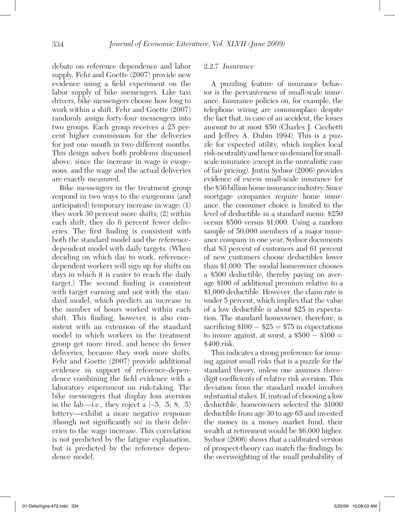debate on reference dependence and labor supply. Fehr and Goette (2007) provide new evidence using a field experiment on the labor supply of bike messengers. Like taxi drivers, bike messengers choose how long to work within a shift. Fehr and Goette (2007) randomly assign forty-four messengers into two groups. Each group receives a 25 percent higher commission for the deliveries for just one month in two different months. This design solves both problems discussed above, since the increase in wage is exogenous, and the wage and the actual deliveries are exactly measured.

Bike messengers in the treatment group respond in two ways to the exogenous (and anticipated) temporary increase in wage: (1) they work 30 percent more shifts; (2) within each shift, they do 6 percent fewer deliveries. The first finding is consistent with both the standard model and the referencedependent model with daily targets. (When deciding on which day to work, referencedependent workers will sign up for shifts on days in which it is easier to reach the daily target.) The second finding is consistent with target earning and not with the standard model, which predicts an increase in the number of hours worked within each shift. This finding, however, is also consistent with an extension of the standard model in which workers in the treatment group get more tired, and hence do fewer deliveries, because they work more shifts. Fehr and Goette (2007) provide additional evidence in support of reference-dependence combining the field evidence with a laboratory experiment on risk-taking. The bike messengers that display loss aversion in the lab—i.e., they reject a  $(-5, 0.5, 8, 0.5)$ lottery—exhibit a more negative response (though not significantly so) in their deliveries to the wage increase. This correlation is not predicted by the fatigue explanation, but is predicted by the reference dependence model.

#### 2.2.7 *Insurance*

A puzzling feature of insurance behavior is the pervasiveness of small-scale insurance. Insurance policies on, for example, the telephone wiring are commonplace despite the fact that, in case of an accident, the losses amount to at most \$50 (Charles J. Cicchetti and Jeffrey A. Dubin 1994). This is a puzzle for expected utility, which implies local risk-neutrality and hence no demand for smallscale insurance (except in the unrealistic case of fair pricing). Justin Sydnor (2006) provides evidence of excess small-scale insurance for the \$36 billion home insurance industry. Since mortgage companies require home insurance, the consumer choice is limited to the level of deductible in a standard menu: \$250 versus \$500 versus \$1,000. Using a random sample of 50,000 members of a major insurance company in one year, Sydnor documents that 83 percent of customers and 61 percent of new customers choose deductibles lower than \$1,000. The modal homeowner chooses a \$500 deductible, thereby paying on average \$100 of additional premium relative to a \$1,000 deductible. However, the claim rate is under 5 percent, which implies that the value of a low deductible is about \$25 in expectation. The standard homeowner, therefore, is sacrificing  $$100 - $25 = $75$  in expectations to insure against, at worst, a  $$500 - $100 =$ \$400 risk.

This indicates a strong preference for insuring against small risks that is a puzzle for the standard theory, unless one assumes threedigit coefficients of relative risk aversion. This deviation from the standard model involves substantial stakes. If, instead of choosing a low deductible, homeowners selected the \$1000 deductible from age 30 to age 65 and invested the money in a money market fund, their wealth at retirement would be \$6,000 higher. Sydnor (2006) shows that a calibrated version of prospect-theory can match the findings by the overweighting of the small probability of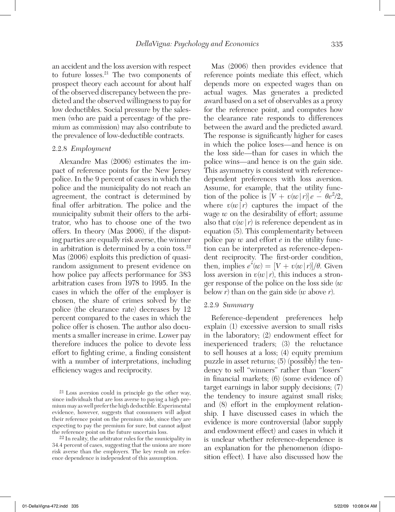an accident and the loss aversion with respect to future losses.21 The two components of prospect theory each account for about half of the observed discrepancy between the predicted and the observed willingness to pay for low deductibles. Social pressure by the salesmen (who are paid a percentage of the premium as commission) may also contribute to the prevalence of low-deductible contracts.

#### 2.2.8 *Employment*

Alexandre Mas (2006) estimates the impact of reference points for the New Jersey police. In the 9 percent of cases in which the police and the municipality do not reach an agreement, the contract is determined by final offer arbitration. The police and the municipality submit their offers to the arbitrator, who has to choose one of the two offers. In theory (Mas 2006), if the disputing parties are equally risk averse, the winner in arbitration is determined by a coin toss. $22$ Mas (2006) exploits this prediction of quasirandom assignment to present evidence on how police pay affects performance for 383 arbitration cases from 1978 to 1995. In the cases in which the offer of the employer is chosen, the share of crimes solved by the police (the clearance rate) decreases by 12 percent compared to the cases in which the police offer is chosen. The author also documents a smaller increase in crime. Lower pay therefore induces the police to devote less effort to fighting crime, a finding consistent with a number of interpretations, including efficiency wages and reciprocity.

 $22$  In reality, the arbitrator rules for the municipality in 34.4 percent of cases, suggesting that the unions are more risk averse than the employers. The key result on reference dependence is independent of this assumption.

Mas (2006) then provides evidence that reference points mediate this effect, which depends more on expected wages than on actual wages. Mas generates a predicted award based on a set of observables as a proxy for the reference point, and computes how the clearance rate responds to differences between the award and the predicted award. The response is significantly higher for cases in which the police loses—and hence is on the loss side—than for cases in which the police wins—and hence is on the gain side. This asymmetry is consistent with referencedependent preferences with loss aversion. Assume, for example, that the utility function of the police is  $[V + v(w|r)]e - \theta e^2/2$ , where  $v(w|r)$  captures the impact of the wage *w* on the desirability of effort; assume also that  $v(w|r)$  is reference dependent as in equation (5). This complementarity between police pay  $w$  and effort  $e$  in the utility function can be interpreted as reference-dependent reciprocity. The first-order condition, then, implies  $e^*(w) = |V + v(w) r| / \theta$ . Given loss aversion in  $v(w | r)$ , this induces a stronger response of the police on the loss side (*w* below *r*) than on the gain side (*w* above *r*).

#### 2.2.9 *Summary*

Reference-dependent preferences help explain (1) excessive aversion to small risks in the laboratory; (2) endowment effect for inexperienced traders; (3) the reluctance to sell houses at a loss; (4) equity premium puzzle in asset returns; (5) (possibly) the tendency to sell "winners" rather than "losers" in financial markets; (6) (some evidence of) target earnings in labor supply decisions; (7) the tendency to insure against small risks; and (8) effort in the employment relationship. I have discussed cases in which the evidence is more controversial (labor supply and endowment effect) and cases in which it is unclear whether reference-dependence is an explanation for the phenomenon (disposition effect). I have also discussed how the

<sup>21</sup> Loss aversion could in principle go the other way, since individuals that are loss averse to paying a high premium may as well prefer the high deductible. Experimental evidence, however, suggests that consumers will adjust their reference point on the premium side, since they are expecting to pay the premium for sure, but cannot adjust the reference point on the future uncertain loss.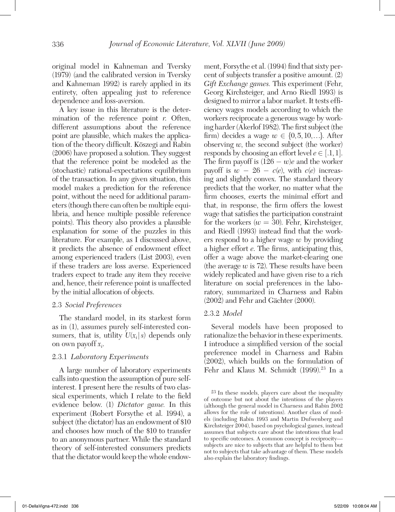original model in Kahneman and Tversky (1979) (and the calibrated version in Tversky and Kahneman 1992) is rarely applied in its entirety, often appealing just to reference dependence and loss-aversion.

A key issue in this literature is the determination of the reference point *r*. Often, different assumptions about the reference point are plausible, which makes the application of the theory difficult. Köszegi and Rabin (2006) have proposed a solution. They suggest that the reference point be modeled as the (stochastic) rational-expectations equilibrium of the transaction. In any given situation, this model makes a prediction for the reference point, without the need for additional parameters (though there can often be multiple equilibria, and hence multiple possible reference points). This theory also provides a plausible explanation for some of the puzzles in this literature. For example, as I discussed above, it predicts the absence of endowment effect among experienced traders (List 2003), even if these traders are loss averse. Experienced traders expect to trade any item they receive and, hence, their reference point is unaffected by the initial allocation of objects.

#### 2.3 *Social Preferences*

The standard model, in its starkest form as in (1), assumes purely self-interested consumers, that is, utility  $U(x_i|s)$  depends only on own payoff *xi* .

#### 2.3.1 *Laboratory Experiments*

A large number of laboratory experiments calls into question the assumption of pure selfinterest. I present here the results of two classical experiments, which I relate to the field evidence below. (1) *Dictator game.* In this experiment (Robert Forsythe et al. 1994), a subject (the dictator) has an endowment of \$10 and chooses how much of the \$10 to transfer to an anonymous partner. While the standard theory of self-interested consumers predicts that the dictator would keep the whole endowment, Forsythe et al. (1994) find that sixty percent of subjects transfer a positive amount. (2) *Gift Exchange games.* This experiment (Fehr, Georg Kirchsteiger, and Arno Riedl 1993) is designed to mirror a labor market. It tests efficiency wages models according to which the workers reciprocate a generous wage by working harder (Akerlof 1982). The first subject (the firm) decides a wage  $w \in \{0, 5, 10, \ldots\}$ . After observing  $w$ , the second subject (the worker) responds by choosing an effort level  $e \in [.1,1].$ The firm payoff is  $(126 - w)e$  and the worker payoff is  $w - 26 - c(e)$ , with  $c(e)$  increasing and slightly convex. The standard theory predicts that the worker, no matter what the firm chooses, exerts the minimal effort and that, in response, the firm offers the lowest wage that satisfies the participation constraint for the workers  $(w = 30)$ . Fehr, Kirchsteiger, and Riedl (1993) instead find that the workers respond to a higher wage *w* by providing a higher effort *e*. The firms, anticipating this, offer a wage above the market-clearing one (the average  $w$  is 72). These results have been widely replicated and have given rise to a rich literature on social preferences in the laboratory, summarized in Charness and Rabin (2002) and Fehr and Gächter (2000).

#### 2.3.2 *Model*

Several models have been proposed to rationalize the behavior in these experiments. I introduce a simplified version of the social preference model in Charness and Rabin (2002), which builds on the formulation of Fehr and Klaus M. Schmidt (1999).<sup>23</sup> In a

<sup>23</sup> In these models, players care about the inequality of outcome but not about the intentions of the players (although the general model in Charness and Rabin 2002 allows for the role of intentions). Another class of models (including Rabin 1993 and Martin Dufwenberg and Kirchsteiger 2004), based on psychological games, instead assumes that subjects care about the intentions that lead to specific outcomes. A common concept is reciprocity subjects are nice to subjects that are helpful to them but not to subjects that take advantage of them. These models also explain the laboratory findings.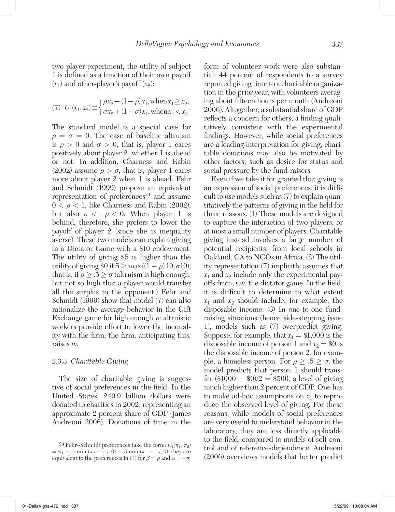two-player experiment, the utility of subject 1 is defined as a function of their own payoff  $(x_1)$  and other-player's payoff  $(x_2)$ :

(7) 
$$
U_1(x_1, x_2) \equiv \begin{cases} \rho x_2 + (1 - \rho) x_1, \text{ when } x_1 \ge x_2; \\ \sigma x_2 + (1 - \sigma) x_1, \text{ when } x_1 < x_2 \end{cases}
$$

The standard model is a special case for  $\rho = \sigma = 0$ . The case of baseline altruism is  $\rho > 0$  and  $\sigma > 0$ , that is, player 1 cares positively about player 2, whether 1 is ahead or not. In addition, Charness and Rabin (2002) assume  $\rho > \sigma$ , that is, player 1 cares more about player 2 when 1 is ahead. Fehr and Schmidt (1999) propose an equivalent representation of preferences $24$  and assume  $0 < \rho < 1$ , like Charness and Rabin (2002), but also  $\sigma < -\rho < 0$ . When player 1 is behind, therefore, she prefers to lower the payoff of player 2 (since she is inequality averse). These two models can explain giving in a Dictator Game with a \$10 endowment. The utility of giving \$5 is higher than the utility of giving \$0 if  $5 \ge \max((1 - \rho) 10, \sigma 10)$ , that is, if  $\rho \geq .5 \geq \sigma$  (altruism is high enough, but not so high that a player would transfer all the surplus to the opponent.) Fehr and Schmidt (1999) show that model (7) can also rationalize the average behavior in the Gift Exchange game for high enough  $\rho$ : altruistic workers provide effort to lower the inequality with the firm; the firm, anticipating this, raises *w*.

#### 2.3.3 *Charitable Giving*

The size of charitable giving is suggestive of social preferences in the field. In the United States, 240.9 billion dollars were donated to charities in 2002, representing an approximate 2 percent share of GDP (James Andreoni 2006). Donations of time in the form of volunteer work were also substantial: 44 percent of respondents to a survey reported giving time to a charitable organization in the prior year, with volunteers averaging about fifteen hours per month (Andreoni 2006). Altogether, a substantial share of GDP reflects a concern for others, a finding qualitatively consistent with the experimental findings. However, while social preferences are a leading interpretation for giving, charitable donations may also be motivated by other factors, such as desire for status and social pressure by the fund-raisers.

Even if we take it for granted that giving is an expression of social preferences, it is difficult to use models such as (7) to explain quantitatively the patterns of giving in the field for three reasons. (1) These models are designed to capture the interaction of two players, or at most a small number of players. Charitable giving instead involves a large number of potential recipients, from local schools in Oakland, CA to NGOs in Africa. (2) The utility representation (7) implicitly assumes that  $x_1$  and  $x_2$  include only the experimental payoffs from, say, the dictator game. In the field, it is difficult to determine to what extent  $x_1$  and  $x_2$  should include, for example, the disposable income. (3) In one-to-one fundraising situations (hence side-stepping issue 1), models such as (7) overpredict giving. Suppose, for example, that  $x_1 = $1,000$  is the disposable income of person 1 and  $x_2 = $0$  is the disposable income of person 2, for example, a homeless person. For  $\rho \geq .5 \geq \sigma$ , the model predicts that person 1 should transfer  $(\$1000 - \$0)/2 = \$500$ , a level of giving much higher than 2 percent of GDP. One has to make ad-hoc assumptions on  $x_1$  to reproduce the observed level of giving. For these reasons, while models of social preferences are very useful to understand behavior in the laboratory, they are less directly applicable to the field, compared to models of self-control and of reference-dependence. Andreoni (2006) overviews models that better predict

<sup>&</sup>lt;sup>24</sup> Fehr–Schmidt preferences take the form:  $U_1(\pi_1, \pi_2)$  $=\pi_1 - \alpha \min (\pi_2 - \pi_1, 0) - \beta \min (\pi_1 - \pi_2, 0);$  they are equivalent to the preferences in (7) for  $\beta = \rho$  and  $\alpha = -\sigma$ .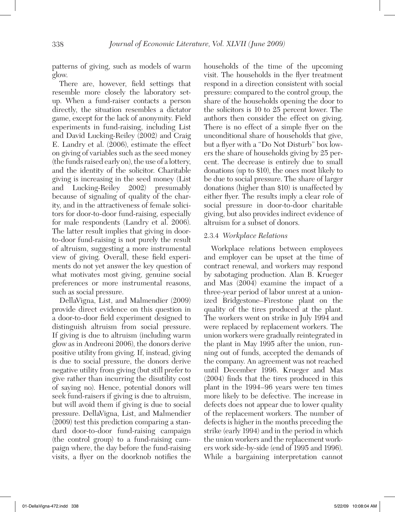patterns of giving, such as models of warm glow.

There are, however, field settings that resemble more closely the laboratory setup. When a fund-raiser contacts a person directly, the situation resembles a dictator game, except for the lack of anonymity. Field experiments in fund-raising, including List and David Lucking-Reiley (2002) and Craig E. Landry et al. (2006), estimate the effect on giving of variables such as the seed money (the funds raised early on), the use of a lottery, and the identity of the solicitor. Charitable giving is increasing in the seed money (List and Lucking-Reiley 2002) presumably because of signaling of quality of the charity, and in the attractiveness of female solicitors for door-to-door fund-raising, especially for male respondents (Landry et al. 2006). The latter result implies that giving in doorto-door fund-raising is not purely the result of altruism, suggesting a more instrumental view of giving. Overall, these field experiments do not yet answer the key question of what motivates most giving, genuine social preferences or more instrumental reasons, such as social pressure.

DellaVigna, List, and Malmendier (2009) provide direct evidence on this question in a door-to-door field experiment designed to distinguish altruism from social pressure. If giving is due to altruism (including warm glow as in Andreoni 2006), the donors derive positive utility from giving. If, instead, giving is due to social pressure, the donors derive negative utility from giving (but still prefer to give rather than incurring the disutility cost of saying no). Hence, potential donors will seek fund-raisers if giving is due to altruism, but will avoid them if giving is due to social pressure. DellaVigna, List, and Malmendier (2009) test this prediction comparing a standard door-to-door fund-raising campaign (the control group) to a fund-raising campaign where, the day before the fund-raising visits, a flyer on the doorknob notifies the

households of the time of the upcoming visit. The households in the flyer treatment respond in a direction consistent with social pressure: compared to the control group, the share of the households opening the door to the solicitors is 10 to 25 percent lower. The authors then consider the effect on giving. There is no effect of a simple flyer on the unconditional share of households that give, but a flyer with a "Do Not Disturb" box lowers the share of households giving by 25 percent. The decrease is entirely due to small donations (up to \$10), the ones most likely to be due to social pressure. The share of larger donations (higher than \$10) is unaffected by either flyer. The results imply a clear role of social pressure in door-to-door charitable giving, but also provides indirect evidence of altruism for a subset of donors.

#### 2.3.4 *Workplace Relations*

Workplace relations between employees and employer can be upset at the time of contract renewal, and workers may respond by sabotaging production. Alan B. Krueger and Mas (2004) examine the impact of a three-year period of labor unrest at a unionized Bridgestone–Firestone plant on the quality of the tires produced at the plant. The workers went on strike in July 1994 and were replaced by replacement workers. The union workers were gradually reintegrated in the plant in May 1995 after the union, running out of funds, accepted the demands of the company. An agreement was not reached until December 1996. Krueger and Mas (2004) finds that the tires produced in this plant in the 1994–96 years were ten times more likely to be defective. The increase in defects does not appear due to lower quality of the replacement workers. The number of defects is higher in the months preceding the strike (early 1994) and in the period in which the union workers and the replacement workers work side-by-side (end of 1995 and 1996). While a bargaining interpretation cannot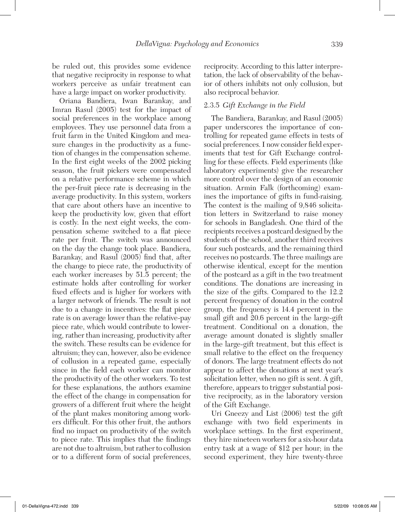be ruled out, this provides some evidence that negative reciprocity in response to what workers perceive as unfair treatment can have a large impact on worker productivity.

Oriana Bandiera, Iwan Barankay, and Imran Rasul (2005) test for the impact of social preferences in the workplace among employees. They use personnel data from a fruit farm in the United Kingdom and measure changes in the productivity as a function of changes in the compensation scheme. In the first eight weeks of the 2002 picking season, the fruit pickers were compensated on a relative performance scheme in which the per-fruit piece rate is decreasing in the average productivity. In this system, workers that care about others have an incentive to keep the productivity low, given that effort is costly. In the next eight weeks, the compensation scheme switched to a flat piece rate per fruit. The switch was announced on the day the change took place. Bandiera, Barankay, and Rasul (2005) find that, after the change to piece rate, the productivity of each worker increases by 51.5 percent; the estimate holds after controlling for worker fixed effects and is higher for workers with a larger network of friends. The result is not due to a change in incentives: the flat piece rate is on average lower than the relative-pay piece rate, which would contribute to lowering, rather than increasing, productivity after the switch. These results can be evidence for altruism; they can, however, also be evidence of collusion in a repeated game, especially since in the field each worker can monitor the productivity of the other workers. To test for these explanations, the authors examine the effect of the change in compensation for growers of a different fruit where the height of the plant makes monitoring among workers difficult. For this other fruit, the authors find no impact on productivity of the switch to piece rate. This implies that the findings are not due to altruism, but rather to collusion or to a different form of social preferences,

reciprocity. According to this latter interpretation, the lack of observability of the behavior of others inhibits not only collusion, but also reciprocal behavior.

#### 2.3.5 *Gift Exchange in the Field*

The Bandiera, Barankay, and Rasul (2005) paper underscores the importance of controlling for repeated game effects in tests of social preferences. I now consider field experiments that test for Gift Exchange controlling for these effects. Field experiments (like laboratory experiments) give the researcher more control over the design of an economic situation. Armin Falk (forthcoming) examines the importance of gifts in fund-raising. The context is the mailing of 9,846 solicitation letters in Switzerland to raise money for schools in Bangladesh. One third of the recipients receives a postcard designed by the students of the school, another third receives four such postcards, and the remaining third receives no postcards. The three mailings are otherwise identical, except for the mention of the postcard as a gift in the two treatment conditions. The donations are increasing in the size of the gifts. Compared to the 12.2 percent frequency of donation in the control group, the frequency is 14.4 percent in the small gift and 20.6 percent in the large-gift treatment. Conditional on a donation, the average amount donated is slightly smaller in the large-gift treatment, but this effect is small relative to the effect on the frequency of donors. The large treatment effects do not appear to affect the donations at next year's solicitation letter, when no gift is sent. A gift, therefore, appears to trigger substantial positive reciprocity, as in the laboratory version of the Gift Exchange.

Uri Gneezy and List (2006) test the gift exchange with two field experiments in workplace settings. In the first experiment, they hire nineteen workers for a six-hour data entry task at a wage of \$12 per hour; in the second experiment, they hire twenty-three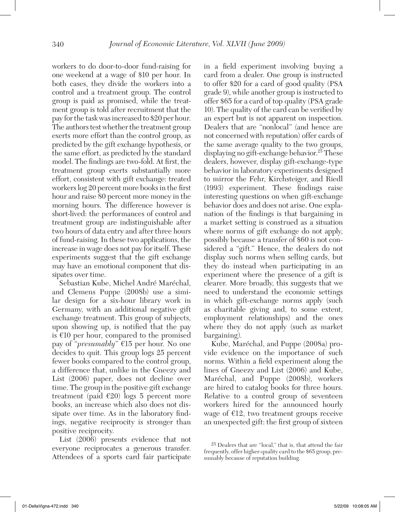workers to do door-to-door fund-raising for one weekend at a wage of \$10 per hour. In both cases, they divide the workers into a control and a treatment group. The control group is paid as promised, while the treatment group is told after recruitment that the pay for the task was increased to \$20 per hour. The authors test whether the treatment group exerts more effort than the control group, as predicted by the gift exchange hypothesis, or the same effort, as predicted by the standard model. The findings are two-fold. At first, the treatment group exerts substantially more effort, consistent with gift exchange: treated workers log 20 percent more books in the first hour and raise 80 percent more money in the morning hours. The difference however is short-lived: the performances of control and treatment group are indistinguishable after two hours of data entry and after three hours of fund-raising. In these two applications, the increase in wage does not pay for itself. These experiments suggest that the gift exchange may have an emotional component that dissipates over time.

Sebastian Kube, Michel André Maréchal, and Clemens Puppe (2008b) use a similar design for a six-hour library work in Germany, with an additional negative gift exchange treatment. This group of subjects, upon showing up, is notified that the pay is  $€10$  per hour, compared to the promised pay of "*presumably*" €15 per hour. No one decides to quit. This group logs 25 percent fewer books compared to the control group, a difference that, unlike in the Gneezy and List (2006) paper, does not decline over time. The group in the positive gift exchange treatment (paid  $\epsilon$ 20) logs 5 percent more books, an increase which also does not dissipate over time. As in the laboratory findings, negative reciprocity is stronger than positive reciprocity.

List (2006) presents evidence that not everyone reciprocates a generous transfer. Attendees of a sports card fair participate

in a field experiment involving buying a card from a dealer. One group is instructed to offer \$20 for a card of good quality (PSA grade 9), while another group is instructed to offer \$65 for a card of top quality (PSA grade 10). The quality of the card can be verified by an expert but is not apparent on inspection. Dealers that are "nonlocal" (and hence are not concerned with reputation) offer cards of the same average quality to the two groups, displaying no gift-exchange behavior.<sup>25</sup> These dealers, however, display gift-exchange-type behavior in laboratory experiments designed to mirror the Fehr, Kirchsteiger, and Riedl (1993) experiment. These findings raise interesting questions on when gift-exchange behavior does and does not arise. One explanation of the findings is that bargaining in a market setting is construed as a situation where norms of gift exchange do not apply, possibly because a transfer of \$60 is not considered a "gift." Hence, the dealers do not display such norms when selling cards, but they do instead when participating in an experiment where the presence of a gift is clearer. More broadly, this suggests that we need to understand the economic settings in which gift-exchange norms apply (such as charitable giving and, to some extent, employment relationships) and the ones where they do not apply (such as market bargaining).

Kube, Maréchal, and Puppe (2008a) provide evidence on the importance of such norms. Within a field experiment along the lines of Gneezy and List (2006) and Kube, Maréchal, and Puppe (2008b), workers are hired to catalog books for three hours. Relative to a control group of seventeen workers hired for the announced hourly wage of  $E12$ , two treatment groups receive an unexpected gift: the first group of sixteen

<sup>25</sup> Dealers that are "local," that is, that attend the fair frequently, offer higher-quality card to the \$65 group, presumably because of reputation building.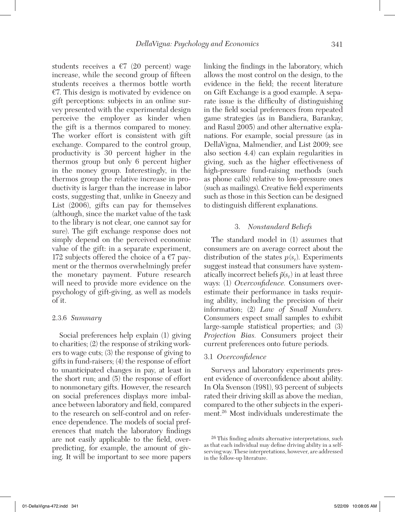students receives a  $\epsilon$ 7 (20 percent) wage increase, while the second group of fifteen students receives a thermos bottle worth €7. This design is motivated by evidence on gift perceptions: subjects in an online survey presented with the experimental design perceive the employer as kinder when the gift is a thermos compared to money. The worker effort is consistent with gift exchange. Compared to the control group, productivity is 30 percent higher in the thermos group but only 6 percent higher in the money group. Interestingly, in the thermos group the relative increase in productivity is larger than the increase in labor costs, suggesting that, unlike in Gneezy and List (2006), gifts can pay for themselves (although, since the market value of the task to the library is not clear, one cannot say for sure). The gift exchange response does not simply depend on the perceived economic value of the gift: in a separate experiment, 172 subjects offered the choice of a  $\epsilon$ 7 payment or the thermos overwhelmingly prefer the monetary payment. Future research will need to provide more evidence on the psychology of gift-giving, as well as models of it.

#### 2.3.6 *Summary*

Social preferences help explain (1) giving to charities; (2) the response of striking workers to wage cuts; (3) the response of giving to gifts in fund-raisers; (4) the response of effort to unanticipated changes in pay, at least in the short run; and (5) the response of effort to nonmonetary gifts. However, the research on social preferences displays more imbalance between laboratory and field, compared to the research on self-control and on reference dependence. The models of social preferences that match the laboratory findings are not easily applicable to the field, overpredicting, for example, the amount of giving. It will be important to see more papers

linking the findings in the laboratory, which allows the most control on the design, to the evidence in the field; the recent literature on Gift Exchange is a good example. A separate issue is the difficulty of distinguishing in the field social preferences from repeated game strategies (as in Bandiera, Barankay, and Rasul 2005) and other alternative explanations. For example, social pressure (as in DellaVigna, Malmendier, and List 2009; see also section 4.4) can explain regularities in giving, such as the higher effectiveness of high-pressure fund-raising methods (such as phone calls) relative to low-pressure ones (such as mailings). Creative field experiments such as those in this Section can be designed to distinguish different explanations.

#### 3. *Nonstandard Beliefs*

The standard model in (1) assumes that consumers are on average correct about the distribution of the states  $p(s_t)$ . Experiments suggest instead that consumers have systematically incorrect beliefs  $\tilde{p}(s_t)$  in at least three ways: (1) *Overconfidence.* Consumers overestimate their performance in tasks requiring ability, including the precision of their information; (2) *Law of Small Numbers.*  Consumers expect small samples to exhibit large-sample statistical properties; and (3) *Projection Bias.* Consumers project their current preferences onto future periods.

#### 3.1 *Overconfidence*

Surveys and laboratory experiments present evidence of overconfidence about ability. In Ola Svenson (1981), 93 percent of subjects rated their driving skill as above the median, compared to the other subjects in the experiment.26 Most individuals underestimate the

<sup>26</sup> This finding admits alternative interpretations, such as that each individual may define driving ability in a selfserving way. These interpretations, however, are addressed in the follow-up literature.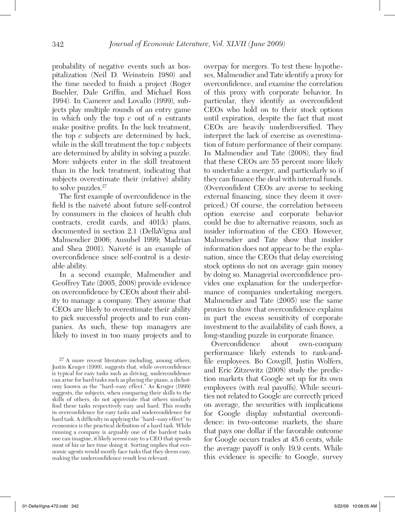probability of negative events such as hospitalization (Neil D. Weinstein 1980) and the time needed to finish a project (Roger Buehler, Dale Griffin, and Michael Ross 1994). In Camerer and Lovallo (1999), subjects play multiple rounds of an entry game in which only the top *c* out of *n* entrants make positive profits. In the luck treatment, the top *c* subjects are determined by luck, while in the skill treatment the top *c* subjects are determined by ability in solving a puzzle. More subjects enter in the skill treatment than in the luck treatment, indicating that subjects overestimate their (relative) ability to solve puzzles.<sup>27</sup>

The first example of overconfidence in the field is the naiveté about future self-control by consumers in the choices of health club contracts, credit cards, and 401(k) plans, documented in section 2.1 (DellaVigna and Malmendier 2006; Ausubel 1999; Madrian and Shea 2001). Naiveté is an example of overconfidence since self-control is a desirable ability.

In a second example, Malmendier and Geoffrey Tate (2005, 2008) provide evidence on overconfidence by CEOs about their ability to manage a company. They assume that CEOs are likely to overestimate their ability to pick successful projects and to run companies. As such, these top managers are likely to invest in too many projects and to

27 A more recent literature including, among others, Justin Kruger (1999), suggests that, while overconfidence is typical for easy tasks such as driving, underconfidence can arise for hard tasks such as playing the piano, a dichotomy known as the "hard–easy effect." As Kruger (1999) suggests, the subjects, when comparing their skills to the skills of others, do not appreciate that others similarly find these tasks respectively easy and hard. This results in overconfidence for easy tasks and underconfidence for hard task. A difficulty in applying the "hard–easy effect" to economics is the practical definition of a hard task. While running a company is arguably one of the hardest tasks one can imagine, it likely seems easy to a CEO that spends most of his or her time doing it. Sorting implies that economic agents would mostly face tasks that they deem easy, making the underconfidence result less relevant.

overpay for mergers. To test these hypotheses, Malmendier and Tate identify a proxy for overconfidence, and examine the correlation of this proxy with corporate behavior. In particular, they identify as overconfident CEOs who hold on to their stock options until expiration, despite the fact that most CEOs are heavily underdiversified. They interpret the lack of exercise as overestimation of future performance of their company. In Malmendier and Tate (2008), they find that these CEOs are 55 percent more likely to undertake a merger, and particularly so if they can finance the deal with internal funds. (Overconfident CEOs are averse to seeking external financing, since they deem it overpriced.) Of course, the correlation between option exercise and corporate behavior could be due to alternative reasons, such as insider information of the CEO. However, Malmendier and Tate show that insider information does not appear to be the explanation, since the CEOs that delay exercising stock options do not on average gain money by doing so. Managerial overconfidence provides one explanation for the underperformance of companies undertaking mergers. Malmendier and Tate (2005) use the same proxies to show that overconfidence explains in part the excess sensitivity of corporate investment to the availability of cash flows, a long-standing puzzle in corporate finance.

Overconfidence about own-company performance likely extends to rank-andfile employees. Bo Cowgill, Justin Wolfers, and Eric Zitzewitz (2008) study the prediction markets that Google set up for its own employees (with real payoffs). While securities not related to Google are correctly priced on average, the securities with implications for Google display substantial overconfidence: in two-outcome markets, the share that pays one dollar if the favorable outcome for Google occurs trades at 45.6 cents, while the average payoff is only 19.9 cents. While this evidence is specific to Google, survey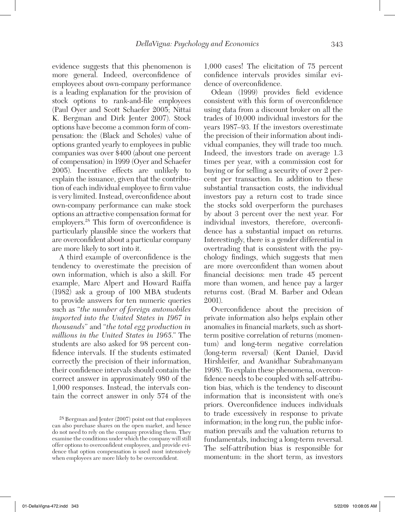evidence suggests that this phenomenon is more general. Indeed, overconfidence of employees about own-company performance is a leading explanation for the provision of stock options to rank-and-file employees (Paul Oyer and Scott Schaefer 2005; Nittai K. Bergman and Dirk Jenter 2007). Stock options have become a common form of compensation: the (Black and Scholes) value of options granted yearly to employees in public companies was over \$400 (about one percent of compensation) in 1999 (Oyer and Schaefer 2005). Incentive effects are unlikely to explain the issuance, given that the contribution of each individual employee to firm value is very limited. Instead, overconfidence about own-company performance can make stock options an attractive compensation format for employers.<sup>28</sup> This form of overconfidence is particularly plausible since the workers that are overconfident about a particular company are more likely to sort into it.

A third example of overconfidence is the tendency to overestimate the precision of own information, which is also a skill. For example, Marc Alpert and Howard Raiffa (1982) ask a group of 100 MBA students to provide answers for ten numeric queries such as "*the number of foreign automobiles imported into the United States in 1967 in thousands*" and "*the total egg production in millions in the United States in 1965*." The students are also asked for 98 percent confidence intervals. If the students estimated correctly the precision of their information, their confidence intervals should contain the correct answer in approximately 980 of the 1,000 responses. Instead, the intervals contain the correct answer in only 574 of the

1,000 cases! The elicitation of 75 percent confidence intervals provides similar evidence of overconfidence.

Odean (1999) provides field evidence consistent with this form of overconfidence using data from a discount broker on all the trades of 10,000 individual investors for the years 1987–93. If the investors overestimate the precision of their information about individual companies, they will trade too much. Indeed, the investors trade on average 1.3 times per year, with a commission cost for buying or for selling a security of over 2 percent per transaction. In addition to these substantial transaction costs, the individual investors pay a return cost to trade since the stocks sold overperform the purchases by about 3 percent over the next year. For individual investors, therefore, overconfidence has a substantial impact on returns. Interestingly, there is a gender differential in overtrading that is consistent with the psychology findings, which suggests that men are more overconfident than women about financial decisions: men trade 45 percent more than women, and hence pay a larger returns cost. (Brad M. Barber and Odean 2001).

Overconfidence about the precision of private information also helps explain other anomalies in financial markets, such as shortterm positive correlation of returns (momentum) and long-term negative correlation (long-term reversal) (Kent Daniel, David Hirshleifer, and Avanidhar Subrahmanyam 1998). To explain these phenomena, overconfidence needs to be coupled with self-attribution bias, which is the tendency to discount information that is inconsistent with one's priors. Overconfidence induces individuals to trade excessively in response to private information; in the long run, the public information prevails and the valuation returns to fundamentals, inducing a long-term reversal. The self-attribution bias is responsible for momentum: in the short term, as investors

<sup>28</sup> Bergman and Jenter (2007) point out that employees can also purchase shares on the open market, and hence do not need to rely on the company providing them. They examine the conditions under which the company will still offer options to overconfident employees, and provide evidence that option compensation is used most intensively when employees are more likely to be overconfident.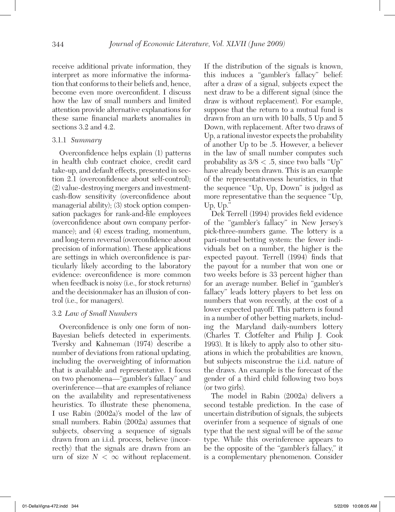receive additional private information, they interpret as more informative the information that conforms to their beliefs and, hence, become even more overconfident. I discuss how the law of small numbers and limited attention provide alternative explanations for these same financial markets anomalies in sections 3.2 and 4.2.

#### 3.1.1 *Summary*

Overconfidence helps explain (1) patterns in health club contract choice, credit card take-up, and default effects, presented in section 2.1 (overconfidence about self-control); (2) value-destroying mergers and investmentcash-flow sensitivity (overconfidence about managerial ability); (3) stock option compensation packages for rank-and-file employees (overconfidence about own company performance); and (4) excess trading, momentum, and long-term reversal (overconfidence about precision of information). These applications are settings in which overconfidence is particularly likely according to the laboratory evidence: overconfidence is more common when feedback is noisy (i.e., for stock returns) and the decisionmaker has an illusion of control (i.e., for managers).

#### 3.2 *Law of Small Numbers*

Overconfidence is only one form of non-Bayesian beliefs detected in experiments. Tversky and Kahneman (1974) describe a number of deviations from rational updating, including the overweighting of information that is available and representative. I focus on two phenomena—"gambler's fallacy" and overinference—that are examples of reliance on the availability and representativeness heuristics. To illustrate these phenomena, I use Rabin (2002a)'s model of the law of small numbers. Rabin (2002a) assumes that subjects, observing a sequence of signals drawn from an i.i.d. process, believe (incorrectly) that the signals are drawn from an urn of size  $N < \infty$  without replacement.

If the distribution of the signals is known, this induces a "gambler's fallacy" belief: after a draw of a signal, subjects expect the next draw to be a different signal (since the draw is without replacement). For example, suppose that the return to a mutual fund is drawn from an urn with 10 balls, 5 Up and 5 Down, with replacement. After two draws of Up, a rational investor expects the probability of another Up to be .5. However, a believer in the law of small number computes such probability as  $3/8 < .5$ , since two balls "Up" have already been drawn. This is an example of the representativeness heuristics, in that the sequence "Up, Up, Down" is judged as more representative than the sequence "Up, Up, Up."

Dek Terrell (1994) provides field evidence of the "gambler's fallacy" in New Jersey's pick-three-numbers game. The lottery is a pari-mutuel betting system: the fewer individuals bet on a number, the higher is the expected payout. Terrell (1994) finds that the payout for a number that won one or two weeks before is 33 percent higher than for an average number. Belief in "gambler's fallacy" leads lottery players to bet less on numbers that won recently, at the cost of a lower expected payoff. This pattern is found in a number of other betting markets, including the Maryland daily-numbers lottery (Charles T. Clotfelter and Philip J. Cook 1993). It is likely to apply also to other situations in which the probabilities are known, but subjects misconstrue the i.i.d. nature of the draws. An example is the forecast of the gender of a third child following two boys (or two girls).

The model in Rabin (2002a) delivers a second testable prediction. In the case of uncertain distribution of signals, the subjects overinfer from a sequence of signals of one type that the next signal will be of the *same* type. While this overinference appears to be the opposite of the "gambler's fallacy," it is a complementary phenomenon. Consider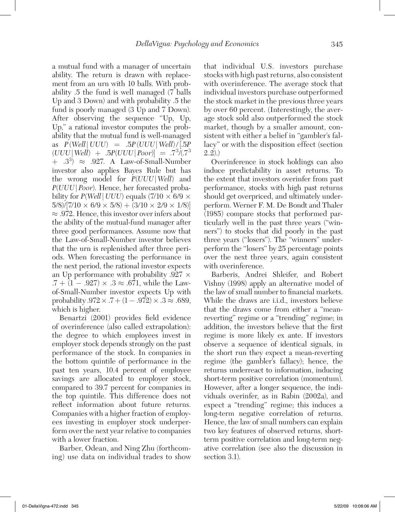a mutual fund with a manager of uncertain ability. The return is drawn with replacement from an urn with 10 balls. With probability .5 the fund is well managed (7 balls Up and 3 Down) and with probability .5 the fund is poorly managed (3 Up and 7 Down). After observing the sequence "Up, Up, Up," a rational investor computes the probability that the mutual fund is well-managed as  $P(\text{Well} | \text{ UUU}) = .5P(\text{ UUU} | \text{Well})/[.5P]$  $(UUU \mid Well) + .5P(UUU \mid Poor) = .7^{3}/(.7^{3})$  $+$  .3<sup>3</sup>)  $\approx$  .927. A Law-of-Small-Number investor also applies Bayes Rule but has the wrong model for *P*(*UUU*|*Well*) and *P*(*UUU*|*Poor*). Hence, her forecasted probability for  $P(Well | UUU)$  equals  $(7/10 \times 6/9 \times 1)$  $5/8$ / $[7/10 \times 6/9 \times 5/8) + (3/10 \times 2/9 \times 1/8)]$  $\approx$  .972. Hence, this investor over infers about the ability of the mutual-fund manager after three good performances. Assume now that the Law-of-Small-Number investor believes that the urn is replenished after three periods. When forecasting the performance in the next period, the rational investor expects an Up performance with probability  $.927 \times$  $.7 + (1 - .927) \times .3 \approx .671$ , while the Lawof-Small-Number investor expects Up with probability  $.972 \times .7 + (1-.972) \times .3 \approx .689$ , which is higher.

Benartzi (2001) provides field evidence of overinference (also called extrapolation): the degree to which employees invest in employer stock depends strongly on the past performance of the stock. In companies in the bottom quintile of performance in the past ten years, 10.4 percent of employee savings are allocated to employer stock, compared to 39.7 percent for companies in the top quintile. This difference does not reflect information about future returns. Companies with a higher fraction of employees investing in employer stock underperform over the next year relative to companies with a lower fraction.

Barber, Odean, and Ning Zhu (forthcoming) use data on individual trades to show that individual U.S. investors purchase stocks with high past returns, also consistent with overinference. The average stock that individual investors purchase outperformed the stock market in the previous three years by over 60 percent. (Interestingly, the average stock sold also outperformed the stock market, though by a smaller amount, consistent with either a belief in "gambler's fallacy" or with the disposition effect (section  $2.2)$ .)

Overinference in stock holdings can also induce predictability in asset returns. To the extent that investors overinfer from past performance, stocks with high past returns should get overpriced, and ultimately underperform. Werner F. M. De Bondt and Thaler (1985) compare stocks that performed particularly well in the past three years ("winners") to stocks that did poorly in the past three years ("losers"). The "winners" underperform the "losers" by 25 percentage points over the next three years, again consistent with overinference.

Barberis, Andrei Shleifer, and Robert Vishny (1998) apply an alternative model of the law of small number to financial markets. While the draws are i.i.d., investors believe that the draws come from either a "meanreverting" regime or a "trending" regime; in addition, the investors believe that the first regime is more likely ex ante. If investors observe a sequence of identical signals, in the short run they expect a mean-reverting regime (the gambler's fallacy); hence, the returns underreact to information, inducing short-term positive correlation (momentum). However, after a longer sequence, the individuals overinfer, as in Rabin (2002a), and expect a "trending" regime; this induces a long-term negative correlation of returns. Hence, the law of small numbers can explain two key features of observed returns, shortterm positive correlation and long-term negative correlation (see also the discussion in section 3.1).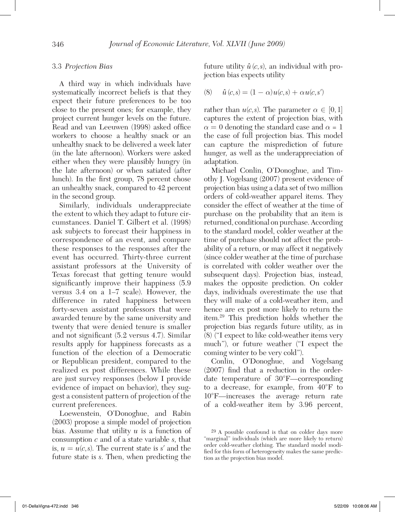#### 3.3 *Projection Bias*

A third way in which individuals have systematically incorrect beliefs is that they expect their future preferences to be too close to the present ones; for example, they project current hunger levels on the future. Read and van Leeuwen (1998) asked office workers to choose a healthy snack or an unhealthy snack to be delivered a week later (in the late afternoon). Workers were asked either when they were plausibly hungry (in the late afternoon) or when satiated (after lunch). In the first group, 78 percent chose an unhealthy snack, compared to 42 percent in the second group.

Similarly, individuals underappreciate the extent to which they adapt to future circumstances. Daniel T. Gilbert et al. (1998) ask subjects to forecast their happiness in correspondence of an event, and compare these responses to the responses after the event has occurred. Thirty-three current assistant professors at the University of Texas forecast that getting tenure would significantly improve their happiness (5.9 versus 3.4 on a 1–7 scale). However, the difference in rated happiness between forty-seven assistant professors that were awarded tenure by the same university and twenty that were denied tenure is smaller and not significant (5.2 versus 4.7). Similar results apply for happiness forecasts as a function of the election of a Democratic or Republican president, compared to the realized ex post differences. While these are just survey responses (below I provide evidence of impact on behavior), they suggest a consistent pattern of projection of the current preferences.

Loewenstein, O'Donoghue, and Rabin (2003) propose a simple model of projection bias. Assume that utility *u* is a function of consumption *c* and of a state variable *s*, that is,  $u = u(c, s)$ . The current state is *s'* and the future state is *s*. Then, when predicting the

future utility  $\hat{u}(c,s)$ , an individual with projection bias expects utility

(8) 
$$
\hat{u}(c,s) = (1 - \alpha)u(c,s) + \alpha u(c,s')
$$

rather than  $u(c, s)$ . The parameter  $\alpha \in [0, 1]$ captures the extent of projection bias, with  $\alpha = 0$  denoting the standard case and  $\alpha = 1$ the case of full projection bias. This model can capture the misprediction of future hunger, as well as the underappreciation of adaptation.

Michael Conlin, O'Donoghue, and Timothy J. Vogelsang (2007) present evidence of projection bias using a data set of two million orders of cold-weather apparel items. They consider the effect of weather at the time of purchase on the probability that an item is returned, conditional on purchase. According to the standard model, colder weather at the time of purchase should not affect the probability of a return, or may affect it negatively (since colder weather at the time of purchase is correlated with colder weather over the subsequent days). Projection bias, instead, makes the opposite prediction. On colder days, individuals overestimate the use that they will make of a cold-weather item, and hence are ex post more likely to return the item.29 This prediction holds whether the projection bias regards future utility, as in (8) ("I expect to like cold-weather items very much"), or future weather ("I expect the coming winter to be very cold").

Conlin, O'Donoghue, and Vogelsang (2007) find that a reduction in the orderdate temperature of 30°F—corresponding to a decrease, for example, from 40°F to 10°F—increases the average return rate of a cold-weather item by 3.96 percent,

<sup>29</sup> A possible confound is that on colder days more "marginal" individuals (which are more likely to return) order cold-weather clothing. The standard model modified for this form of heterogeneity makes the same prediction as the projection bias model.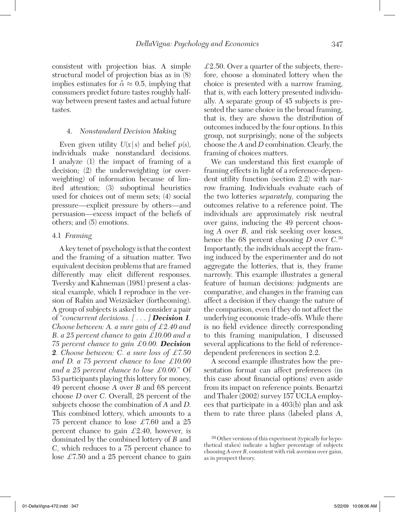consistent with projection bias. A simple structural model of projection bias as in (8) implies estimates for  $\alpha \approx 0.5$ , implying that consumers predict future tastes roughly halfway between present tastes and actual future tastes.

#### 4. *Nonstandard Decision Making*

Even given utility  $U(x|s)$  and belief  $p(s)$ , individuals make nonstandard decisions. I analyze (1) the impact of framing of a decision; (2) the underweighting (or overweighting) of information because of limited attention; (3) suboptimal heuristics used for choices out of menu sets; (4) social pressure—explicit pressure by others—and persuasion—excess impact of the beliefs of others; and (5) emotions.

#### 4.1 *Framing*

A key tenet of psychology is that the context and the framing of a situation matter. Two equivalent decision problems that are framed differently may elicit different responses. Tversky and Kahneman (1981) present a classical example, which I reproduce in the version of Rabin and Weizsäcker (forthcoming). A group of subjects is asked to consider a pair of "*concurrent decisions. [ . . . ] Decision 1. Choose between: A. a sure gain of* £*2.40 and B. a 25 percent chance to gain* £*10.00 and a 75 percent chance to gain* £*0.00. Decision 2. Choose between: C. a sure loss of* £*7.50 and D. a 75 percent chance to lose* £*10.00 and a 25 percent chance to lose* £*0.00.*" Of 53 participants playing this lottery for money, 49 percent choose *A* over *B* and 68 percent choose *D* over *C*. Overall, 28 percent of the subjects choose the combination of *A* and *D*. This combined lottery, which amounts to a 75 percent chance to lose  $\pounds$ 7.60 and a 25 percent chance to gain  $\pounds2.40$ , however, is dominated by the combined lottery of *B* and *C*, which reduces to a 75 percent chance to lose  $\pounds$ 7.50 and a 25 percent chance to gain

 $£2.50.$  Over a quarter of the subjects, therefore, choose a dominated lottery when the choice is presented with a narrow framing, that is, with each lottery presented individually. A separate group of 45 subjects is presented the same choice in the broad framing, that is, they are shown the distribution of outcomes induced by the four options. In this group, not surprisingly, none of the subjects choose the *A* and *D* combination. Clearly, the framing of choices matters.

We can understand this first example of framing effects in light of a reference-dependent utility function (section 2.2) with narrow framing. Individuals evaluate each of the two lotteries *separately*, comparing the outcomes relative to a reference point. The individuals are approximately risk neutral over gains, inducing the 49 percent choosing *A* over *B*, and risk seeking over losses, hence the 68 percent choosing *D* over *C*. 30 Importantly, the individuals accept the framing induced by the experimenter and do not aggregate the lotteries, that is, they frame narrowly. This example illustrates a general feature of human decisions: judgments are comparative, and changes in the framing can affect a decision if they change the nature of the comparison, even if they do not affect the underlying economic trade-offs. While there is no field evidence directly corresponding to this framing manipulation, I discussed several applications to the field of referencedependent preferences in section 2.2.

A second example illustrates how the presentation format can affect preferences (in this case about financial options) even aside from its impact on reference points. Benartzi and Thaler (2002) survey 157 UCLA employees that participate in a 403(b) plan and ask them to rate three plans (labeled plans *A*,

<sup>30</sup> Other versions of this experiment (typically for hypothetical stakes) indicate a higher percentage of subjects choosing *A* over *B*, consistent with risk aversion over gains, as in prospect theory.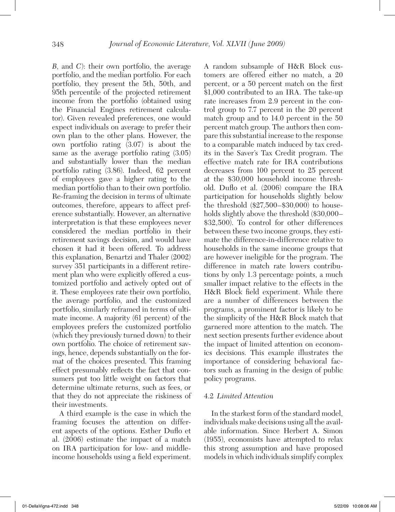*B*, and *C*): their own portfolio, the average portfolio, and the median portfolio. For each portfolio, they present the 5th, 50th, and 95th percentile of the projected retirement income from the portfolio (obtained using the Financial Engines retirement calculator). Given revealed preferences, one would expect individuals on average to prefer their own plan to the other plans. However, the own portfolio rating (3.07) is about the same as the average portfolio rating (3.05) and substantially lower than the median portfolio rating (3.86). Indeed, 62 percent of employees gave a higher rating to the median portfolio than to their own portfolio. Re-framing the decision in terms of ultimate outcomes, therefore, appears to affect preference substantially. However, an alternative interpretation is that these employees never considered the median portfolio in their retirement savings decision, and would have chosen it had it been offered. To address this explanation, Benartzi and Thaler (2002) survey 351 participants in a different retirement plan who were explicitly offered a customized portfolio and actively opted out of it. These employees rate their own portfolio, the average portfolio, and the customized portfolio, similarly reframed in terms of ultimate income. A majority (61 percent) of the employees prefers the customized portfolio (which they previously turned down) to their own portfolio. The choice of retirement savings, hence, depends substantially on the format of the choices presented. This framing effect presumably reflects the fact that consumers put too little weight on factors that determine ultimate returns, such as fees, or that they do not appreciate the riskiness of their investments.

A third example is the case in which the framing focuses the attention on different aspects of the options. Esther Duflo et al. (2006) estimate the impact of a match on IRA participation for low- and middleincome households using a field experiment. A random subsample of H&R Block customers are offered either no match, a 20 percent, or a 50 percent match on the first \$1,000 contributed to an IRA. The take-up rate increases from 2.9 percent in the control group to 7.7 percent in the 20 percent match group and to 14.0 percent in the 50 percent match group. The authors then compare this substantial increase to the response to a comparable match induced by tax credits in the Saver's Tax Credit program. The effective match rate for IRA contributions decreases from 100 percent to 25 percent at the \$30,000 household income threshold. Duflo et al. (2006) compare the IRA participation for households slightly below the threshold (\$27,500–\$30,000) to households slightly above the threshold  $(\$30,000-$ \$32,500). To control for other differences between these two income groups, they estimate the difference-in-difference relative to households in the same income groups that are however ineligible for the program. The difference in match rate lowers contributions by only 1.3 percentage points, a much smaller impact relative to the effects in the H&R Block field experiment. While there are a number of differences between the programs, a prominent factor is likely to be the simplicity of the H&R Block match that garnered more attention to the match. The next section presents further evidence about the impact of limited attention on economics decisions. This example illustrates the importance of considering behavioral factors such as framing in the design of public policy programs.

#### 4.2 *Limited Attention*

In the starkest form of the standard model, individuals make decisions using all the available information. Since Herbert A. Simon (1955), economists have attempted to relax this strong assumption and have proposed models in which individuals simplify complex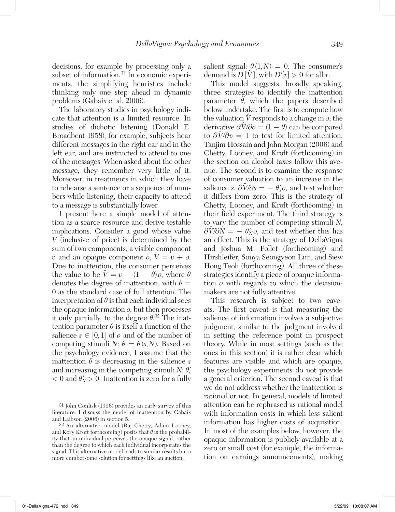decisions, for example by processing only a subset of information.<sup>31</sup> In economic experiments, the simplifying heuristics include thinking only one step ahead in dynamic problems (Gabaix et al. 2006).

The laboratory studies in psychology indicate that attention is a limited resource. In studies of dichotic listening (Donald E. Broadbent 1958), for example, subjects hear different messages in the right ear and in the left ear, and are instructed to attend to one of the messages. When asked about the other message, they remember very little of it. Moreover, in treatments in which they have to rehearse a sentence or a sequence of numbers while listening, their capacity to attend to a message is substantially lower.

I present here a simple model of attention as a scarce resource and derive testable implications. Consider a good whose value *V* (inclusive of price) is determined by the sum of two components, a visible component  $v$  and an opaque component  $o$ ,  $V = v + o$ . Due to inattention, the consumer perceives  $\vec{v}$  to *value to be*  $\hat{V} = v + (1 - \theta)\rho$ , where  $\theta$ denotes the degree of inattention, with  $\theta =$ 0 as the standard case of full attention. The interpretation of  $\theta$  is that each individual sees the opaque information *o*, but then processes it only partially, to the degree  $\theta^{32}$ . The inattention parameter  $\theta$  is itself a function of the salience  $s \in [0,1]$  of  $o$  and of the number of competing stimuli *N*:  $\theta = \theta(s, N)$ . Based on the psychology evidence, I assume that the inattention  $\theta$  is decreasing in the salience *s* and increasing in the competing stimuli  $N: \theta'_{s}$  $< 0$  and  $\theta'_{N} > 0$ . Inattention is zero for a fully salient signal:  $\theta(1,N) = 0$ . The consumer's demand is  $D[\hat{V}]$ , with  $D'[x] > 0$  for all *x*.

This model suggests, broadly speaking, three strategies to identify the inattention parameter  $\theta$ , which the papers described below undertake. The first is to compute how the valuation  $\hat{V}$  responds to a change in  $o$ ; the derivative  $\frac{\partial \hat{V}}{\partial o} = (1 - \theta)$  can be compared  $\frac{\partial \hat{V}}{\partial v} = 1$  to test for limited attention. Tanjim Hossain and John Morgan (2006) and Chetty, Looney, and Kroft (forthcoming) in the section on alcohol taxes follow this avenue. The second is to examine the response of consumer valuation to an increase in the  $\delta \sin \theta$  *salience s,*  $\frac{\partial \hat{V}}{\partial s} = -\theta'_{s}$ *, and test whether* it differs from zero. This is the strategy of Chetty, Looney, and Kroft (forthcoming) in their field experiment. The third strategy is to vary the number of competing stimuli *N*,  $\frac{\partial \hat{V}}{\partial N} = -\theta'_{N}o$ , and test whether this has an effect. This is the strategy of DellaVigna and Joshua M. Pollet (forthcoming) and Hirshleifer, Sonya Seongyeon Lim, and Siew Hong Teoh (forthcoming). All three of these strategies identify a piece of opaque information *o* with regards to which the decisionmakers are not fully attentive.

This research is subject to two caveats. The first caveat is that measuring the salience of information involves a subjective judgment, similar to the judgment involved in setting the reference point in prospect theory. While in most settings (such as the ones in this section) it is rather clear which features are visible and which are opaque, the psychology experiments do not provide a general criterion. The second caveat is that we do not address whether the inattention is rational or not. In general, models of limited attention can be rephrased as rational model with information costs in which less salient information has higher costs of acquisition. In most of the examples below, however, the opaque information is publicly available at a zero or small cost (for example, the information on earnings announcements), making

<sup>31</sup> John Conlisk (1996) provides an early survey of this literature. I discuss the model of inattention by Gabaix and Laibson (2006) in section 5.

<sup>32</sup> An alternative model (Raj Chetty, Adam Looney, and Kory Kroft forthcoming) posits that  $\theta$  is the probability that an individual perceives the opaque signal, rather than the degree to which each individual incorporates the signal. This alternative model leads to similar results but a more cumbersome solution for settings like an auction.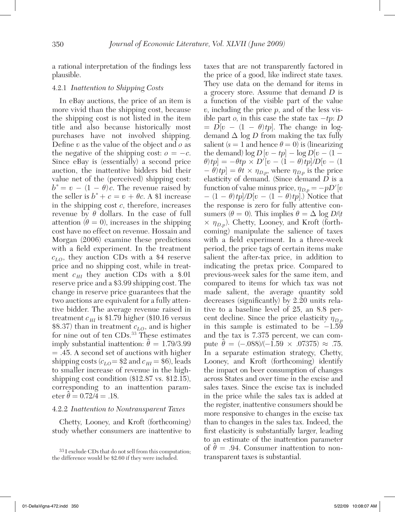a rational interpretation of the findings less plausible.

#### 4.2.1 *Inattention to Shipping Costs*

In eBay auctions, the price of an item is more vivid than the shipping cost, because the shipping cost is not listed in the item title and also because historically most purchases have not involved shipping. Define *v* as the value of the object and *o* as the negative of the shipping cost:  $o = -c$ . Since eBay is (essentially) a second price auction, the inattentive bidders bid their value net of the (perceived) shipping cost:  $b^* = v - (1 - \theta)c$ . The revenue raised by the seller is  $b^* + c = v + \theta c$ . A \$1 increase in the shipping cost *c*, therefore, increases revenue by  $\theta$  dollars. In the case of full attention  $(\theta = 0)$ , increases in the shipping cost have no effect on revenue. Hossain and Morgan (2006) examine these predictions with a field experiment. In the treatment *cLO*, they auction CDs with a \$4 reserve price and no shipping cost, while in treatment  $c_{HI}$  they auction CDs with a \$.01 reserve price and a \$3.99 shipping cost. The change in reserve price guarantees that the two auctions are equivalent for a fully attentive bidder. The average revenue raised in treatment  $c_{H}$  is \$1.79 higher (\$10.16 versus  $$8.37$ ) than in treatment  $c_{LO}$ , and is higher for nine out of ten CDs.33 These estimates imply substantial inattention:  $\hat{\theta} = 1.79/3.99$ = .45. A second set of auctions with higher shipping costs  $(c_{LO} = $2 \text{ and } c_{HI} = $6)$ , leads to smaller increase of revenue in the highshipping cost condition (\$12.87 vs. \$12.15), corresponding to an inattention parameter  $\hat{\theta} = 0.72/4 = .18$ .

#### 4.2.2 *Inattention to Nontransparent Taxes*

Chetty, Looney, and Kroft (forthcoming) study whether consumers are inattentive to

taxes that are not transparently factored in the price of a good, like indirect state taxes. They use data on the demand for items in a grocery store. Assume that demand *D* is a function of the visible part of the value *v*, including the price *p*, and of the less visible part *o*, in this case the state tax  $-tp$ : *D*  $= D[v - (1 - \theta)tp]$ . The change in logdemand Δ log *D* from making the tax fully salient  $(s = 1$  and hence  $\theta = 0$ ) is (linearizing the demand)  $\log D[v - tp] - \log D[v - (1 \theta$ *)tp*] =  $-\theta$ *tp*  $\times$  *D'*[*v* − (1 −  $\theta$ *)tp*]*/D*[*v* − (1)  $-\theta$ *tp*] =  $\theta$ *t* ×  $\eta_{D,p}$ , where  $\eta_{D,p}$  is the price elasticity of demand. (Since demand *D* is a function of value minus price,  $\eta_{D,p} = -pD'|v$ − (1 − θ)*tp*]/*D*[*v* − (1 − θ)*tp*].) Notice that the response is zero for fully attentive consumers ( $\theta = 0$ ). This implies  $\theta = \Delta \log D/t$  $\times$   $\eta_{D,p}$ ). Chetty, Looney, and Kroft (forthcoming) manipulate the salience of taxes with a field experiment. In a three-week period, the price tags of certain items make salient the after-tax price, in addition to indicating the pretax price. Compared to previous-week sales for the same item, and compared to items for which tax was not made salient, the average quantity sold decreases (significantly) by 2.20 units relative to a baseline level of 25, an 8.8 percent decline. Since the price elasticity  $\eta_{D,n}$ in this sample is estimated to be −1.59 and the tax is 7.375 percent, we can comand the tax is 7.575 percent, we can com-<br>pute  $\hat{\theta} = (-.088)/(-1.59 \times .07375) \approx .75.$ In a separate estimation strategy, Chetty, Looney, and Kroft (forthcoming) identify the impact on beer consumption of changes across States and over time in the excise and sales taxes. Since the excise tax is included in the price while the sales tax is added at the register, inattentive consumers should be more responsive to changes in the excise tax than to changes in the sales tax. Indeed, the first elasticity is substantially larger, leading to an estimate of the inattention parameter to an estimate of the mattention parameter<br>of  $\hat{\theta} = .94$ . Consumer inattention to nontransparent taxes is substantial.

<sup>33</sup> I exclude CDs that do not sell from this computation; the difference would be \$2.60 if they were included.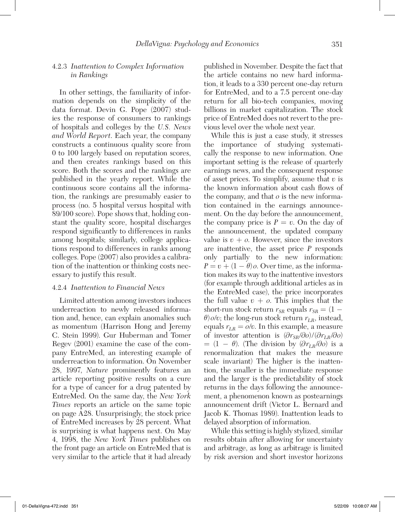#### 4.2.3 *Inattention to Complex Information in Rankings*

In other settings, the familiarity of information depends on the simplicity of the data format. Devin G. Pope (2007) studies the response of consumers to rankings of hospitals and colleges by the *U.S. News and World Report*. Each year, the company constructs a continuous quality score from 0 to 100 largely based on reputation scores, and then creates rankings based on this score. Both the scores and the rankings are published in the yearly report. While the continuous score contains all the information, the rankings are presumably easier to process (no. 5 hospital versus hospital with 89/100 score). Pope shows that, holding constant the quality score, hospital discharges respond significantly to differences in ranks among hospitals; similarly, college applications respond to differences in ranks among colleges. Pope (2007) also provides a calibration of the inattention or thinking costs necessary to justify this result.

#### 4.2.4 *Inattention to Financial News*

Limited attention among investors induces underreaction to newly released information and, hence, can explain anomalies such as momentum (Harrison Hong and Jeremy C. Stein 1999). Gur Huberman and Tomer Regev (2001) examine the case of the company EntreMed, an interesting example of underreaction to information. On November 28, 1997, *Nature* prominently features an article reporting positive results on a cure for a type of cancer for a drug patented by EntreMed. On the same day, the *New York Times* reports an article on the same topic on page A28. Unsurprisingly, the stock price of EntreMed increases by 28 percent. What is surprising is what happens next. On May 4, 1998, the *New York Times* publishes on the front page an article on EntreMed that is very similar to the article that it had already

published in November. Despite the fact that the article contains no new hard information, it leads to a 330 percent one-day return for EntreMed, and to a 7.5 percent one-day return for all bio-tech companies, moving billions in market capitalization. The stock price of EntreMed does not revert to the previous level over the whole next year.

While this is just a case study, it stresses the importance of studying systematically the response to new information. One important setting is the release of quarterly earnings news, and the consequent response of asset prices. To simplify, assume that *v* is the known information about cash flows of the company, and that *o* is the new information contained in the earnings announcement. On the day before the announcement, the company price is  $P = v$ . On the day of the announcement, the updated company value is  $v + o$ . However, since the investors are inattentive, the asset price *P* responds only partially to the new information:  $P = v + (1 - \theta)\rho$ . Over time, as the information makes its way to the inattentive investors (for example through additional articles as in the EntreMed case), the price incorporates the full value  $v + o$ . This implies that the short-run stock return  $r_{SR}$  equals  $r_{SR} = (1 \theta$ ) *o*/*v*; the long-run stock return  $r_{LR}$ , instead, equals  $r_{LR} = o/v$ . In this example, a measure of investor attention is (∂*rSR*/∂*o*)/(∂ *rLR*/∂*o*)  $= (1 - \theta)$ . (The division by  $(\partial r_{LR}/\partial \theta)$  is a renormalization that makes the measure scale invariant) The higher is the inattention, the smaller is the immediate response and the larger is the predictability of stock returns in the days following the announcement, a phenomenon known as postearnings announcement drift (Victor L. Bernard and Jacob K. Thomas 1989). Inattention leads to delayed absorption of information.

While this setting is highly stylized, similar results obtain after allowing for uncertainty and arbitrage, as long as arbitrage is limited by risk aversion and short investor horizons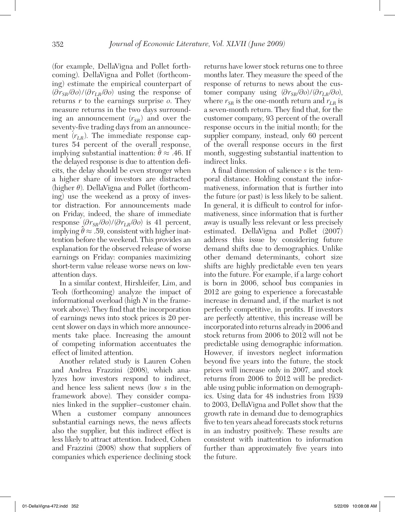(for example, DellaVigna and Pollet forthcoming). DellaVigna and Pollet (forthcoming) estimate the empirical counterpart of  $(\partial r_{SR}/\partial o)/(\partial r_{LR}/\partial o)$  using the response of returns *r* to the earnings surprise *o*. They measure returns in the two days surrounding an announcement  $(r_{SR})$  and over the seventy-five trading days from an announcement  $(r_{LR})$ . The immediate response captures 54 percent of the overall response, tures 54 percent of the overall response,<br>implying substantial inattention:  $\hat{\theta} \approx .46$ . If the delayed response is due to attention deficits, the delay should be even stronger when a higher share of investors are distracted (higher  $\theta$ ). DellaVigna and Pollet (forthcoming) use the weekend as a proxy of investor distraction. For announcements made on Friday, indeed, the share of immediate response  $\left(\frac{\partial r_{SB}}{\partial o}\right)/\left(\frac{\partial r_{LB}}{\partial o}\right)$  is 41 percent, implying  $\hat{\theta} \approx .59$ , consistent with higher inattention before the weekend. This provides an explanation for the observed release of worse earnings on Friday: companies maximizing short-term value release worse news on lowattention days.

In a similar context, Hirshleifer, Lim, and Teoh (forthcoming) analyze the impact of informational overload (high *N* in the framework above). They find that the incorporation of earnings news into stock prices is 20 percent slower on days in which more announcements take place. Increasing the amount of competing information accentuates the effect of limited attention.

Another related study is Lauren Cohen and Andrea Frazzini (2008), which analyzes how investors respond to indirect, and hence less salient news (low *s* in the framework above). They consider companies linked in the supplier–customer chain. When a customer company announces substantial earnings news, the news affects also the supplier, but this indirect effect is less likely to attract attention. Indeed, Cohen and Frazzini (2008) show that suppliers of companies which experience declining stock

returns have lower stock returns one to three months later. They measure the speed of the response of returns to news about the customer company using  $(\partial r_{SB}/\partial o)/(\partial r_{LR}/\partial o)$ , where  $r_{SR}$  is the one-month return and  $r_{LR}$  is a seven-month return. They find that, for the customer company, 93 percent of the overall response occurs in the initial month; for the supplier company, instead, only 60 percent of the overall response occurs in the first month, suggesting substantial inattention to indirect links.

A final dimension of salience *s* is the temporal distance. Holding constant the informativeness, information that is further into the future (or past) is less likely to be salient. In general, it is difficult to control for informativeness, since information that is further away is usually less relevant or less precisely estimated. DellaVigna and Pollet (2007) address this issue by considering future demand shifts due to demographics. Unlike other demand determinants, cohort size shifts are highly predictable even ten years into the future. For example, if a large cohort is born in 2006, school bus companies in 2012 are going to experience a forecastable increase in demand and, if the market is not perfectly competitive, in profits. If investors are perfectly attentive, this increase will be incorporated into returns already in 2006 and stock returns from 2006 to 2012 will not be predictable using demographic information. However, if investors neglect information beyond five years into the future, the stock prices will increase only in 2007, and stock returns from 2006 to 2012 will be predictable using public information on demographics. Using data for 48 industries from 1939 to 2003, DellaVigna and Pollet show that the growth rate in demand due to demographics five to ten years ahead forecasts stock returns in an industry positively. These results are consistent with inattention to information further than approximately five years into the future.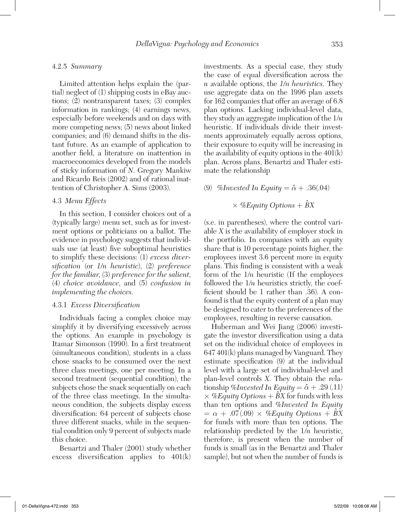#### 4.2.5 *Summary*

Limited attention helps explain the (partial) neglect of (1) shipping costs in eBay auctions; (2) nontransparent taxes; (3) complex information in rankings; (4) earnings news, especially before weekends and on days with more competing news; (5) news about linked companies; and (6) demand shifts in the distant future. As an example of application to another field, a literature on inattention in macroeconomics developed from the models of sticky information of *N*. Gregory Mankiw and Ricardo Reis (2002) and of rational inattention of Christopher A. Sims (2003).

#### 4.3 *Menu Effects*

In this section, I consider choices out of a (typically large) menu set, such as for investment options or politicians on a ballot. The evidence in psychology suggests that individuals use (at least) five suboptimal heuristics to simplify these decisions: (1) *excess diversification* (or *1/n heuristic*), (2) *preference for the familiar*, (3) *preference for the salient*, (4) *choice avoidance*, and (5) *confusion in implementing the choices.*

#### 4.3.1 *Excess Diversification*

Individuals facing a complex choice may simplify it by diversifying excessively across the options. An example in psychology is Itamar Simonson (1990). In a first treatment (simultaneous condition), students in a class chose snacks to be consumed over the next three class meetings, one per meeting. In a second treatment (sequential condition), the subjects chose the snack sequentially on each of the three class meetings. In the simultaneous condition, the subjects display excess diversification: 64 percent of subjects chose three different snacks, while in the sequential condition only 9 percent of subjects made this choice.

Benartzi and Thaler (2001) study whether excess diversification applies to 401(k)

investments. As a special case, they study the case of equal diversification across the *n* available options, the *1/n heuristics.* They use aggregate data on the 1996 plan assets for 162 companies that offer an average of 6.8 plan options. Lacking individual-level data, they study an aggregate implication of the 1/*n* heuristic. If individuals divide their investments approximately equally across options, their exposure to equity will be increasing in the availability of equity options in the  $401(k)$ plan. Across plans, Benartzi and Thaler estimate the relationship

(9) *%Invested In Equity* =  $\hat{\alpha}$  + .36(.04)

## $\times$  *%Equity Options* +  $\hat{B}X$

(s.e. in parentheses), where the control variable *X* is the availability of employer stock in the portfolio. In companies with an equity share that is 10 percentage points higher, the employees invest 3.6 percent more in equity plans. This finding is consistent with a weak form of the 1/*n* heuristic (If the employees followed the 1/*n* heuristics strictly, the coefficient should be 1 rather than .36). A confound is that the equity content of a plan may be designed to cater to the preferences of the employees, resulting in reverse causation.

Huberman and Wei Jiang (2006) investigate the investor diversification using a data set on the individual choice of employees in 647 401(k) plans managed by Vanguard. They estimate specification (9) at the individual level with a large set of individual-level and plan-level controls *X*. They obtain the relationship %*Invested In Equity* =  $\hat{\alpha}$  + .29 (.11)  $\times$  *%Equity Options* +  $\hat{B}X$  for funds with less than ten options and %*Invested In Equity*  $= \alpha + .07(.09) \times \%$  *Equity Options*  $+ \hat{B}X$ for funds with more than ten options. The relationship predicted by the 1/*n* heuristic, therefore, is present when the number of funds is small (as in the Benartzi and Thaler sample), but not when the number of funds is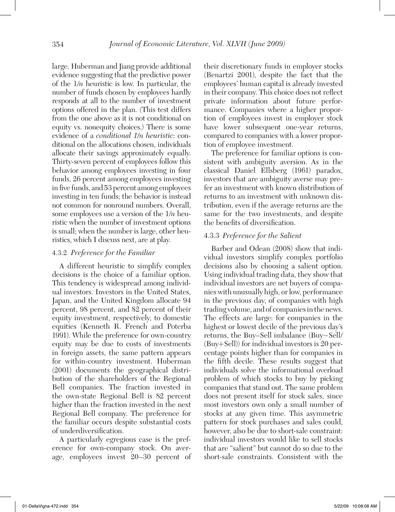large. Huberman and Jiang provide additional evidence suggesting that the predictive power of the 1/*n* heuristic is low. In particular, the number of funds chosen by employees hardly responds at all to the number of investment options offered in the plan. (This test differs from the one above as it is not conditional on equity vs. nonequity choices.) There is some evidence of a *conditional 1/n heuristic*: conditional on the allocations chosen, individuals allocate their savings approximately equally. Thirty-seven percent of employees follow this behavior among employees investing in four funds, 26 percent among employees investing in five funds, and 53 percent among employees investing in ten funds; the behavior is instead not common for nonround numbers. Overall, some employees use a version of the 1/*n* heuristic when the number of investment options is small; when the number is large, other heuristics, which I discuss next, are at play.

#### 4.3.2 *Preference for the Familiar*

A different heuristic to simplify complex decisions is the choice of a familiar option. This tendency is widespread among individual investors. Investors in the United States, Japan, and the United Kingdom allocate 94 percent, 98 percent, and 82 percent of their equity investment, respectively, to domestic equities (Kenneth R. French and Poterba 1991). While the preference for own-country equity may be due to costs of investments in foreign assets, the same pattern appears for within-country investment. Huberman (2001) documents the geographical distribution of the shareholders of the Regional Bell companies. The fraction invested in the own-state Regional Bell is 82 percent higher than the fraction invested in the next Regional Bell company. The preference for the familiar occurs despite substantial costs of underdiversification.

A particularly egregious case is the preference for own-company stock. On average, employees invest 20–30 percent of their discretionary funds in employer stocks (Benartzi 2001), despite the fact that the employees' human capital is already invested in their company. This choice does not reflect private information about future performance. Companies where a higher proportion of employees invest in employer stock have lower subsequent one-year returns, compared to companies with a lower proportion of employee investment.

The preference for familiar options is consistent with ambiguity aversion. As in the classical Daniel Ellsberg (1961) paradox, investors that are ambiguity averse may prefer an investment with known distribution of returns to an investment with unknown distribution, even if the average returns are the same for the two investments, and despite the benefits of diversification.

#### 4.3.3 *Preference for the Salient*

Barber and Odean (2008) show that individual investors simplify complex portfolio decisions also by choosing a salient option. Using individual trading data, they show that individual investors are net buyers of companies with unusually high, or low, performance in the previous day, of companies with high trading volume, and of companies in the news. The effects are large: for companies in the highest or lowest decile of the previous day's returns, the Buy–Sell imbalance (Buy−Sell/ (Buy+Sell)) for individual investors is 20 percentage points higher than for companies in the fifth decile. These results suggest that individuals solve the informational overload problem of which stocks to buy by picking companies that stand out. The same problem does not present itself for stock sales, since most investors own only a small number of stocks at any given time. This asymmetric pattern for stock purchases and sales could, however, also be due to short-sale constraint: individual investors would like to sell stocks that are "salient" but cannot do so due to the short-sale constraints. Consistent with the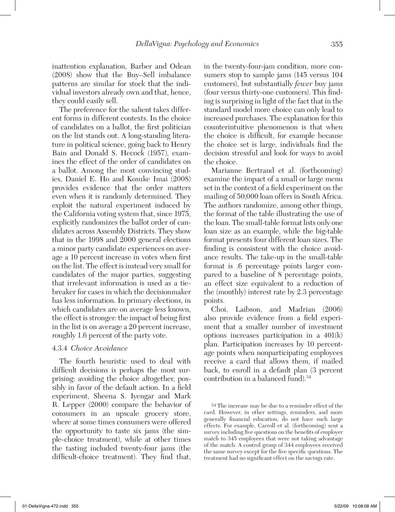inattention explanation, Barber and Odean (2008) show that the Buy–Sell imbalance patterns are similar for stock that the individual investors already own and that, hence, they could easily sell.

The preference for the salient takes different forms in different contexts. In the choice of candidates on a ballot, the first politician on the list stands out. A long-standing literature in political science, going back to Henry Bain and Donald S. Hecock (1957), examines the effect of the order of candidates on a ballot. Among the most convincing studies, Daniel E. Ho and Kosuke Imai (2008) provides evidence that the order matters even when it is randomly determined. They exploit the natural experiment induced by the California voting system that, since 1975, explicitly randomizes the ballot order of candidates across Assembly Districts. They show that in the 1998 and 2000 general elections a minor party candidate experiences on average a 10 percent increase in votes when first on the list. The effect is instead very small for candidates of the major parties, suggesting that irrelevant information is used as a tiebreaker for cases in which the decisionmaker has less information. In primary elections, in which candidates are on average less known, the effect is stronger: the impact of being first in the list is on average a 20 percent increase, roughly 1.6 percent of the party vote.

#### 4.3.4 *Choice Avoidance*

The fourth heuristic used to deal with difficult decisions is perhaps the most surprising: avoiding the choice altogether, possibly in favor of the default action. In a field experiment, Sheena S. Iyengar and Mark R. Lepper (2000) compare the behavior of consumers in an upscale grocery store, where at some times consumers were offered the opportunity to taste six jams (the simple-choice treatment), while at other times the tasting included twenty-four jams (the difficult-choice treatment). They find that,

in the twenty-four-jam condition, more consumers stop to sample jams (145 versus 104 customers), but substantially *fewer* buy jams (four versus thirty-one customers). This finding is surprising in light of the fact that in the standard model more choice can only lead to increased purchases. The explanation for this counterintuitive phenomenon is that when the choice is difficult, for example because the choice set is large, individuals find the decision stressful and look for ways to avoid the choice.

Marianne Bertrand et al. (forthcoming) examine the impact of a small or large menu set in the context of a field experiment on the mailing of 50,000 loan offers in South Africa. The authors randomize, among other things, the format of the table illustrating the use of the loan. The small-table format lists only one loan size as an example, while the big-table format presents four different loan sizes. The finding is consistent with the choice avoidance results. The take-up in the small-table format is .6 percentage points larger compared to a baseline of 8 percentage points, an effect size equivalent to a reduction of the (monthly) interest rate by 2.3 percentage points.

Choi, Laibson, and Madrian (2006) also provide evidence from a field experiment that a smaller number of investment options increases participation in a 401(k) plan. Participation increases by 10 percentage points when nonparticipating employees receive a card that allows them, if mailed back, to enroll in a default plan (3 percent contribution in a balanced fund).<sup>34</sup>

<sup>34</sup> The increase may be due to a reminder effect of the card. However, in other settings, reminders, and more generally financial education, do not have such large effects. For example, Carroll et al. (forthcoming) sent a survey including five questions on the benefits of employer match to 345 employees that were not taking advantage of the match. A control group of 344 employees received the same survey except for the five specific questions. The treatment had no significant effect on the savings rate.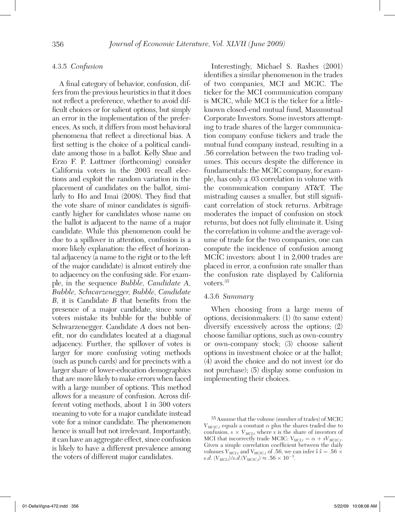#### 4.3.5 *Confusion*

A final category of behavior, confusion, differs from the previous heuristics in that it does not reflect a preference, whether to avoid difficult choices or for salient options, but simply an error in the implementation of the preferences. As such, it differs from most behavioral phenomena that reflect a directional bias. A first setting is the choice of a political candidate among those in a ballot. Kelly Shue and Erzo F. P. Luttmer (forthcoming) consider California voters in the 2003 recall elections and exploit the random variation in the placement of candidates on the ballot, similarly to Ho and Imai (2008). They find that the vote share of minor candidates is significantly higher for candidates whose name on the ballot is adjacent to the name of a major candidate. While this phenomenon could be due to a spillover in attention, confusion is a more likely explanation: the effect of horizontal adjacency (a name to the right or to the left of the major candidate) is almost entirely due to adjacency on the confusing side. For example, in the sequence *Bubble, Candidate A, Bubble, Schwarzenegger, Bubble, Candidate B*, it is Candidate *B* that benefits from the presence of a major candidate, since some voters mistake its bubble for the bubble of Schwarzenegger. Candidate *A* does not benefit, nor do candidates located at a diagonal adjacency. Further, the spillover of votes is larger for more confusing voting methods (such as punch cards) and for precincts with a larger share of lower-education demographics that are more likely to make errors when faced with a large number of options. This method allows for a measure of confusion. Across different voting methods, about 1 in 300 voters meaning to vote for a major candidate instead vote for a minor candidate. The phenomenon hence is small but not irrelevant. Importantly, it can have an aggregate effect, since confusion is likely to have a different prevalence among the voters of different major candidates.

Interestingly, Michael S. Rashes (2001) identifies a similar phenomenon in the trades of two companies, MCI and MCIC. The ticker for the MCI communication company is MCIC, while MCI is the ticker for a littleknown closed-end mutual fund, Massmutual Corporate Investors. Some investors attempting to trade shares of the larger communication company confuse tickers and trade the mutual fund company instead, resulting in a .56 correlation between the two trading volumes. This occurs despite the difference in fundamentals: the MCIC company, for example, has only a .03 correlation in volume with the communication company AT&T. The mistrading causes a smaller, but still significant correlation of stock returns. Arbitrage moderates the impact of confusion on stock returns, but does not fully eliminate it. Using the correlation in volume and the average volume of trade for the two companies, one can compute the incidence of confusion among MCIC investors: about 1 in 2,000 trades are placed in error, a confusion rate smaller than the confusion rate displayed by California voters.35

#### 4.3.6 *Summary*

When choosing from a large menu of options, decisionmakers: (1) (to same extent) diversify excessively across the options; (2) choose familiar options, such as own-country or own-company stock; (3) choose salient options in investment choice or at the ballot; (4) avoid the choice and do not invest (or do not purchase); (5) display some confusion in implementing their choices.

<sup>35</sup> Assume that the volume (number of trades) of MCIC  $V_{MCIC,t}$  equals a constant  $\alpha$  plus the shares traded due to confusion,  $s \times V_{MCI,t}$  where *s* is the share of investors of MCI that incorrectly trade MCIC:  $V_{MCI,t} = \alpha + sV_{MCIC,t}$ . Given a simple correlation coefficient between the daily volumes  $V_{MCL,t}$  and  $V_{MCL,t}$  of .56, we can infer  $\hat{s} \hat{s} = .56 \times$  $s.d. (V_{MCLt})/s.d. (V_{MCLC,t}) \approx .56 \times 10^{-3}.$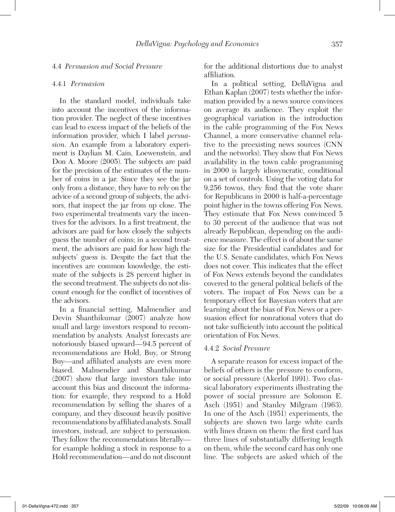#### 4.4 *Persuasion and Social Pressure*

#### 4.4.1 *Persuasion*

In the standard model, individuals take into account the incentives of the information provider. The neglect of these incentives can lead to excess impact of the beliefs of the information provider, which I label *persuasion*. An example from a laboratory experiment is Daylian M. Cain, Loewenstein, and Don A. Moore (2005). The subjects are paid for the precision of the estimates of the number of coins in a jar. Since they see the jar only from a distance, they have to rely on the advice of a second group of subjects, the advisors, that inspect the jar from up close. The two experimental treatments vary the incentives for the advisors. In a first treatment, the advisors are paid for how closely the subjects guess the number of coins; in a second treatment, the advisors are paid for how high the subjects' guess is. Despite the fact that the incentives are common knowledge, the estimate of the subjects is 28 percent higher in the second treatment. The subjects do not discount enough for the conflict of incentives of the advisors.

In a financial setting, Malmendier and Devin Shanthikumar (2007) analyze how small and large investors respond to recommendation by analysts. Analyst forecasts are notoriously biased upward—94.5 percent of recommendations are Hold, Buy, or Strong Buy—and affiliated analysts are even more biased. Malmendier and Shanthikumar (2007) show that large investors take into account this bias and discount the information: for example, they respond to a Hold recommendation by selling the shares of a company, and they discount heavily positive recommendations by affiliated analysts. Small investors, instead, are subject to persuasion. They follow the recommendations literally for example holding a stock in response to a Hold recommendation—and do not discount

for the additional distortions due to analyst affiliation.

In a political setting, DellaVigna and Ethan Kaplan (2007) tests whether the information provided by a news source convinces on average its audience. They exploit the geographical variation in the introduction in the cable programming of the Fox News Channel, a more conservative channel relative to the preexisting news sources (CNN and the networks). They show that Fox News availability in the town cable programming in 2000 is largely idiosyncratic, conditional on a set of controls. Using the voting data for 9,256 towns, they find that the vote share for Republicans in 2000 is half-a-percentage point higher in the towns offering Fox News. They estimate that Fox News convinced 5 to 30 percent of the audience that was not already Republican, depending on the audience measure. The effect is of about the same size for the Presidential candidates and for the U.S. Senate candidates, which Fox News does not cover. This indicates that the effect of Fox News extends beyond the candidates covered to the general political beliefs of the voters. The impact of Fox News can be a temporary effect for Bayesian voters that are learning about the bias of Fox News or a persuasion effect for nonrational voters that do not take sufficiently into account the political orientation of Fox News.

#### 4.4.2 *Social Pressure*

A separate reason for excess impact of the beliefs of others is the pressure to conform, or social pressure (Akerlof 1991). Two classical laboratory experiments illustrating the power of social pressure are Solomon E. Asch (1951) and Stanley Milgram (1963). In one of the Asch (1951) experiments, the subjects are shown two large white cards with lines drawn on them: the first card has three lines of substantially differing length on them, while the second card has only one line. The subjects are asked which of the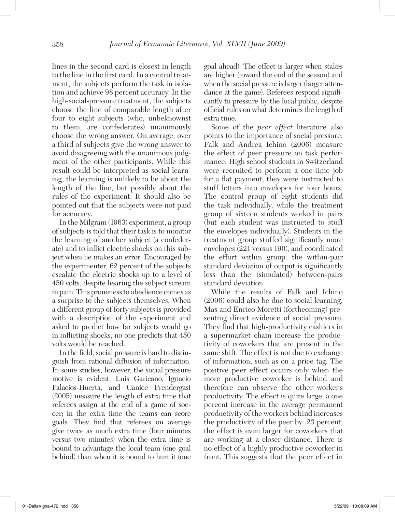lines in the second card is closest in length to the line in the first card. In a control treatment, the subjects perform the task in isolation and achieve 98 percent accuracy. In the high-social-pressure treatment, the subjects choose the line of comparable length after four to eight subjects (who, unbeknownst to them, are confederates) unanimously choose the wrong answer. On average, over a third of subjects give the wrong answer to avoid disagreeing with the unanimous judgment of the other participants. While this result could be interpreted as social learning, the learning is unlikely to be about the length of the line, but possibly about the rules of the experiment. It should also be pointed out that the subjects were not paid for accuracy.

In the Milgram (1963) experiment, a group of subjects is told that their task is to monitor the learning of another subject (a confederate) and to inflict electric shocks on this subject when he makes an error. Encouraged by the experimenter, 62 percent of the subjects escalate the electric shocks up to a level of 450 volts, despite hearing the subject scream in pain. This proneness to obedience comes as a surprise to the subjects themselves. When a different group of forty subjects is provided with a description of the experiment and asked to predict how far subjects would go in inflicting shocks, no one predicts that 450 volts would be reached.

In the field, social pressure is hard to distinguish from rational diffusion of information. In some studies, however, the social pressure motive is evident. Luis Garicano, Ignacio Palacios-Huerta, and Canice Prendergast (2005) measure the length of extra time that referees assign at the end of a game of soccer; in the extra time the teams can score goals. They find that referees on average give twice as much extra time (four minutes versus two minutes) when the extra time is bound to advantage the local team (one goal behind) than when it is bound to hurt it (one

goal ahead). The effect is larger when stakes are higher (toward the end of the season) and when the social pressure is larger (larger attendance at the game). Referees respond significantly to pressure by the local public, despite official rules on what determines the length of extra time.

Some of the *peer effect* literature also points to the importance of social pressure. Falk and Andrea Ichino (2006) measure the effect of peer pressure on task performance. High school students in Switzerland were recruited to perform a one-time job for a flat payment; they were instructed to stuff letters into envelopes for four hours. The control group of eight students did the task individually, while the treatment group of sixteen students worked in pairs (but each student was instructed to stuff the envelopes individually). Students in the treatment group stuffed significantly more envelopes (221 versus 190), and coordinated the effort within group: the within-pair standard deviation of output is significantly less than the (simulated) between-pairs standard deviation.

While the results of Falk and Ichino (2006) could also be due to social learning, Mas and Enrico Moretti (forthcoming) presenting direct evidence of social pressure. They find that high-productivity cashiers in a supermarket chain increase the productivity of coworkers that are present in the same shift. The effect is not due to exchange of information, such as on a price tag. The positive peer effect occurs only when the more productive coworker is behind and therefore can observe the other worker's productivity. The effect is quite large: a one percent increase in the average permanent productivity of the workers behind increases the productivity of the peer by .23 percent; the effect is even larger for coworkers that are working at a closer distance. There is no effect of a highly productive coworker in front. This suggests that the peer effect in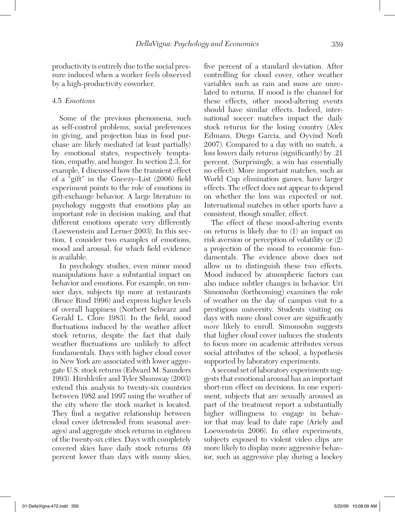productivity is entirely due to the social pressure induced when a worker feels observed by a high-productivity coworker.

#### 4.5 *Emotions*

Some of the previous phenomena, such as self-control problems, social preferences in giving, and projection bias in food purchase are likely mediated (at least partially) by emotional states, respectively temptation, empathy, and hunger. In section 2.3, for example, I discussed how the transient effect of a "gift" in the Gneezy–List (2006) field experiment points to the role of emotions in gift-exchange behavior. A large literature in psychology suggests that emotions play an important role in decision making, and that different emotions operate very differently (Loewenstein and Lerner 2003). In this section, I consider two examples of emotions, mood and arousal, for which field evidence is available.

In psychology studies, even minor mood manipulations have a substantial impact on behavior and emotions. For example, on sunnier days, subjects tip more at restaurants (Bruce Rind 1996) and express higher levels of overall happiness (Norbert Schwarz and Gerald L. Clore 1983). In the field, mood fluctuations induced by the weather affect stock returns, despite the fact that daily weather fluctuations are unlikely to affect fundamentals. Days with higher cloud cover in New York are associated with lower aggregate U.S. stock returns (Edward M. Saunders 1993). Hirshleifer and Tyler Shumway (2003) extend this analysis to twenty-six countries between 1982 and 1997 using the weather of the city where the stock market is located. They find a negative relationship between cloud cover (detrended from seasonal averages) and aggregate stock returns in eighteen of the twenty-six cities. Days with completely covered skies have daily stock returns .09 percent lower than days with sunny skies,

five percent of a standard deviation. After controlling for cloud cover, other weather variables such as rain and snow are unrelated to returns. If mood is the channel for these effects, other mood-altering events should have similar effects. Indeed, international soccer matches impact the daily stock returns for the losing country (Alex Edmans, Diego Garcia, and Oyvind Norli 2007). Compared to a day with no match, a loss lowers daily returns (significantly) by .21 percent. (Surprisingly, a win has essentially no effect). More important matches, such as World Cup elimination games, have larger effects. The effect does not appear to depend on whether the loss was expected or not. International matches in other sports have a consistent, though smaller, effect.

The effect of these mood-altering events on returns is likely due to (1) an impact on risk aversion or perception of volatility or (2) a projection of the mood to economic fundamentals. The evidence above does not allow us to distinguish these two effects. Mood induced by atmospheric factors can also induce subtler changes in behavior. Uri Simonsohn (forthcoming) examines the role of weather on the day of campus visit to a prestigious university. Students visiting on days with more cloud cover are significantly *more* likely to enroll. Simonsohn suggests that higher cloud cover induces the students to focus more on academic attributes versus social attributes of the school, a hypothesis supported by laboratory experiments.

A second set of laboratory experiments suggests that emotional arousal has an important short-run effect on decisions. In one experiment, subjects that are sexually aroused as part of the treatment report a substantially higher willingness to engage in behavior that may lead to date rape (Ariely and Loewenstein 2006). In other experiments, subjects exposed to violent video clips are more likely to display more aggressive behavior, such as aggressive play during a hockey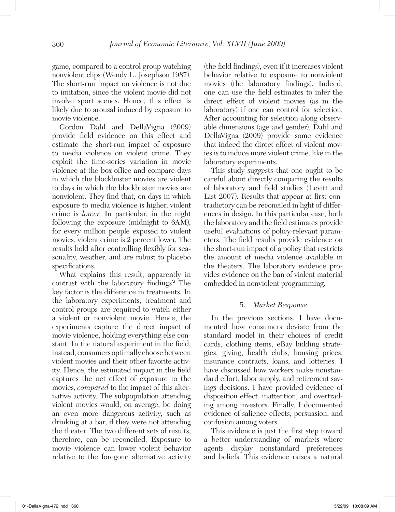game, compared to a control group watching nonviolent clips (Wendy L. Josephson 1987). The short-run impact on violence is not due to imitation, since the violent movie did not involve sport scenes. Hence, this effect is likely due to arousal induced by exposure to movie violence.

Gordon Dahl and DellaVigna (2009) provide field evidence on this effect and estimate the short-run impact of exposure to media violence on violent crime. They exploit the time-series variation in movie violence at the box office and compare days in which the blockbuster movies are violent to days in which the blockbuster movies are nonviolent. They find that, on days in which exposure to media violence is higher, violent crime is *lower*. In particular, in the night following the exposure (midnight to 6AM), for every million people exposed to violent movies, violent crime is 2 percent lower. The results hold after controlling flexibly for seasonality, weather, and are robust to placebo specifications.

What explains this result, apparently in contrast with the laboratory findings? The key factor is the difference in treatments. In the laboratory experiments, treatment and control groups are required to watch either a violent or nonviolent movie. Hence, the experiments capture the direct impact of movie violence, holding everything else constant. In the natural experiment in the field, instead, consumers optimally choose between violent movies and their other favorite activity. Hence, the estimated impact in the field captures the net effect of exposure to the movies, *compared* to the impact of this alternative activity. The subpopulation attending violent movies would, on average, be doing an even more dangerous activity, such as drinking at a bar, if they were not attending the theater. The two different sets of results, therefore, can be reconciled. Exposure to movie violence can lower violent behavior relative to the foregone alternative activity (the field findings), even if it increases violent behavior relative to exposure to nonviolent movies (the laboratory findings). Indeed, one can use the field estimates to infer the direct effect of violent movies (as in the laboratory) if one can control for selection. After accounting for selection along observable dimensions (age and gender), Dahl and DellaVigna (2009) provide some evidence that indeed the direct effect of violent movies is to induce more violent crime, like in the laboratory experiments.

This study suggests that one ought to be careful about directly comparing the results of laboratory and field studies (Levitt and List 2007). Results that appear at first contradictory can be reconciled in light of differences in design. In this particular case, both the laboratory and the field estimates provide useful evaluations of policy-relevant parameters. The field results provide evidence on the short-run impact of a policy that restricts the amount of media violence available in the theaters. The laboratory evidence provides evidence on the ban of violent material embedded in nonviolent programming.

#### 5. *Market Response*

In the previous sections, I have documented how consumers deviate from the standard model in their choices of credit cards, clothing items, eBay bidding strategies, giving, health clubs, housing prices, insurance contracts, loans, and lotteries. I have discussed how workers make nonstandard effort, labor supply, and retirement savings decisions. I have provided evidence of disposition effect, inattention, and overtrading among investors. Finally, I documented evidence of salience effects, persuasion, and confusion among voters.

This evidence is just the first step toward a better understanding of markets where agents display nonstandard preferences and beliefs. This evidence raises a natural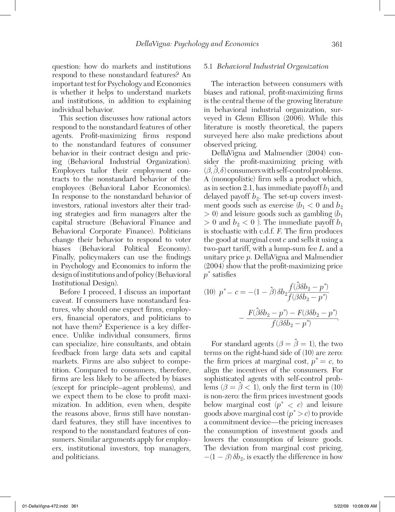question: how do markets and institutions respond to these nonstandard features? An important test for Psychology and Economics is whether it helps to understand markets and institutions, in addition to explaining individual behavior.

This section discusses how rational actors respond to the nonstandard features of other agents. Profit-maximizing firms respond to the nonstandard features of consumer behavior in their contract design and pricing (Behavioral Industrial Organization). Employers tailor their employment contracts to the nonstandard behavior of the employees (Behavioral Labor Economics). In response to the nonstandard behavior of investors, rational investors alter their trading strategies and firm managers alter the capital structure (Behavioral Finance and Behavioral Corporate Finance). Politicians change their behavior to respond to voter biases (Behavioral Political Economy). Finally, policymakers can use the findings in Psychology and Economics to inform the design of institutions and of policy (Behavioral Institutional Design).

Before I proceed, I discuss an important caveat. If consumers have nonstandard features, why should one expect firms, employers, financial operators, and politicians to not have them? Experience is a key difference. Unlike individual consumers, firms can specialize, hire consultants, and obtain feedback from large data sets and capital markets. Firms are also subject to competition. Compared to consumers, therefore, firms are less likely to be affected by biases (except for principle–agent problems), and we expect them to be close to profit maximization. In addition, even when, despite the reasons above, firms still have nonstandard features, they still have incentives to respond to the nonstandard features of consumers. Similar arguments apply for employers, institutional investors, top managers, and politicians.

#### 5.1 *Behavioral Industrial Organization*

The interaction between consumers with biases and rational, profit-maximizing firms is the central theme of the growing literature in behavioral industrial organization, surveyed in Glenn Ellison (2006). While this literature is mostly theoretical, the papers surveyed here also make predictions about observed pricing.

DellaVigna and Malmendier (2004) consider the profit-maximizing pricing with  $(\beta, \hat{\beta}, \delta)$  consumers with self-control problems. A (monopolistic) firm sells a product which, as in section 2.1, has immediate payoff  $b_1$  and delayed payoff  $b_2$ . The set-up covers investment goods such as exercise  $(b_1 < 0 \text{ and } b_2)$  $>$  0) and leisure goods such as gambling  $(b_1)$  $> 0$  and  $b_2 < 0$ ). The immediate payoff  $b_1$ is stochastic with c.d.f. *F*. The firm produces the good at marginal cost *c* and sells it using a two-part tariff, with a lump-sum fee *L* and a unitary price *p*. DellaVigna and Malmendier (2004) show that the profit-maximizing price *p*\* satisfies

$$
(10) \ \ p^* - c = -(1 - \hat{\beta}) \delta b_2 \frac{f(\hat{\beta} \delta b_2 - p^*)}{f(\beta \delta b_2 - p^*)} - \frac{F(\hat{\beta} \delta b_2 - p^*) - F(\beta \delta b_2 - p^*)}{f(\beta \delta b_2 - p^*)}.
$$

For standard agents  $(\beta = \hat{\beta} = 1)$ , the two terms on the right-hand side of (10) are zero: the firm prices at marginal cost,  $p^* = c$ , to align the incentives of the consumers. For sophisticated agents with self-control problems ( $\beta = \hat{\beta} < 1$ ), only the first term in (10) is non-zero: the firm prices investment goods below marginal cost  $(p^* \lt c)$  and leisure goods above marginal cost (*p*\* > *c*) to provide a commitment device—the pricing increases the consumption of investment goods and lowers the consumption of leisure goods. The deviation from marginal cost pricing,  $-(1 - \beta)\delta b_2$ , is exactly the difference in how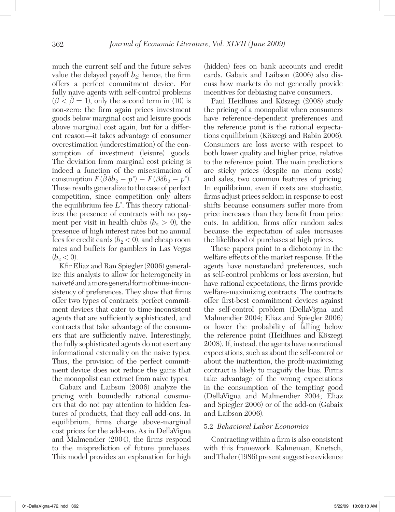much the current self and the future selves value the delayed payoff  $b_2$ ; hence, the firm offers a perfect commitment device. For fully naive agents with self-control problems  $(\beta < \hat{\beta} = 1)$ , only the second term in (10) is non-zero: the firm again prices investment goods below marginal cost and leisure goods above marginal cost again, but for a different reason—it takes advantage of consumer overestimation (underestimation) of the consumption of investment (leisure) goods. The deviation from marginal cost pricing is indeed a function of the misestimation of consumption  $F(\hat{\beta}\delta b_2 - p^*) - F(\beta \delta b_2 - p^*)$ . These results generalize to the case of perfect competition, since competition only alters the equilibrium fee *L*\* . This theory rationalizes the presence of contracts with no payment per visit in health clubs  $(b_2 > 0)$ , the presence of high interest rates but no annual fees for credit cards ( $b<sub>2</sub> < 0$ ), and cheap room rates and buffets for gamblers in Las Vegas  $(b_2 < 0)$ .

Kfir Eliaz and Ran Spiegler (2006) generalize this analysis to allow for heterogeneity in naiveté and a more general form of time-inconsistency of preferences. They show that firms offer two types of contracts: perfect commitment devices that cater to time-inconsistent agents that are sufficiently sophisticated, and contracts that take advantage of the consumers that are sufficiently naive. Interestingly, the fully sophisticated agents do not exert any informational externality on the naive types. Thus, the provision of the perfect commitment device does not reduce the gains that the monopolist can extract from naive types.

Gabaix and Laibson (2006) analyze the pricing with boundedly rational consumers that do not pay attention to hidden features of products, that they call add-ons. In equilibrium, firms charge above-marginal cost prices for the add-ons. As in DellaVigna and Malmendier (2004), the firms respond to the misprediction of future purchases. This model provides an explanation for high

(hidden) fees on bank accounts and credit cards. Gabaix and Laibson (2006) also discuss how markets do not generally provide incentives for debiasing naive consumers.

Paul Heidhues and Köszegi (2008) study the pricing of a monopolist when consumers have reference-dependent preferences and the reference point is the rational expectations equilibrium (Köszegi and Rabin 2006). Consumers are loss averse with respect to both lower quality and higher price, relative to the reference point. The main predictions are sticky prices (despite no menu costs) and sales, two common features of pricing. In equilibrium, even if costs are stochastic, firms adjust prices seldom in response to cost shifts because consumers suffer more from price increases than they benefit from price cuts. In addition, firms offer random sales because the expectation of sales increases the likelihood of purchases at high prices.

These papers point to a dichotomy in the welfare effects of the market response. If the agents have nonstandard preferences, such as self-control problems or loss aversion, but have rational expectations, the firms provide welfare-maximizing contracts. The contracts offer first-best commitment devices against the self-control problem (DellaVigna and Malmendier 2004; Eliaz and Spiegler 2006) or lower the probability of falling below the reference point (Heidhues and Köszegi 2008). If, instead, the agents have nonrational expectations, such as about the self-control or about the inattention, the profit-maximizing contract is likely to magnify the bias. Firms take advantage of the wrong expectations in the consumption of the tempting good (DellaVigna and Malmendier 2004; Eliaz and Spiegler 2006) or of the add-on (Gabaix and Laibson 2006).

#### 5.2 *Behavioral Labor Economics*

Contracting within a firm is also consistent with this framework. Kahneman, Knetsch, and Thaler (1986) present suggestive evidence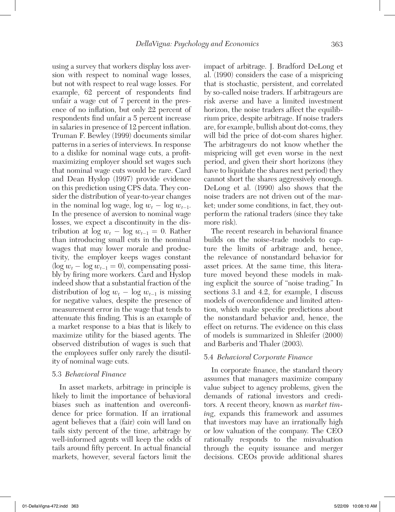using a survey that workers display loss aversion with respect to nominal wage losses, but not with respect to real wage losses. For example, 62 percent of respondents find unfair a wage cut of 7 percent in the presence of no inflation, but only 22 percent of respondents find unfair a 5 percent increase in salaries in presence of 12 percent inflation. Truman F. Bewley (1999) documents similar patterns in a series of interviews. In response to a dislike for nominal wage cuts, a profitmaximizing employer should set wages such that nominal wage cuts would be rare. Card and Dean Hyslop (1997) provide evidence on this prediction using CPS data. They consider the distribution of year-to-year changes in the nominal log wage, log  $w_t - \log w_{t-1}$ . In the presence of aversion to nominal wage losses, we expect a discontinuity in the distribution at  $\log w_t - \log w_{t-1} = 0$ . Rather than introducing small cuts in the nominal wages that may lower morale and productivity, the employer keeps wages constant  $(\log w_t - \log w_{t-1} = 0)$ , compensating possibly by firing more workers. Card and Hyslop indeed show that a substantial fraction of the distribution of  $\log w_t - \log w_{t-1}$  is missing for negative values, despite the presence of measurement error in the wage that tends to attenuate this finding. This is an example of a market response to a bias that is likely to maximize utility for the biased agents. The observed distribution of wages is such that the employees suffer only rarely the disutility of nominal wage cuts.

#### 5.3 *Behavioral Finance*

In asset markets, arbitrage in principle is likely to limit the importance of behavioral biases such as inattention and overconfidence for price formation. If an irrational agent believes that a (fair) coin will land on tails sixty percent of the time, arbitrage by well-informed agents will keep the odds of tails around fifty percent. In actual financial markets, however, several factors limit the

impact of arbitrage. J. Bradford DeLong et al. (1990) considers the case of a mispricing that is stochastic, persistent, and correlated by so-called noise traders. If arbitrageurs are risk averse and have a limited investment horizon, the noise traders affect the equilibrium price, despite arbitrage. If noise traders are, for example, bullish about dot-coms, they will bid the price of dot-com shares higher. The arbitrageurs do not know whether the mispricing will get even worse in the next period, and given their short horizons (they have to liquidate the shares next period) they cannot short the shares aggressively enough. DeLong et al. (1990) also shows that the noise traders are not driven out of the market; under some conditions, in fact, they outperform the rational traders (since they take more risk).

The recent research in behavioral finance builds on the noise-trade models to capture the limits of arbitrage and, hence, the relevance of nonstandard behavior for asset prices. At the same time, this literature moved beyond these models in making explicit the source of "noise trading." In sections 3.1 and 4.2, for example, I discuss models of overconfidence and limited attention, which make specific predictions about the nonstandard behavior and, hence, the effect on returns. The evidence on this class of models is summarized in Shleifer (2000) and Barberis and Thaler (2003).

#### 5.4 *Behavioral Corporate Finance*

In corporate finance, the standard theory assumes that managers maximize company value subject to agency problems, given the demands of rational investors and creditors. A recent theory, known as *market timing*, expands this framework and assumes that investors may have an irrationally high or low valuation of the company. The CEO rationally responds to the misvaluation through the equity issuance and merger decisions. CEOs provide additional shares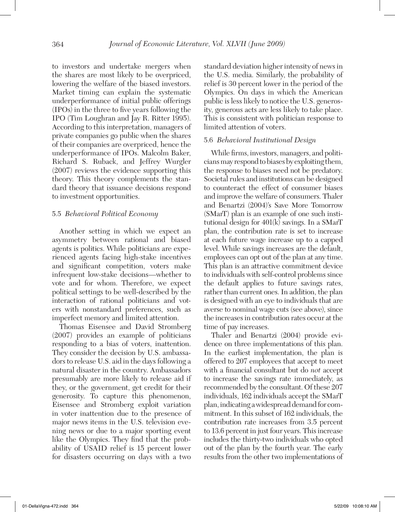to investors and undertake mergers when the shares are most likely to be overpriced, lowering the welfare of the biased investors. Market timing can explain the systematic underperformance of initial public offerings (IPOs) in the three to five years following the IPO (Tim Loughran and Jay R. Ritter 1995). According to this interpretation, managers of private companies go public when the shares of their companies are overpriced, hence the underperformance of IPOs. Malcolm Baker, Richard S. Ruback, and Jeffrey Wurgler (2007) reviews the evidence supporting this theory. This theory complements the standard theory that issuance decisions respond to investment opportunities.

#### 5.5 *Behavioral Political Economy*

Another setting in which we expect an asymmetry between rational and biased agents is politics. While politicians are experienced agents facing high-stake incentives and significant competition, voters make infrequent low-stake decisions—whether to vote and for whom. Therefore, we expect political settings to be well-described by the interaction of rational politicians and voters with nonstandard preferences, such as imperfect memory and limited attention.

Thomas Eisensee and David Stromberg (2007) provides an example of politicians responding to a bias of voters, inattention. They consider the decision by U.S. ambassadors to release U.S. aid in the days following a natural disaster in the country. Ambassadors presumably are more likely to release aid if they, or the government, get credit for their generosity. To capture this phenomenon, Eisensee and Stromberg exploit variation in voter inattention due to the presence of major news items in the U.S. television evening news or due to a major sporting event like the Olympics. They find that the probability of USAID relief is 15 percent lower for disasters occurring on days with a two

standard deviation higher intensity of news in the U.S. media. Similarly, the probability of relief is 30 percent lower in the period of the Olympics. On days in which the American public is less likely to notice the U.S. generosity, generous acts are less likely to take place. This is consistent with politician response to limited attention of voters.

#### 5.6 *Behavioral Institutional Design*

While firms, investors, managers, and politicians may respond to biases by exploiting them, the response to biases need not be predatory. Societal rules and institutions can be designed to counteract the effect of consumer biases and improve the welfare of consumers. Thaler and Benartzi (2004)'s Save More Tomorrow (SMarT) plan is an example of one such institutional design for 401(k) savings. In a SMarT plan, the contribution rate is set to increase at each future wage increase up to a capped level. While savings increases are the default, employees can opt out of the plan at any time. This plan is an attractive commitment device to individuals with self-control problems since the default applies to future savings rates, rather than current ones. In addition, the plan is designed with an eye to individuals that are averse to nominal wage cuts (see above), since the increases in contribution rates occur at the time of pay increases.

Thaler and Benartzi (2004) provide evidence on three implementations of this plan. In the earliest implementation, the plan is offered to 207 employees that accept to meet with a financial consultant but do *not* accept to increase the savings rate immediately, as recommended by the consultant. Of these 207 individuals, 162 individuals accept the SMarT plan, indicating a widespread demand for commitment. In this subset of 162 individuals, the contribution rate increases from 3.5 percent to 13.6 percent in just four years. This increase includes the thirty-two individuals who opted out of the plan by the fourth year. The early results from the other two implementations of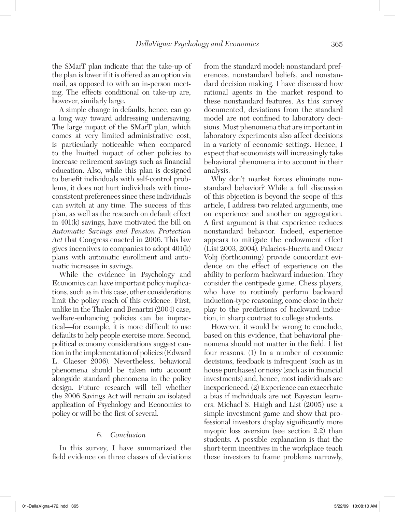the SMarT plan indicate that the take-up of the plan is lower if it is offered as an option via mail, as opposed to with an in-person meeting. The effects conditional on take-up are, however, similarly large.

A simple change in defaults, hence, can go a long way toward addressing undersaving. The large impact of the SMarT plan, which comes at very limited administrative cost, is particularly noticeable when compared to the limited impact of other policies to increase retirement savings such as financial education. Also, while this plan is designed to benefit individuals with self-control problems, it does not hurt individuals with timeconsistent preferences since these individuals can switch at any time. The success of this plan, as well as the research on default effect in 401(k) savings, have motivated the bill on *Automatic Savings and Pension Protection Act* that Congress enacted in 2006. This law gives incentives to companies to adopt 401(k) plans with automatic enrollment and automatic increases in savings.

While the evidence in Psychology and Economics can have important policy implications, such as in this case, other considerations limit the policy reach of this evidence. First, unlike in the Thaler and Benartzi (2004) case, welfare-enhancing policies can be impractical—for example, it is more difficult to use defaults to help people exercise more. Second, political economy considerations suggest caution in the implementation of policies (Edward L. Glaeser 2006). Nevertheless, behavioral phenomena should be taken into account alongside standard phenomena in the policy design. Future research will tell whether the 2006 Savings Act will remain an isolated application of Psychology and Economics to policy or will be the first of several.

#### 6. *Conclusion*

In this survey, I have summarized the field evidence on three classes of deviations from the standard model: nonstandard preferences, nonstandard beliefs, and nonstandard decision making. I have discussed how rational agents in the market respond to these nonstandard features. As this survey documented, deviations from the standard model are not confined to laboratory decisions. Most phenomena that are important in laboratory experiments also affect decisions in a variety of economic settings. Hence, I expect that economists will increasingly take behavioral phenomena into account in their analysis.

Why don't market forces eliminate nonstandard behavior? While a full discussion of this objection is beyond the scope of this article, I address two related arguments, one on experience and another on aggregation. A first argument is that experience reduces nonstandard behavior. Indeed, experience appears to mitigate the endowment effect (List 2003, 2004). Palacios-Huerta and Oscar Volij (forthcoming) provide concordant evidence on the effect of experience on the ability to perform backward induction. They consider the centipede game. Chess players, who have to routinely perform backward induction-type reasoning, come close in their play to the predictions of backward induction, in sharp contrast to college students.

However, it would be wrong to conclude, based on this evidence, that behavioral phenomena should not matter in the field. I list four reasons. (1) In a number of economic decisions, feedback is infrequent (such as in house purchases) or noisy (such as in financial investments) and, hence, most individuals are inexperienced. (2) Experience can exacerbate a bias if individuals are not Bayesian learners. Michael S. Haigh and List (2005) use a simple investment game and show that professional investors display significantly more myopic loss aversion (see section 2.2) than students. A possible explanation is that the short-term incentives in the workplace teach these investors to frame problems narrowly,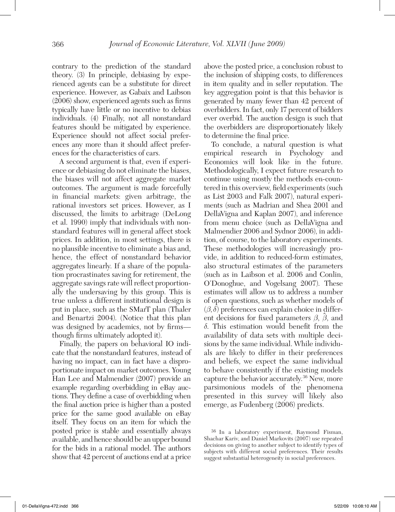contrary to the prediction of the standard theory. (3) In principle, debiasing by experienced agents can be a substitute for direct experience. However, as Gabaix and Laibson (2006) show, experienced agents such as firms typically have little or no incentive to debias individuals. (4) Finally, not all nonstandard features should be mitigated by experience. Experience should not affect social preferences any more than it should affect preferences for the characteristics of cars.

A second argument is that, even if experience or debiasing do not eliminate the biases, the biases will not affect aggregate market outcomes. The argument is made forcefully in financial markets: given arbitrage, the rational investors set prices. However, as I discussed, the limits to arbitrage (DeLong et al. 1990) imply that individuals with nonstandard features will in general affect stock prices. In addition, in most settings, there is no plausible incentive to eliminate a bias and, hence, the effect of nonstandard behavior aggregates linearly. If a share of the population procrastinates saving for retirement, the aggregate savings rate will reflect proportionally the undersaving by this group. This is true unless a different institutional design is put in place, such as the SMarT plan (Thaler and Benartzi 2004). (Notice that this plan was designed by academics, not by firms though firms ultimately adopted it).

Finally, the papers on behavioral IO indicate that the nonstandard features, instead of having no impact, can in fact have a disproportionate impact on market outcomes. Young Han Lee and Malmendier (2007) provide an example regarding overbidding in eBay auctions. They define a case of overbidding when the final auction price is higher than a posted price for the same good available on eBay itself. They focus on an item for which the posted price is stable and essentially always available, and hence should be an upper bound for the bids in a rational model. The authors show that 42 percent of auctions end at a price

above the posted price, a conclusion robust to the inclusion of shipping costs, to differences in item quality and in seller reputation. The key aggregation point is that this behavior is generated by many fewer than 42 percent of overbidders. In fact, only 17 percent of bidders ever overbid. The auction design is such that the overbidders are disproportionately likely to determine the final price.

To conclude, a natural question is what empirical research in Psychology and Economics will look like in the future. Methodologically, I expect future research to continue using mostly the methods en-countered in this overview, field experiments (such as List 2003 and Falk 2007), natural experiments (such as Madrian and Shea 2001 and DellaVigna and Kaplan 2007), and inference from menu choice (such as DellaVigna and Malmendier 2006 and Sydnor 2006), in addition, of course, to the laboratory experiments. These methodologies will increasingly provide, in addition to reduced-form estimates, also structural estimates of the parameters (such as in Laibson et al. 2006 and Conlin, O'Donoghue, and Vogelsang 2007). These estimates will allow us to address a number of open questions, such as whether models of  $(\beta, \delta)$  preferences can explain choice in different decisions for fixed parameters  $\beta$ ,  $\hat{\beta}$ , and δ. This estimation would benefit from the availability of data sets with multiple decisions by the same individual. While individuals are likely to differ in their preferences and beliefs, we expect the same individual to behave consistently if the existing models capture the behavior accurately.36 New, more parsimonious models of the phenomena presented in this survey will likely also emerge, as Fudenberg (2006) predicts.

<sup>36</sup> In a laboratory experiment, Raymond Fisman, Shachar Kariv, and Daniel Markovits (2007) use repeated decisions on giving to another subject to identify types of subjects with different social preferences. Their results suggest substantial heterogeneity in social preferences.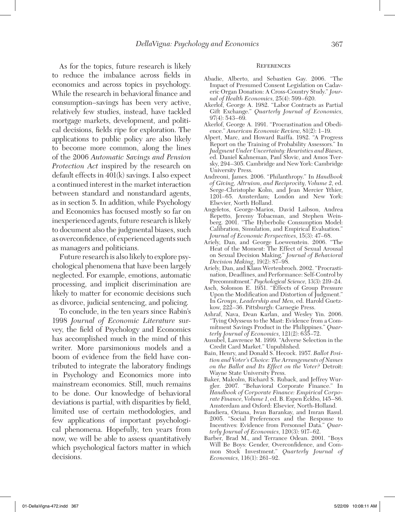As for the topics, future research is likely to reduce the imbalance across fields in economics and across topics in psychology. While the research in behavioral finance and consumption–savings has been very active, relatively few studies, instead, have tackled mortgage markets, development, and political decisions, fields ripe for exploration. The applications to public policy are also likely to become more common, along the lines of the 2006 *Automatic Savings and Pension Protection Act* inspired by the research on default effects in 401(k) savings. I also expect a continued interest in the market interaction between standard and nonstandard agents, as in section 5. In addition, while Psychology and Economics has focused mostly so far on inexperienced agents, future research is likely to document also the judgmental biases, such as overconfidence, of experienced agents such as managers and politicians.

Future research is also likely to explore psychological phenomena that have been largely neglected. For example, emotions, automatic processing, and implicit discrimination are likely to matter for economic decisions such as divorce, judicial sentencing, and policing.

To conclude, in the ten years since Rabin's 1998 *Journal of Economic Literature* survey, the field of Psychology and Economics has accomplished much in the mind of this writer. More parsimonious models and a boom of evidence from the field have contributed to integrate the laboratory findings in Psychology and Economics more into mainstream economics. Still, much remains to be done. Our knowledge of behavioral deviations is partial, with disparities by field, limited use of certain methodologies, and few applications of important psychological phenomena. Hopefully, ten years from now, we will be able to assess quantitatively which psychological factors matter in which decisions.

#### **REFERENCES**

- Abadie, Alberto, and Sebastien Gay. 2006. "The Impact of Presumed Consent Legislation on Cadaveric Organ Donation: A Cross-Country Study." *Journal of Health Economics*, 25(4): 599–620.
- Akerlof, George A. 1982. "Labor Contracts as Partial Gift Exchange." *Quarterly Journal of Economics*,  $97(4): 543-69.$
- Akerlof, George A. 1991. "Procrastination and Obedience." *American Economic Review*, 81(2): 1–19.
- Alpert, Marc, and Howard Raiffa. 1982. "A Progress Report on the Training of Probability Assessors." In *Judgment Under Uncertainty: Heuristics and Biases*, ed. Daniel Kahneman, Paul Slovic, and Amos Tversky, 294–305. Cambridge and New York: Cambridge University Press.
- Andreoni, James. 2006. "Philanthropy." In *Handbook of Giving, Altruism, and Reciprocity, Volume 2*, ed. Serge-Christophe Kolm, and Jean Mercier Ythier, 1201–65. Amsterdam; London and New York: Elsevier, North Holland.
- Angeletos, George-Marios, David Laibson, Andrea Repetto, Jeremy Tobacman, and Stephen Weinberg. 2001. "The Hyberbolic Consumption Model: Calibration, Simulation, and Empirical Evaluation." *Journal of Economic Perspectives*, 15(3): 47–68.
- Ariely, Dan, and George Loewenstein. 2006. "The Heat of the Moment: The Effect of Sexual Arousal on Sexual Decision Making." *Journal of Behavioral Decision Making*, 19(2): 87–98.
- Ariely, Dan, and Klaus Wertenbroch. 2002. "Procrastination, Deadlines, and Performance: Self-Control by Precommitment." *Psychological Science*, 13(3): 219–24.
- Asch, Solomon E. 1951. "Effects of Group Pressure Upon the Modification and Distortion of Judgment." In *Groups, Leadership and Men*, ed. Harold Guetzkow, 222–36. Pittsburgh: Carnegie Press.
- Ashraf, Nava, Dean Karlan, and Wesley Yin. 2006. "Tying Odysseus to the Mast: Evidence from a Commitment Savings Product in the Philippines." *Quarterly Journal of Economics*, 121(2): 635–72.
- Ausubel, Lawrence M. 1999. "Adverse Selection in the Credit Card Market." Unpublished.
- Bain, Henry, and Donald S. Hecock. 1957. *Ballot Position and Voter's Choice: The Arrangements of Names on the Ballot and Its Effect on the Voter?* Detroit: Wayne State University Press.
- Baker, Malcolm, Richard S. Ruback, and Jeffrey Wurgler. 2007. "Behavioral Corporate Finance." In *Handbook of Corporate Finance: Empirical Corporate Finance, Volume 1*, ed. B. Espen Eckbo, 145–86. Amsterdam and Oxford: Elsevier, North-Holland.
- Bandiera, Oriana, Iwan Barankay, and Imran Rasul. 2005. "Social Preferences and the Response to Incentives: Evidence from Personnel Data." *Quarterly Journal of Economics*, 120(3): 917–62.
- Barber, Brad M., and Terrance Odean. 2001. "Boys Will Be Boys: Gender, Overconfidence, and Common Stock Investment." *Quarterly Journal of Economics*, 116(1): 261–92.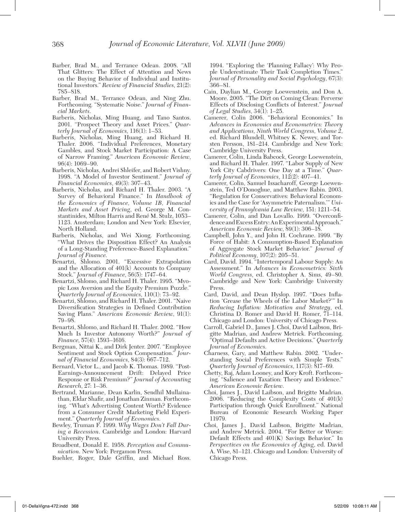- Barber, Brad M., and Terrance Odean. 2008. "All That Glitters: The Effect of Attention and News on the Buying Behavior of Individual and Institutional Investors." *Review of Financial Studies*, 21(2): 785–818.
- Barber, Brad M., Terrance Odean, and Ning Zhu. Forthcoming. "Systematic Noise." *Journal of Financial Markets*.
- Barberis, Nicholas, Ming Huang, and Tano Santos. 2001. "Prospect Theory and Asset Prices." *Quarterly Journal of Economics*, 116(1): 1–53.
- Barberis, Nicholas, Ming Huang, and Richard H. Thaler. 2006. "Individual Preferences, Monetary Gambles, and Stock Market Participation: A Case of Narrow Framing." *American Economic Review*, 96(4): 1069–90.
- Barberis, Nicholas, Andrei Shleifer, and Robert Vishny. 1998. "A Model of Investor Sentiment." *Journal of Financial Economics*, 49(3): 307–43.
- Barberis, Nicholas, and Richard H. Thaler. 2003. "A Survey of Behavioral Finance." In *Handbook of the Economics of Finance, Volume 1B, Financial Markets and Asset Pricing*, ed. George M. Constantinides, Milton Harris and René M. Stulz, 1053– 1123. Amsterdam; London and New York: Elsevier, North Holland.
- Barberis, Nicholas, and Wei Xiong. Forthcoming. "What Drives the Disposition Effect? An Analysis of a Long-Standing Preference-Based Explanation." *Journal of Finance*.
- Benartzi, Shlomo. 2001. "Excessive Extrapolation and the Allocation of  $401(k)$  Accounts to Company Stock." *Journal of Finance*, 56(5): 1747–64.
- Benartzi, Shlomo, and Richard H. Thaler. 1995. "Myopic Loss Aversion and the Equity Premium Puzzle." *Quarterly Journal of Economics*, 110(1): 73–92.
- Benartzi, Shlomo, and Richard H. Thaler. 2001. "Naive Diversification Strategies in Defined Contribution Saving Plans." *American Economic Review*, 91(1): 79–98.
- Benartzi, Shlomo, and Richard H. Thaler. 2002. "How Much Is Investor Autonomy Worth?" *Journal of Finance*, 57(4): 1593–1616.
- Bergman, Nittai K., and Dirk Jenter. 2007. "Employee Sentiment and Stock Option Compensation." *Journal of Financial Economics*, 84(3): 667–712.
- Bernard, Victor L., and Jacob K. Thomas. 1989. "Post-Earnings-Announcement Drift: Delayed Price Response or Risk Premium?" *Journal of Accounting Research*, 27: 1–36.
- Bertrand, Marianne, Dean Karlin, Sendhil Mullainathan, Eldar Shafir, and Jonathan Zinman. Forthcoming. "What's Advertising Content Worth? Evidence from a Consumer Credit Marketing Field Experiment." *Quarterly Journal of Economics*.
- Bewley, Truman F. 1999. *Why Wages Don't Fall During a Recession*. Cambridge and London: Harvard University Press.
- Broadbent, Donald E. 1958. *Perception and Communication*. New York: Pergamon Press.
- Buehler, Roger, Dale Griffin, and Michael Ross.

1994. "Exploring the 'Planning Fallacy': Why People Underestimate Their Task Completion Times." *Journal of Personality and Social Psychology*, 67(3): 366–81.

- Cain, Daylian M., George Loewenstein, and Don A. Moore. 2005. "The Dirt on Coming Clean: Perverse Effects of Disclosing Conflicts of Interest." *Journal of Legal Studies*, 34(1): 1–25.
- Camerer, Colin 2006. "Behavioral Economics." In *Advances in Economics and Econometrics: Theory and Applications, Ninth World Congress, Volume 2*, ed. Richard Blundell, Whitney K. Newey, and Torsten Persson, 181–214. Cambridge and New York: Cambridge University Press.
- Camerer, Colin, Linda Babcock, George Loewenstein, and Richard H. Thaler. 1997. "Labor Supply of New York City Cabdrivers: One Day at a Time." *Quarterly Journal of Economics*, 112(2): 407–41.
- Camerer, Colin, Samuel Issacharoff, George Loewenstein, Ted O'Donoghue, and Matthew Rabin. 2003. "Regulation for Conservatives: Behavioral Economics and the Case for 'Asymmetric Paternalism.'" *University of Pennsylvania Law Review*, 151: 1211–54.
- Camerer, Colin, and Dan Lovallo. 1999. "Overconfidence and Excess Entry: An Experimental Approach." *American Economic Review*, 89(1): 306–18.
- Campbell, John Y., and John H. Cochrane. 1999. "By Force of Habit: A Consumption-Based Explanation of Aggregate Stock Market Behavior." *Journal of Political Economy*, 107(2): 205–51.
- Card, David. 1994. "Intertemporal Labour Supply: An Assessment." In *Advances in Econometrics: Sixth World Congress*, ed. Christopher A. Sims, 49–80. Cambridge and New York: Cambridge University Press.
- Card, David, and Dean Hyslop. 1997. "Does Inflation 'Grease the Wheels of the Labor Market?'" In *Reducing Inflation: Motivation and Strategy*, ed. Christina D. Romer and David H. Romer, 71–114. Chicago and London: University of Chicago Press.
- Carroll, Gabriel D., James J. Choi, David Laibson, Brigitte Madrian, and Andrew Metrick. Forthcoming. "Optimal Defaults and Active Decisions." *Quarterly Journal of Economics*.
- Charness, Gary, and Matthew Rabin. 2002. "Understanding Social Preferences with Simple Tests." *Quarterly Journal of Economics*, 117(3): 817–69.
- Chetty, Raj, Adam Looney, and Kory Kroft. Forthcoming. "Salience and Taxation: Theory and Evidence." *American Economic Review*.
- Choi, James J., David Laibson, and Brigitte Madrian. 2006. "Reducing the Complexity Costs of 401(k) Participation through Quick Enrollment." National Bureau of Economic Research Working Paper 11979.
- Choi, James J., David Laibson, Brigitte Madrian, and Andrew Metrick. 2004. "For Better or Worse: Default Effects and 401(K) Savings Behavior." In *Perspectives on the Economics of Aging*, ed. David A. Wise, 81–121. Chicago and London: University of Chicago Press.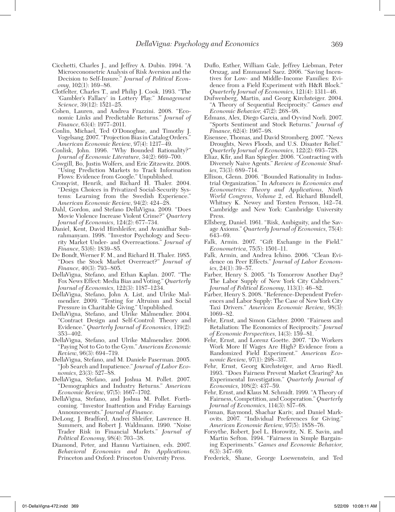- Cicchetti, Charles J., and Jeffrey A. Dubin. 1994. "A Microeconometric Analysis of Risk Aversion and the Decision to Self-Insure." *Journal of Political Economy*, 102(1): 169–86.
- Clotfelter, Charles T., and Philip J. Cook. 1993. "The 'Gambler's Fallacy' in Lottery Play." *Management Science*, 39(12): 1521–25.
- Cohen, Lauren, and Andrea Frazzini. 2008. "Economic Links and Predictable Returns." *Journal of Finance*, 63(4): 1977–2011.
- Conlin, Michael, Ted O'Donoghue, and Timothy J. Vogelsang. 2007. "Projection Bias in Catalog Orders." *American Economic Review*, 97(4): 1217–49.
- Conlisk, John. 1996. "Why Bounded Rationality?" *Journal of Economic Literature*, 34(2): 669–700.
- Cowgill, Bo, Justin Wolfers, and Eric Zitzewitz. 2008. "Using Prediction Markets to Track Information Flows: Evidence from Google." Unpublished.
- Cronqvist, Henrik, and Richard H. Thaler. 2004. "Design Choices in Privatized Social-Security Systems: Learning from the Swedish Experience." *American Economic Review*, 94(2): 424–28.
- Dahl, Gordon, and Stefano DellaVigna. 2009. "Does Movie Violence Increase Violent Crime?" *Quartery Journal of Economics*, 124(2): 677–734.
- Daniel, Kent, David Hirshleifer, and Avanidhar Subrahmanyam. 1998. "Investor Psychology and Security Market Under- and Overreactions." *Journal of Finance*, 53(6): 1839–85.
- De Bondt, Werner F. M., and Richard H. Thaler. 1985. "Does the Stock Market Overreact?" *Journal of Finance*, 40(3): 793–805.
- DellaVigna, Stefano, and Ethan Kaplan. 2007. "The Fox News Effect: Media Bias and Voting." *Quarterly Journal of Economics*, 122(3): 1187–1234.
- DellaVigna, Stefano, John A. List, and Ulrike Malmendier. 2009. "Testing for Altruism and Social Pressure in Charitable Giving." Unpublished.
- DellaVigna, Stefano, and Ulrike Malmendier. 2004. "Contract Design and Self-Control: Theory and Evidence." *Quarterly Journal of Economics*, 119(2): 353–402.
- DellaVigna, Stefano, and Ulrike Malmendier. 2006. "Paying Not to Go to the Gym." *American Economic Review*, 96(3): 694–719.
- DellaVigna, Stefano, and M. Daniele Paserman. 2005. "Job Search and Impatience." *Journal of Labor Economics*, 23(3): 527–88.
- DellaVigna, Stefano, and Joshua M. Pollet. 2007. "Demographics and Industry Returns." *American Economic Review*, 97(5): 1667–1702.
- DellaVigna, Stefano, and Joshua M. Pollet. Forthcoming. "Investor Inattention and Friday Earnings Announcements." *Journal of Finance*.
- DeLong, J. Bradford, Andrei Shleifer, Lawrence H. Summers, and Robert J. Waldmann. 1990. "Noise Trader Risk in Financial Markets." *Journal of Political Economy*, 98(4): 703–38.
- Diamond, Peter, and Hannu Vartiainen, eds. 2007. *Behavioral Economics and Its Applications*. Princeton and Oxford: Princeton University Press.
- Duflo, Esther, William Gale, Jeffrey Liebman, Peter Orszag, and Emmanuel Saez. 2006. "Saving Incentives for Low- and Middle-Income Families: Evidence from a Field Experiment with H&R Block." *Quarterly Journal of Economics*, 121(4): 1311–46.
- Dufwenberg, Martin, and Georg Kirchsteiger. 2004. "A Theory of Sequential Reciprocity." *Games and Economic Behavior*, 47(2): 268–98.
- Edmans, Alex, Diego Garcia, and Oyvind Norli. 2007. "Sports Sentiment and Stock Returns." *Journal of Finance*, 62(4): 1967–98.
- Eisensee, Thomas, and David Stromberg. 2007. "News Droughts, News Floods, and U.S. Disaster Relief." *Quarterly Journal of Economics*, 122(2): 693–728.
- Eliaz, Kfir, and Ran Spiegler. 2006. "Contracting with Diversely Naive Agents." *Review of Economic Studies*, 73(3): 689–714.
- Ellison, Glenn. 2006. "Bounded Rationality in Industrial Organization." In *Advances in Economics and Econometrics: Theory and Applications, Ninth World Congress, Volume 2*, ed. Richard Blundell, Whitney K. Newey and Torsten Persson, 142–74. Cambridge and New York: Cambridge University Press.
- Ellsberg, Daniel. 1961. "Risk, Ambiguity, and the Savage Axioms." *Quarterly Journal of Economics*, 75(4): 643–69.
- Falk, Armin. 2007. "Gift Exchange in the Field." *Econometrica*, 75(5): 1501–11.
- Falk, Armin, and Andrea Ichino. 2006. "Clean Evidence on Peer Effects." *Journal of Labor Economics*, 24(1): 39–57.
- Farber, Henry S. 2005. "Is Tomorrow Another Day? The Labor Supply of New York City Cabdrivers." *Journal of Political Economy*, 113(1): 46–82.
- Farber, Henry S. 2008. "Reference-Dependent Preferences and Labor Supply: The Case of New York City Taxi Drivers." *American Economic Review*, 98(3): 1069–82.
- Fehr, Ernst, and Simon Gächter. 2000. "Fairness and Retaliation: The Economics of Reciprocity." *Journal of Economic Perspectives*, 14(3): 159–81.
- Fehr, Ernst, and Lorenz Goette. 2007. "Do Workers Work More If Wages Are High? Evidence from a Randomized Field Experiment." *American Economic Review*, 97(1): 298–317.
- Fehr, Ernst, Georg Kirchsteiger, and Arno Riedl. 1993. "Does Fairness Prevent Market Clearing? An Experimental Investigation." *Quarterly Journal of Economics*, 108(2): 437–59.
- Fehr, Ernst, and Klaus M. Schmidt. 1999. "A Theory of Fairness, Competition, and Cooperation." *Quarterly Journal of Economics*, 114(3): 817–68.
- Fisman, Raymond, Shachar Kariv, and Daniel Markovits. 2007. "Individual Preferences for Giving." *American Economic Review*, 97(5): 1858–76.
- Forsythe, Robert, Joel L. Horowitz, N. E. Savin, and Martin Sefton. 1994. "Fairness in Simple Bargaining Experiments." *Games and Economic Behavior*, 6(3): 347–69.
- Frederick, Shane, George Loewenstein, and Ted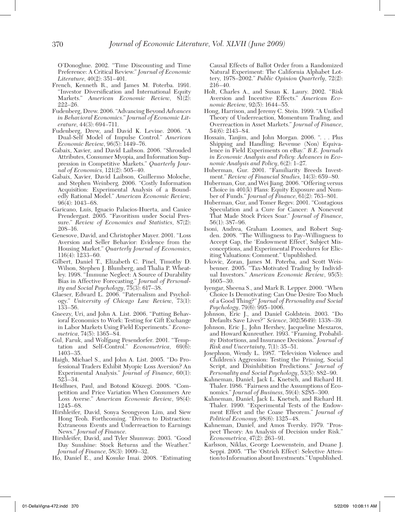O'Donoghue. 2002. "Time Discounting and Time Preference: A Critical Review." *Journal of Economic Literature*, 40(2): 351–401.

- French, Kenneth R., and James M. Poterba. 1991. "Investor Diversification and International Equity Markets." *American Economic Review*, 81(2): 222–26.
- Fudenberg, Drew. 2006. "Advancing Beyond *Advances in Behavioral Economics*." *Journal of Economic Literature*, 44(3): 694–711.
- Fudenberg, Drew, and David K. Levine. 2006. "A Dual-Self Model of Impulse Control." *American Economic Review*, 96(5): 1449–76.
- Gabaix, Xavier, and David Laibson. 2006. "Shrouded Attributes, Consumer Myopia, and Information Suppression in Competitive Markets." *Quarterly Journal of Economics*, 121(2): 505–40.
- Gabaix, Xavier, David Laibson, Guillermo Moloche, and Stephen Weinberg. 2006. "Costly Information Acquisition: Experimental Analysis of a Boundedly Rational Model." *American Economic Review*, 96(4): 1043–68.
- Garicano, Luis, Ignacio Palacios-Huerta, and Canice Prendergast. 2005. "Favoritism under Social Pressure." *Review of Economics and Statistics*, 87(2): 208–16.
- Genesove, David, and Christopher Mayer. 2001. "Loss Aversion and Seller Behavior: Evidence from the Housing Market." *Quarterly Journal of Economics*, 116(4): 1233–60.
- Gilbert, Daniel T., Elizabeth C. Pinel, Timothy D. Wilson, Stephen J. Blumberg, and Thalia P. Wheatley. 1998. "Immune Neglect: A Source of Durability Bias in Affective Forecasting." *Journal of Personality and Social Psychology*, 75(3): 617–38.
- Glaeser, Edward L. 2006. "Paternalism and Psychology." *University of Chicago Law Review*, 73(1): 133–56.
- Gneezy, Uri, and John A. List. 2006. "Putting Behavioral Economics to Work: Testing for Gift Exchange in Labor Markets Using Field Experiments." *Econometrica*, 74(5): 1365–84.
- Gul, Faruk, and Wolfgang Pesendorfer. 2001. "Temptation and Self-Control." *Econometrica*, 69(6): 1403–35.
- Haigh, Michael S., and John A. List. 2005. "Do Professional Traders Exhibit Myopic Loss Aversion? An Experimental Analysis." *Journal of Finance*, 60(1): 523–34.
- Heidhues, Paul, and Botond Köszegi. 2008. "Competition and Price Variation When Consumers Are Loss Averse." *American Economic Review*, 98(4): 1245–68.
- Hirshleifer, David, Sonya Seongyeon Lim, and Siew Hong Teoh. Forthcoming. "Driven to Distraction: Extraneous Events and Underreaction to Earnings News." *Journal of Finance*.
- Hirshleifer, David, and Tyler Shumway. 2003. "Good Day Sunshine: Stock Returns and the Weather." *Journal of Finance*, 58(3): 1009–32.
- Ho, Daniel E., and Kosuke Imai. 2008. "Estimating

Causal Effects of Ballot Order from a Randomized Natural Experiment: The California Alphabet Lottery, 1978–2002." *Public Opinion Quarterly*, 72(2): 216–40.

- Holt, Charles A., and Susan K. Laury. 2002. "Risk Aversion and Incentive Effects." *American Economic Review*, 92(5): 1644–55.
- Hong, Harrison, and Jeremy C. Stein. 1999. "A Unified Theory of Underreaction, Momentum Trading, and Overreaction in Asset Markets." *Journal of Finance*, 54(6): 2143–84.
- Hossain, Tanjim, and John Morgan. 2006. ". . . Plus Shipping and Handling: Revenue (Non) Equivalence in Field Experiments on eBay." *B.E. Journals in Economic Analysis and Policy: Advances in Economic Analysis and Policy*, 6(2): 1–27.
- Huberman, Gur. 2001. "Familiarity Breeds Investment." *Review of Financial Studies*, 14(3): 659–80.
- Huberman, Gur, and Wei Jiang. 2006. "Offering versus Choice in 401(k) Plans: Equity Exposure and Number of Funds." *Journal of Finance*, 61(2): 763–801.
- Huberman, Gur, and Tomer Regev. 2001. "Contagious Speculation and a Cure for Cancer: A Nonevent That Made Stock Prices Soar." *Journal of Finance*, 56(1): 387–96.
- Isoni, Andrea, Graham Loomes, and Robert Sugden. 2008. "The Willingness to Pay–Willingness to Accept Gap, the 'Endowment Effect', Subject Misconceptions, and Experimental Procedures for Eliciting Valuations: Comment." Unpublished.
- Ivkovic, Zoran, James M. Poterba, and Scott Weisbenner. 2005. "Tax-Motivated Trading by Individual Investors." *American Economic Review*, 95(5): 1605–30.
- Iyengar, Sheena S., and Mark R. Lepper. 2000. "When Choice Is Demotivating: Can One Desire Too Much of a Good Thing?" *Journal of Personality and Social Psychology*, 79(6): 995–1006.
- Johnson, Eric J., and Daniel Goldstein. 2003. "Do Defaults Save Lives?" *Science*, 302(5649): 1338–39.
- Johnson, Eric J., John Hershey, Jacqueline Meszaros, and Howard Kunreuther. 1993. "Framing, Probability Distortions, and Insurance Decisions." *Journal of Risk and Uncertainty*, 7(1): 35–51.
- Josephson, Wendy L. 1987. "Television Violence and Children's Aggression: Testing the Priming, Social Script, and Disinhibition Predictions." *Journal of Personality and Social Psychology*, 53(5): 882–90.
- Kahneman, Daniel, Jack L. Knetsch, and Richard H. Thaler. 1986. "Fairness and the Assumptions of Economics." *Journal of Business*, 59(4): S285–300.
- Kahneman, Daniel, Jack L. Knetsch, and Richard H. Thaler. 1990. "Experimental Tests of the Endowment Effect and the Coase Theorem." *Journal of Political Economy*, 98(6): 1325–48.
- Kahneman, Daniel, and Amos Tversky. 1979. "Prospect Theory: An Analysis of Decision under Risk." *Econometrica*, 47(2): 263–91.
- Karlsson, Niklas, George Loewenstein, and Duane J. Seppi. 2005. "The 'Ostrich Effect': Selective Attention to Information about Investments." Unpublished.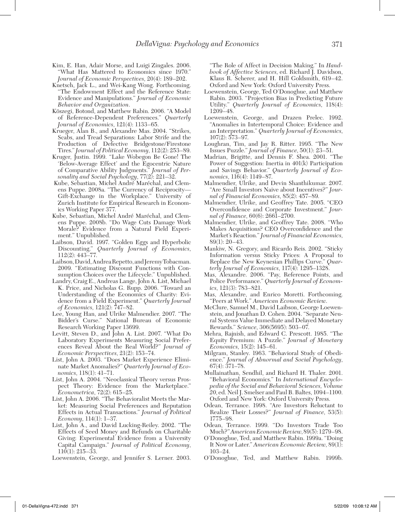- Kim, E. Han, Adair Morse, and Luigi Zingales. 2006. "What Has Mattered to Economics since 1970." *Journal of Economic Perspectives*, 20(4): 189–202.
- Knetsch, Jack L., and Wei-Kang Wong. Forthcoming. "The Endowment Effect and the Reference State: Evidence and Manipulations." *Journal of Economic Behavior and Organization*.
- Köszegi, Botond, and Matthew Rabin. 2006. "A Model of Reference-Dependent Preferences." *Quarterly Journal of Economics*, 121(4): 1133–65.
- Krueger, Alan B., and Alexandre Mas. 2004. "Strikes, Scabs, and Tread Separations: Labor Strife and the Production of Defective Bridgestone/Firestone Tires." *Journal of Political Economy*, 112(2): 253–89.
- Kruger, Justin. 1999. "Lake Wobegon Be Gone! The 'Below-Average Effect' and the Egocentric Nature of Comparative Ability Judgments." *Journal of Personality and Social Psychology*, 77(2): 221–32.
- Kube, Sebastian, Michel André Maréchal, and Clemens Puppe. 2008a. "The Currency of Reciprocity— Gift-Exchange in the Workplace." University of Zurich Institute for Empirical Research in Economics Working Paper 377.
- Kube, Sebastian, Michel André Maréchal, and Clemens Puppe. 2008b. "Do Wage Cuts Damage Work Morale? Evidence from a Natural Field Experiment." Unpublished.
- Laibson, David. 1997. "Golden Eggs and Hyperbolic Discounting." *Quarterly Journal of Economics*, 112(2): 443–77.
- Laibson, David, Andrea Repetto, and Jeremy Tobacman. 2009. "Estimating Discount Functions with Consumption Choices over the Lifecycle." Unpublished.
- Landry, Craig E., Andreas Lange, John A. List, Michael K. Price, and Nicholas G. Rupp. 2006. "Toward an Understanding of the Economics of Charity: Evidence from a Field Experiment." *Quarterly Journal of Economics*, 121(2): 747–82.
- Lee, Young Han, and Ulrike Malmendier. 2007. "The Bidder's Curse." National Bureau of Economic Research Working Paper 13699.
- Levitt, Steven D., and John A. List. 2007. "What Do Laboratory Experiments Measuring Social Preferences Reveal About the Real World?" *Journal of Economic Perspectives*, 21(2): 153–74.
- List, John A. 2003. "Does Market Experience Eliminate Market Anomalies?" *Quarterly Journal of Economics*, 118(1): 41–71.
- List, John A. 2004. "Neoclassical Theory versus Prospect Theory: Evidence from the Marketplace." *Econometrica*, 72(2): 615–25.
- List, John A. 2006. "The Behavioralist Meets the Market: Measuring Social Preferences and Reputation Effects in Actual Transactions." *Journal of Political Economy*, 114(1): 1–37.
- List, John A., and David Lucking-Reiley. 2002. "The Effects of Seed Money and Refunds on Charitable Giving: Experimental Evidence from a University Capital Campaign." *Journal of Political Economy*, 110(1): 215–33.

Loewenstein, George, and Jennifer S. Lerner. 2003.

"The Role of Affect in Decision Making." In *Handbook of Affective Sciences*, ed. Richard J. Davidson, Klaus R. Scherer, and H. Hill Goldsmith, 619–42. Oxford and New York: Oxford University Press.

- Loewenstein, George, Ted O'Donoghue, and Matthew Rabin. 2003. "Projection Bias in Predicting Future Utility." *Quarterly Journal of Economics*, 118(4): 1209–48.
- Loewenstein, George, and Drazen Prelec. 1992. "Anomalies in Intertemporal Choice: Evidence and an Interpretation." *Quarterly Journal of Economics*, 107(2): 573–97.
- Loughran, Tim, and Jay R. Ritter. 1995. "The New Issues Puzzle." *Journal of Finance*, 50(1): 23–51.
- Madrian, Brigitte, and Dennis F. Shea. 2001. "The Power of Suggestion: Inertia in 401(k) Participation and Savings Behavior." *Quarterly Journal of Economics*, 116(4): 1149–87.
- Malmendier, Ulrike, and Devin Shanthikumar. 2007. "Are Small Investors Naive about Incentives?" *Journal of Financial Economics*, 85(2): 457–89.
- Malmendier, Ulrike, and Geoffrey Tate. 2005. "CEO Overconfidence and Corporate Investment." *Journal of Finance*, 60(6): 2661–2700.
- Malmendier, Ulrike, and Geoffrey Tate. 2008. "Who Makes Acquisitions? CEO Overconfidence and the Market's Reaction." *Journal of Financial Economics*, 89(1): 20–43.
- Mankiw, N. Gregory, and Ricardo Reis. 2002. "Sticky Information versus Sticky Prices: A Proposal to Replace the New Keynesian Phillips Curve." *Quarterly Journal of Economics*, 117(4): 1295–1328.
- Mas, Alexandre. 2006. "Pay, Reference Points, and Police Performance." *Quarterly Journal of Economics*, 121(3): 783–821.
- Mas, Alexandre, and Enrico Moretti. Forthcoming. "Peers at Work." *American Economic Review*.
- McClure, Samuel M., David Laibson, George Loewenstein, and Jonathan D. Cohen. 2004. "Separate Neural Systems Value Immediate and Delayed Monetary Rewards." *Science*, 306(5695): 503–07.
- Mehra, Rajnish, and Edward C. Prescott. 1985. "The Equity Premium: A Puzzle." *Journal of Monetary Economics*, 15(2): 145–61.
- Milgram, Stanley. 1963. "Behavioral Study of Obedience." *Journal of Abnormal and Social Psychology*, 67(4): 371–78.
- Mullainathan, Sendhil, and Richard H. Thaler. 2001. "Behavioral Economics." In *International Encyclopedia of the Social and Behavioral Sciences, Volume 20*, ed. Neil J. Smelser and Paul B. Baltes, 1094–1100. Oxford and New York: Oxford University Press.
- Odean, Terrance. 1998. "Are Investors Reluctant to Realize Their Losses?" *Journal of Finance*, 53(5): 1775–98.
- Odean, Terrance. 1999. "Do Investors Trade Too Much?" *American Economic Review*, 89(5): 1279–98.
- O'Donoghue, Ted, and Matthew Rabin. 1999a. "Doing It Now or Later." *American Economic Review*, 89(1): 103–24.
- O'Donoghue, Ted, and Matthew Rabin. 1999b.